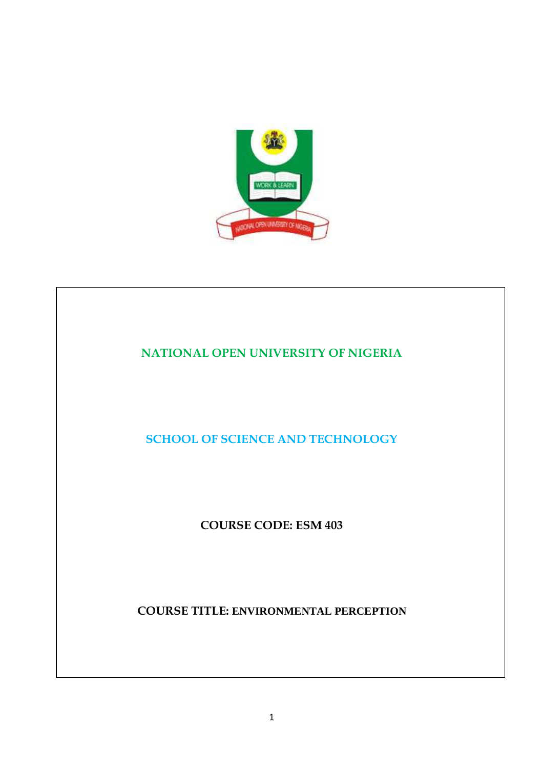

# **NATIONAL OPEN UNIVERSITY OF NIGERIA SCHOOL OF SCIENCE AND TECHNOLOGY COURSE CODE: ESM 403 COURSE TITLE: ENVIRONMENTAL PERCEPTION**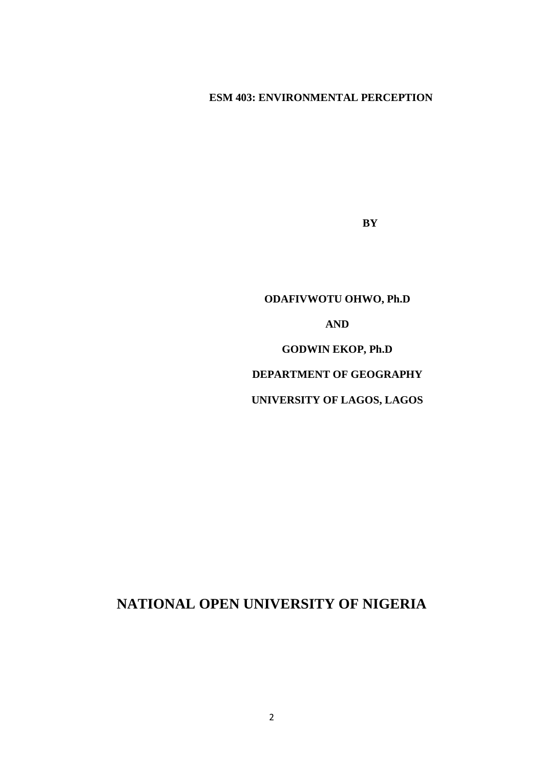# **ESM 403: ENVIRONMENTAL PERCEPTION**

**BY** 

**ODAFIVWOTU OHWO, Ph.D AND GODWIN EKOP, Ph.D DEPARTMENT OF GEOGRAPHY UNIVERSITY OF LAGOS, LAGOS** 

# **NATIONAL OPEN UNIVERSITY OF NIGERIA**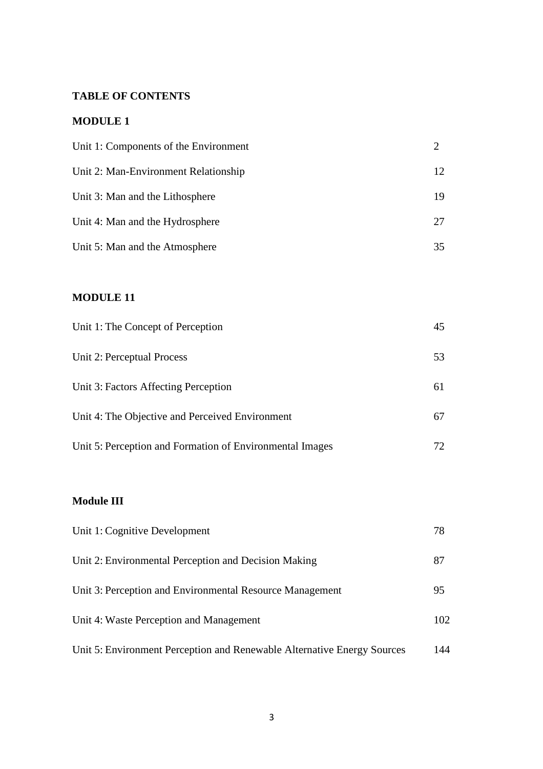# **TABLE OF CONTENTS**

# **MODULE 1**

| Unit 1: Components of the Environment |                 |
|---------------------------------------|-----------------|
| Unit 2: Man-Environment Relationship  | 12 <sup>°</sup> |
| Unit 3: Man and the Lithosphere       | 19              |
| Unit 4: Man and the Hydrosphere       | 27              |
| Unit 5: Man and the Atmosphere        | 35              |

# **MODULE 11**

| Unit 1: The Concept of Perception                        | 45  |
|----------------------------------------------------------|-----|
| Unit 2: Perceptual Process                               | 53  |
| Unit 3: Factors Affecting Perception                     | 61  |
| Unit 4: The Objective and Perceived Environment          | 67  |
| Unit 5: Perception and Formation of Environmental Images | 72. |

# **Module III**

| Unit 1: Cognitive Development                                           | 78  |
|-------------------------------------------------------------------------|-----|
| Unit 2: Environmental Perception and Decision Making                    | 87  |
| Unit 3: Perception and Environmental Resource Management                | 95  |
| Unit 4: Waste Perception and Management                                 | 102 |
| Unit 5: Environment Perception and Renewable Alternative Energy Sources | 144 |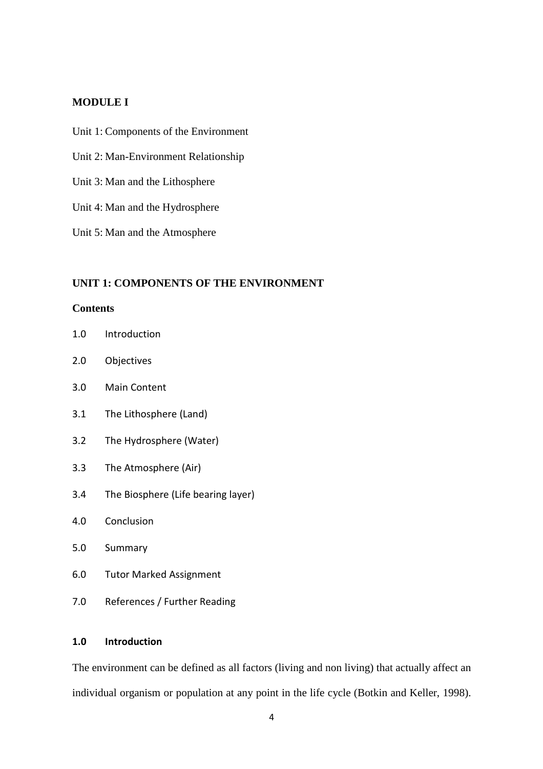#### **MODULE I**

- Unit 1: Components of the Environment
- Unit 2: Man-Environment Relationship
- Unit 3: Man and the Lithosphere
- Unit 4: Man and the Hydrosphere
- Unit 5: Man and the Atmosphere

#### **UNIT 1: COMPONENTS OF THE ENVIRONMENT**

#### **Contents**

- 1.0 Introduction
- 2.0 Objectives
- 3.0 Main Content
- 3.1 The Lithosphere (Land)
- 3.2 The Hydrosphere (Water)
- 3.3 The Atmosphere (Air)
- 3.4 The Biosphere (Life bearing layer)
- 4.0 Conclusion
- 5.0 Summary
- 6.0 Tutor Marked Assignment
- 7.0 References / Further Reading

#### **1.0 Introduction**

The environment can be defined as all factors (living and non living) that actually affect an individual organism or population at any point in the life cycle (Botkin and Keller, 1998).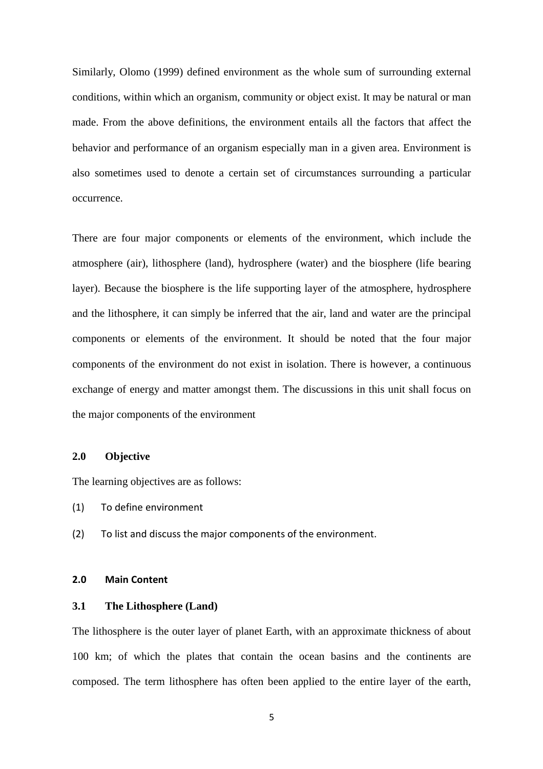Similarly, Olomo (1999) defined environment as the whole sum of surrounding external conditions, within which an organism, community or object exist. It may be natural or man made. From the above definitions, the environment entails all the factors that affect the behavior and performance of an organism especially man in a given area. Environment is also sometimes used to denote a certain set of circumstances surrounding a particular occurrence.

There are four major components or elements of the environment, which include the atmosphere (air), lithosphere (land), hydrosphere (water) and the biosphere (life bearing layer). Because the biosphere is the life supporting layer of the atmosphere, hydrosphere and the lithosphere, it can simply be inferred that the air, land and water are the principal components or elements of the environment. It should be noted that the four major components of the environment do not exist in isolation. There is however, a continuous exchange of energy and matter amongst them. The discussions in this unit shall focus on the major components of the environment

#### **2.0 Objective**

The learning objectives are as follows:

- (1) To define environment
- (2) To list and discuss the major components of the environment.

#### **2.0 Main Content**

#### **3.1 The Lithosphere (Land)**

The lithosphere is the outer layer of planet Earth, with an approximate thickness of about 100 km; of which the plates that contain the ocean basins and the continents are composed. The term lithosphere has often been applied to the entire layer of the earth,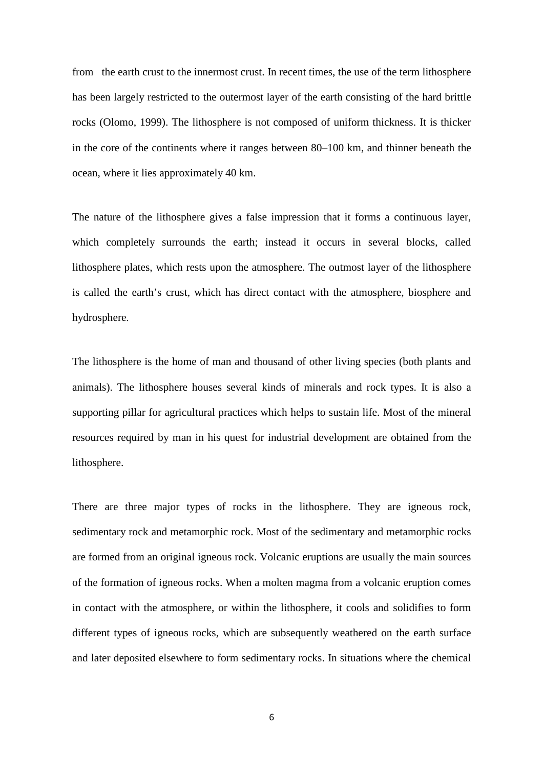from the earth crust to the innermost crust. In recent times, the use of the term lithosphere has been largely restricted to the outermost layer of the earth consisting of the hard brittle rocks (Olomo, 1999). The lithosphere is not composed of uniform thickness. It is thicker in the core of the continents where it ranges between 80–100 km, and thinner beneath the ocean, where it lies approximately 40 km.

The nature of the lithosphere gives a false impression that it forms a continuous layer, which completely surrounds the earth; instead it occurs in several blocks, called lithosphere plates, which rests upon the atmosphere. The outmost layer of the lithosphere is called the earth's crust, which has direct contact with the atmosphere, biosphere and hydrosphere.

The lithosphere is the home of man and thousand of other living species (both plants and animals). The lithosphere houses several kinds of minerals and rock types. It is also a supporting pillar for agricultural practices which helps to sustain life. Most of the mineral resources required by man in his quest for industrial development are obtained from the lithosphere.

There are three major types of rocks in the lithosphere. They are igneous rock, sedimentary rock and metamorphic rock. Most of the sedimentary and metamorphic rocks are formed from an original igneous rock. Volcanic eruptions are usually the main sources of the formation of igneous rocks. When a molten magma from a volcanic eruption comes in contact with the atmosphere, or within the lithosphere, it cools and solidifies to form different types of igneous rocks, which are subsequently weathered on the earth surface and later deposited elsewhere to form sedimentary rocks. In situations where the chemical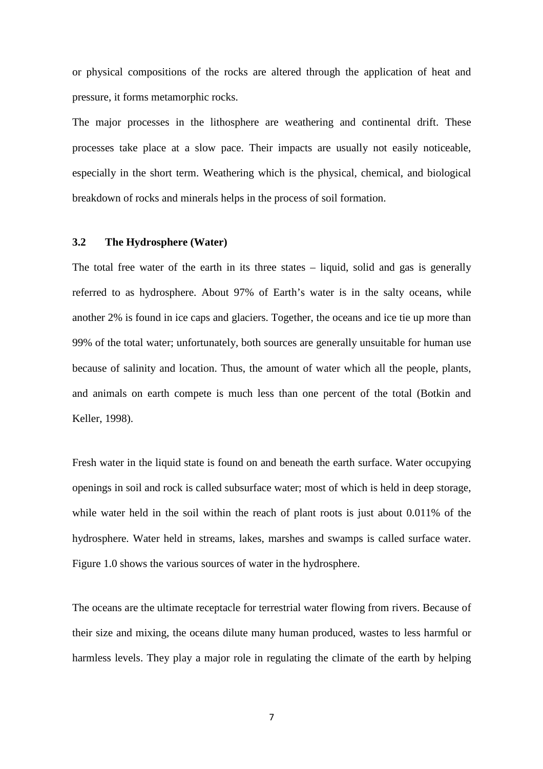or physical compositions of the rocks are altered through the application of heat and pressure, it forms metamorphic rocks.

The major processes in the lithosphere are weathering and continental drift. These processes take place at a slow pace. Their impacts are usually not easily noticeable, especially in the short term. Weathering which is the physical, chemical, and biological breakdown of rocks and minerals helps in the process of soil formation.

#### **3.2 The Hydrosphere (Water)**

The total free water of the earth in its three states – liquid, solid and gas is generally referred to as hydrosphere. About 97% of Earth's water is in the salty oceans, while another 2% is found in ice caps and glaciers. Together, the oceans and ice tie up more than 99% of the total water; unfortunately, both sources are generally unsuitable for human use because of salinity and location. Thus, the amount of water which all the people, plants, and animals on earth compete is much less than one percent of the total (Botkin and Keller, 1998).

Fresh water in the liquid state is found on and beneath the earth surface. Water occupying openings in soil and rock is called subsurface water; most of which is held in deep storage, while water held in the soil within the reach of plant roots is just about 0.011% of the hydrosphere. Water held in streams, lakes, marshes and swamps is called surface water. Figure 1.0 shows the various sources of water in the hydrosphere.

The oceans are the ultimate receptacle for terrestrial water flowing from rivers. Because of their size and mixing, the oceans dilute many human produced, wastes to less harmful or harmless levels. They play a major role in regulating the climate of the earth by helping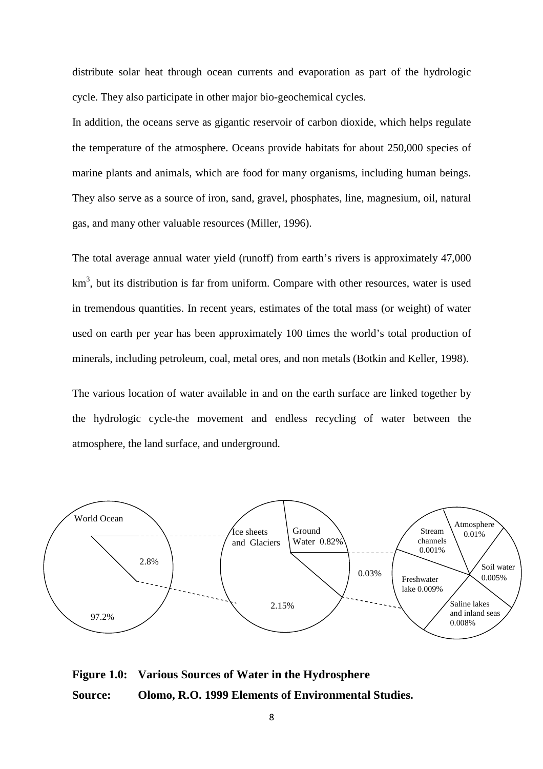distribute solar heat through ocean currents and evaporation as part of the hydrologic cycle. They also participate in other major bio-geochemical cycles.

In addition, the oceans serve as gigantic reservoir of carbon dioxide, which helps regulate the temperature of the atmosphere. Oceans provide habitats for about 250,000 species of marine plants and animals, which are food for many organisms, including human beings. They also serve as a source of iron, sand, gravel, phosphates, line, magnesium, oil, natural gas, and many other valuable resources (Miller, 1996).

The total average annual water yield (runoff) from earth's rivers is approximately 47,000 km<sup>3</sup>, but its distribution is far from uniform. Compare with other resources, water is used in tremendous quantities. In recent years, estimates of the total mass (or weight) of water used on earth per year has been approximately 100 times the world's total production of minerals, including petroleum, coal, metal ores, and non metals (Botkin and Keller, 1998).

The various location of water available in and on the earth surface are linked together by the hydrologic cycle-the movement and endless recycling of water between the atmosphere, the land surface, and underground.



**Figure 1.0: Various Sources of Water in the Hydrosphere Source: Olomo, R.O. 1999 Elements of Environmental Studies.**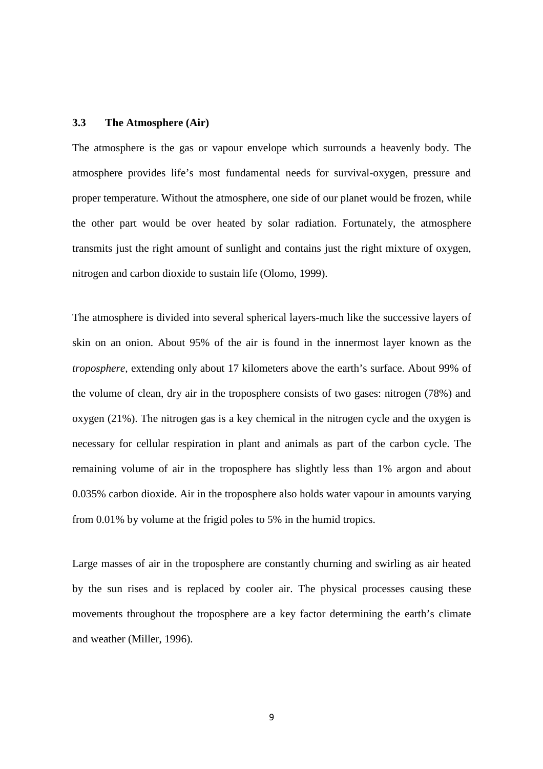#### **3.3 The Atmosphere (Air)**

The atmosphere is the gas or vapour envelope which surrounds a heavenly body. The atmosphere provides life's most fundamental needs for survival-oxygen, pressure and proper temperature. Without the atmosphere, one side of our planet would be frozen, while the other part would be over heated by solar radiation. Fortunately, the atmosphere transmits just the right amount of sunlight and contains just the right mixture of oxygen, nitrogen and carbon dioxide to sustain life (Olomo, 1999).

The atmosphere is divided into several spherical layers-much like the successive layers of skin on an onion. About 95% of the air is found in the innermost layer known as the *troposphere,* extending only about 17 kilometers above the earth's surface. About 99% of the volume of clean, dry air in the troposphere consists of two gases: nitrogen (78%) and oxygen (21%). The nitrogen gas is a key chemical in the nitrogen cycle and the oxygen is necessary for cellular respiration in plant and animals as part of the carbon cycle. The remaining volume of air in the troposphere has slightly less than 1% argon and about 0.035% carbon dioxide. Air in the troposphere also holds water vapour in amounts varying from 0.01% by volume at the frigid poles to 5% in the humid tropics.

Large masses of air in the troposphere are constantly churning and swirling as air heated by the sun rises and is replaced by cooler air. The physical processes causing these movements throughout the troposphere are a key factor determining the earth's climate and weather (Miller, 1996).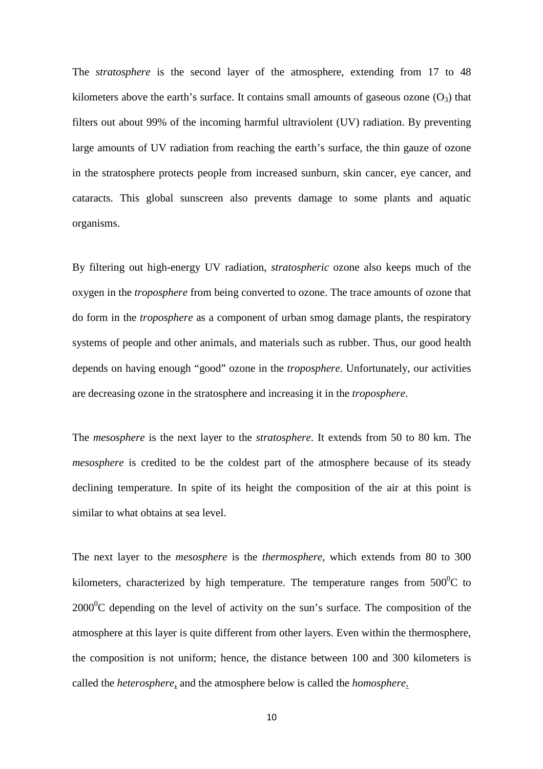The *stratosphere* is the second layer of the atmosphere, extending from 17 to 48 kilometers above the earth's surface. It contains small amounts of gaseous ozone  $(O_3)$  that filters out about 99% of the incoming harmful ultraviolent (UV) radiation. By preventing large amounts of UV radiation from reaching the earth's surface, the thin gauze of ozone in the stratosphere protects people from increased sunburn, skin cancer, eye cancer, and cataracts. This global sunscreen also prevents damage to some plants and aquatic organisms.

By filtering out high-energy UV radiation, *stratospheric* ozone also keeps much of the oxygen in the *troposphere* from being converted to ozone. The trace amounts of ozone that do form in the *troposphere* as a component of urban smog damage plants, the respiratory systems of people and other animals, and materials such as rubber. Thus, our good health depends on having enough "good" ozone in the *troposphere*. Unfortunately, our activities are decreasing ozone in the stratosphere and increasing it in the *troposphere*.

The *mesosphere* is the next layer to the *stratosphere*. It extends from 50 to 80 km. The *mesosphere* is credited to be the coldest part of the atmosphere because of its steady declining temperature. In spite of its height the composition of the air at this point is similar to what obtains at sea level.

The next layer to the *mesosphere* is the *thermosphere*, which extends from 80 to 300 kilometers, characterized by high temperature. The temperature ranges from  $500^{\circ}$ C to  $2000^{\circ}$ C depending on the level of activity on the sun's surface. The composition of the atmosphere at this layer is quite different from other layers. Even within the thermosphere, the composition is not uniform; hence, the distance between 100 and 300 kilometers is called the *heterosphere*, and the atmosphere below is called the *homosphere*.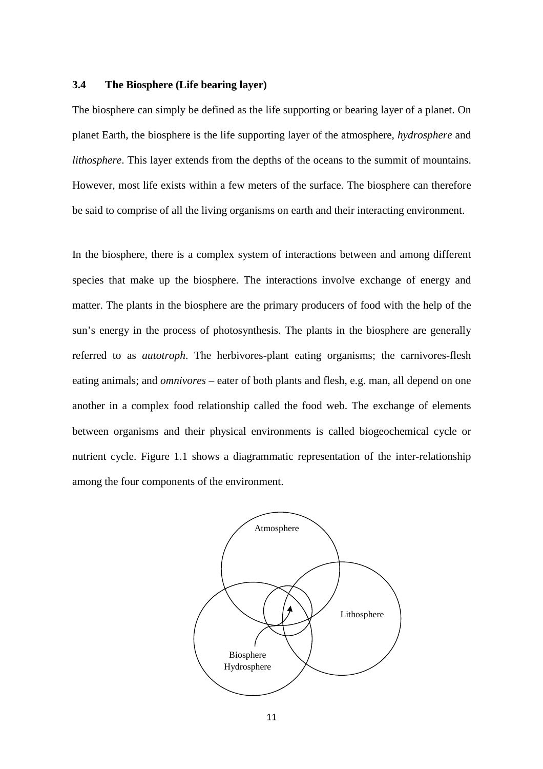#### **3.4 The Biosphere (Life bearing layer)**

The biosphere can simply be defined as the life supporting or bearing layer of a planet. On planet Earth, the biosphere is the life supporting layer of the atmosphere, *hydrosphere* and *lithosphere*. This layer extends from the depths of the oceans to the summit of mountains. However, most life exists within a few meters of the surface. The biosphere can therefore be said to comprise of all the living organisms on earth and their interacting environment.

In the biosphere, there is a complex system of interactions between and among different species that make up the biosphere. The interactions involve exchange of energy and matter. The plants in the biosphere are the primary producers of food with the help of the sun's energy in the process of photosynthesis. The plants in the biosphere are generally referred to as *autotroph*. The herbivores-plant eating organisms; the carnivores-flesh eating animals; and *omnivores* – eater of both plants and flesh, e.g. man, all depend on one another in a complex food relationship called the food web. The exchange of elements between organisms and their physical environments is called biogeochemical cycle or nutrient cycle. Figure 1.1 shows a diagrammatic representation of the inter-relationship among the four components of the environment.

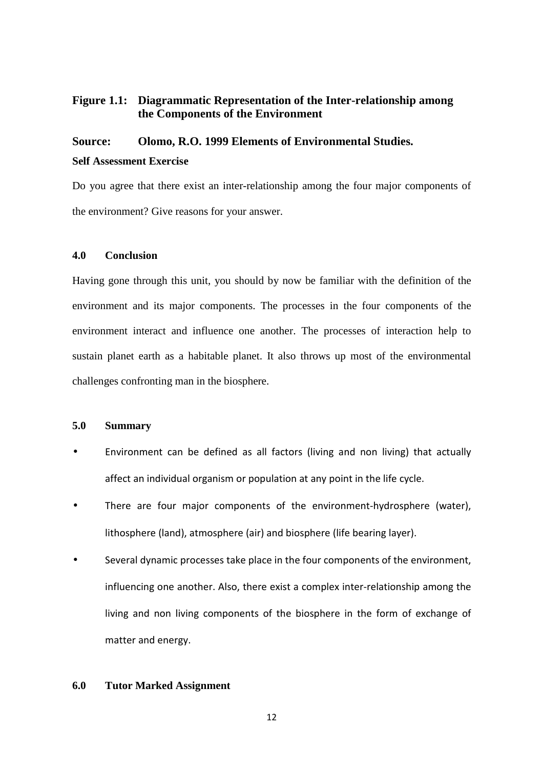# **Figure 1.1: Diagrammatic Representation of the Inter-relationship among the Components of the Environment**

# **Source: Olomo, R.O. 1999 Elements of Environmental Studies. Self Assessment Exercise**

Do you agree that there exist an inter-relationship among the four major components of the environment? Give reasons for your answer.

# **4.0 Conclusion**

Having gone through this unit, you should by now be familiar with the definition of the environment and its major components. The processes in the four components of the environment interact and influence one another. The processes of interaction help to sustain planet earth as a habitable planet. It also throws up most of the environmental challenges confronting man in the biosphere.

#### **5.0 Summary**

- Environment can be defined as all factors (living and non living) that actually affect an individual organism or population at any point in the life cycle.
- There are four major components of the environment-hydrosphere (water), lithosphere (land), atmosphere (air) and biosphere (life bearing layer).
- Several dynamic processes take place in the four components of the environment, influencing one another. Also, there exist a complex inter-relationship among the living and non living components of the biosphere in the form of exchange of matter and energy.

#### **6.0 Tutor Marked Assignment**

12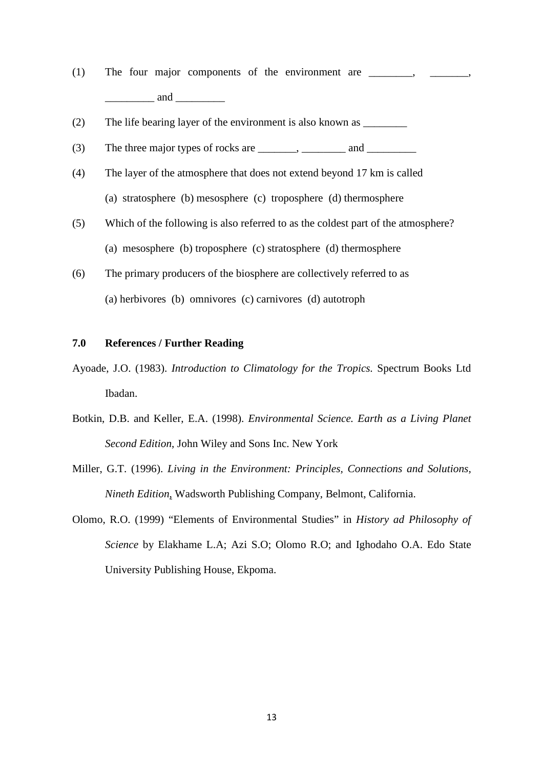- (1) The four major components of the environment are  $\frac{1}{\sqrt{1-\frac{1}{\sqrt{1-\frac{1}{\sqrt{1-\frac{1}{\sqrt{1-\frac{1}{\sqrt{1-\frac{1}{\sqrt{1-\frac{1}{\sqrt{1-\frac{1}{\sqrt{1-\frac{1}{\sqrt{1-\frac{1}{\sqrt{1-\frac{1}{\sqrt{1-\frac{1}{\sqrt{1-\frac{1}{\sqrt{1-\frac{1}{\sqrt{1-\frac{1}{\sqrt{1-\frac{1}{\sqrt{1-\frac{1}{\sqrt{1-\frac{1}{\sqrt{1-\frac{1}{$  $\qquad \qquad \text{and} \qquad$
- (2) The life bearing layer of the environment is also known as \_\_\_\_\_\_\_\_
- (3) The three major types of rocks are  $\qquad \qquad , \qquad \qquad$  and  $\qquad \qquad$
- (4) The layer of the atmosphere that does not extend beyond 17 km is called (a) stratosphere (b) mesosphere (c) troposphere (d) thermosphere
- (5) Which of the following is also referred to as the coldest part of the atmosphere? (a) mesosphere (b) troposphere (c) stratosphere (d) thermosphere
- (6) The primary producers of the biosphere are collectively referred to as (a) herbivores (b) omnivores (c) carnivores (d) autotroph

#### **7.0 References / Further Reading**

- Ayoade, J.O. (1983). *Introduction to Climatology for the Tropics.* Spectrum Books Ltd Ibadan.
- Botkin, D.B. and Keller, E.A. (1998). *Environmental Science. Earth as a Living Planet Second Edition*, John Wiley and Sons Inc. New York
- Miller, G.T. (1996). *Living in the Environment: Principles, Connections and Solutions, Nineth Edition*, Wadsworth Publishing Company, Belmont, California.
- Olomo, R.O. (1999) "Elements of Environmental Studies" in *History ad Philosophy of Science* by Elakhame L.A; Azi S.O; Olomo R.O; and Ighodaho O.A. Edo State University Publishing House, Ekpoma.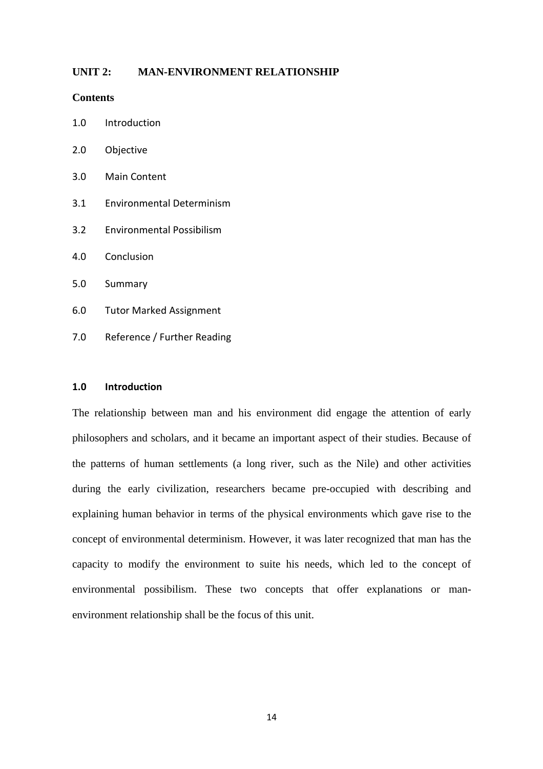#### **UNIT 2: MAN-ENVIRONMENT RELATIONSHIP**

#### **Contents**

- 1.0 Introduction
- 2.0 Objective
- 3.0 Main Content
- 3.1 Environmental Determinism
- 3.2 Environmental Possibilism
- 4.0 Conclusion
- 5.0 Summary
- 6.0 Tutor Marked Assignment
- 7.0 Reference / Further Reading

#### **1.0 Introduction**

The relationship between man and his environment did engage the attention of early philosophers and scholars, and it became an important aspect of their studies. Because of the patterns of human settlements (a long river, such as the Nile) and other activities during the early civilization, researchers became pre-occupied with describing and explaining human behavior in terms of the physical environments which gave rise to the concept of environmental determinism. However, it was later recognized that man has the capacity to modify the environment to suite his needs, which led to the concept of environmental possibilism. These two concepts that offer explanations or manenvironment relationship shall be the focus of this unit.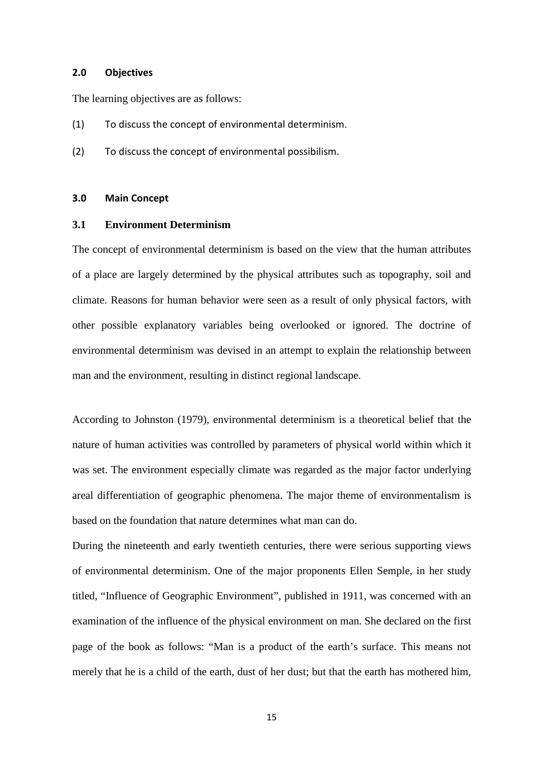#### **2.0 Objectives**

The learning objectives are as follows:

- (1) To discuss the concept of environmental determinism.
- (2) To discuss the concept of environmental possibilism.

#### **3.0 Main Concept**

#### **3.1 Environment Determinism**

The concept of environmental determinism is based on the view that the human attributes of a place are largely determined by the physical attributes such as topography, soil and climate. Reasons for human behavior were seen as a result of only physical factors, with other possible explanatory variables being overlooked or ignored. The doctrine of environmental determinism was devised in an attempt to explain the relationship between man and the environment, resulting in distinct regional landscape.

According to Johnston (1979), environmental determinism is a theoretical belief that the nature of human activities was controlled by parameters of physical world within which it was set. The environment especially climate was regarded as the major factor underlying areal differentiation of geographic phenomena. The major theme of environmentalism is based on the foundation that nature determines what man can do.

During the nineteenth and early twentieth centuries, there were serious supporting views of environmental determinism. One of the major proponents Ellen Semple, in her study titled, "Influence of Geographic Environment", published in 1911, was concerned with an examination of the influence of the physical environment on man. She declared on the first page of the book as follows: "Man is a product of the earth's surface. This means not merely that he is a child of the earth, dust of her dust; but that the earth has mothered him,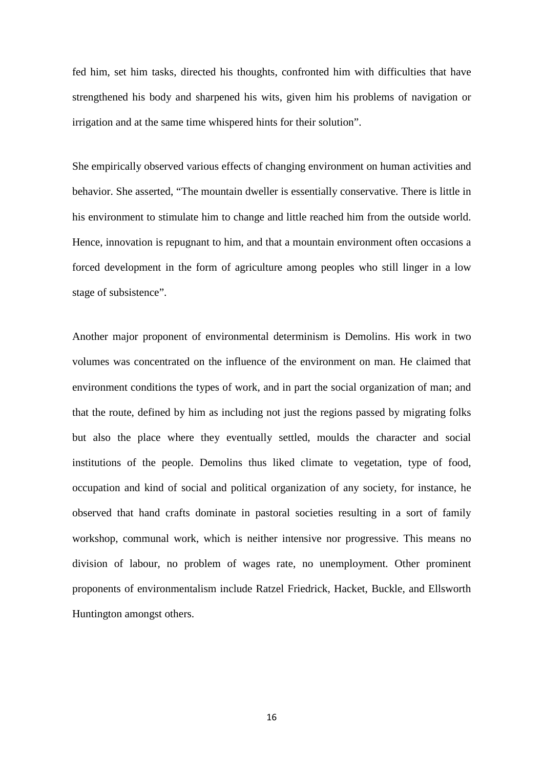fed him, set him tasks, directed his thoughts, confronted him with difficulties that have strengthened his body and sharpened his wits, given him his problems of navigation or irrigation and at the same time whispered hints for their solution".

She empirically observed various effects of changing environment on human activities and behavior. She asserted, "The mountain dweller is essentially conservative. There is little in his environment to stimulate him to change and little reached him from the outside world. Hence, innovation is repugnant to him, and that a mountain environment often occasions a forced development in the form of agriculture among peoples who still linger in a low stage of subsistence".

Another major proponent of environmental determinism is Demolins. His work in two volumes was concentrated on the influence of the environment on man. He claimed that environment conditions the types of work, and in part the social organization of man; and that the route, defined by him as including not just the regions passed by migrating folks but also the place where they eventually settled, moulds the character and social institutions of the people. Demolins thus liked climate to vegetation, type of food, occupation and kind of social and political organization of any society, for instance, he observed that hand crafts dominate in pastoral societies resulting in a sort of family workshop, communal work, which is neither intensive nor progressive. This means no division of labour, no problem of wages rate, no unemployment. Other prominent proponents of environmentalism include Ratzel Friedrick, Hacket, Buckle, and Ellsworth Huntington amongst others.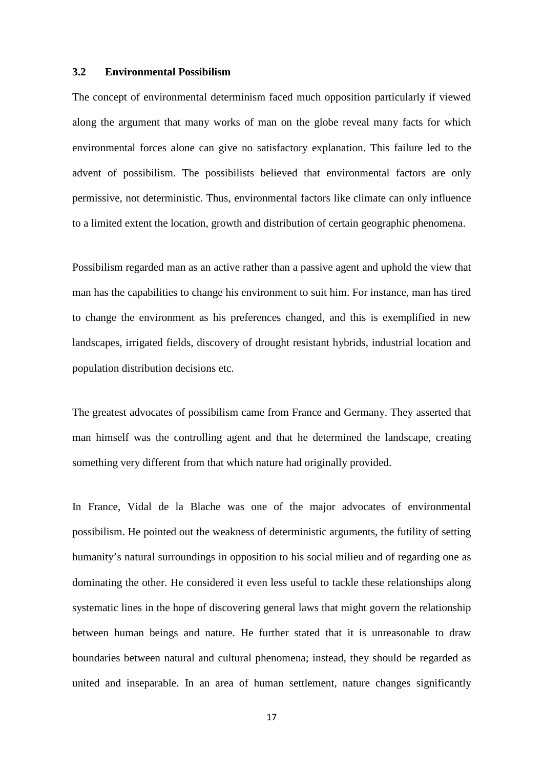#### **3.2 Environmental Possibilism**

The concept of environmental determinism faced much opposition particularly if viewed along the argument that many works of man on the globe reveal many facts for which environmental forces alone can give no satisfactory explanation. This failure led to the advent of possibilism. The possibilists believed that environmental factors are only permissive, not deterministic. Thus, environmental factors like climate can only influence to a limited extent the location, growth and distribution of certain geographic phenomena.

Possibilism regarded man as an active rather than a passive agent and uphold the view that man has the capabilities to change his environment to suit him. For instance, man has tired to change the environment as his preferences changed, and this is exemplified in new landscapes, irrigated fields, discovery of drought resistant hybrids, industrial location and population distribution decisions etc.

The greatest advocates of possibilism came from France and Germany. They asserted that man himself was the controlling agent and that he determined the landscape, creating something very different from that which nature had originally provided.

In France, Vidal de la Blache was one of the major advocates of environmental possibilism. He pointed out the weakness of deterministic arguments, the futility of setting humanity's natural surroundings in opposition to his social milieu and of regarding one as dominating the other. He considered it even less useful to tackle these relationships along systematic lines in the hope of discovering general laws that might govern the relationship between human beings and nature. He further stated that it is unreasonable to draw boundaries between natural and cultural phenomena; instead, they should be regarded as united and inseparable. In an area of human settlement, nature changes significantly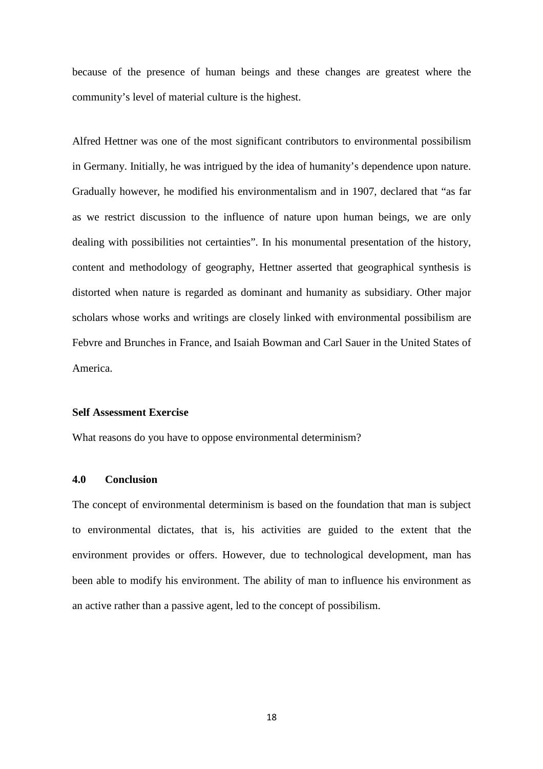because of the presence of human beings and these changes are greatest where the community's level of material culture is the highest.

Alfred Hettner was one of the most significant contributors to environmental possibilism in Germany. Initially, he was intrigued by the idea of humanity's dependence upon nature. Gradually however, he modified his environmentalism and in 1907, declared that "as far as we restrict discussion to the influence of nature upon human beings, we are only dealing with possibilities not certainties". In his monumental presentation of the history, content and methodology of geography, Hettner asserted that geographical synthesis is distorted when nature is regarded as dominant and humanity as subsidiary. Other major scholars whose works and writings are closely linked with environmental possibilism are Febvre and Brunches in France, and Isaiah Bowman and Carl Sauer in the United States of America.

#### **Self Assessment Exercise**

What reasons do you have to oppose environmental determinism?

#### **4.0 Conclusion**

The concept of environmental determinism is based on the foundation that man is subject to environmental dictates, that is, his activities are guided to the extent that the environment provides or offers. However, due to technological development, man has been able to modify his environment. The ability of man to influence his environment as an active rather than a passive agent, led to the concept of possibilism.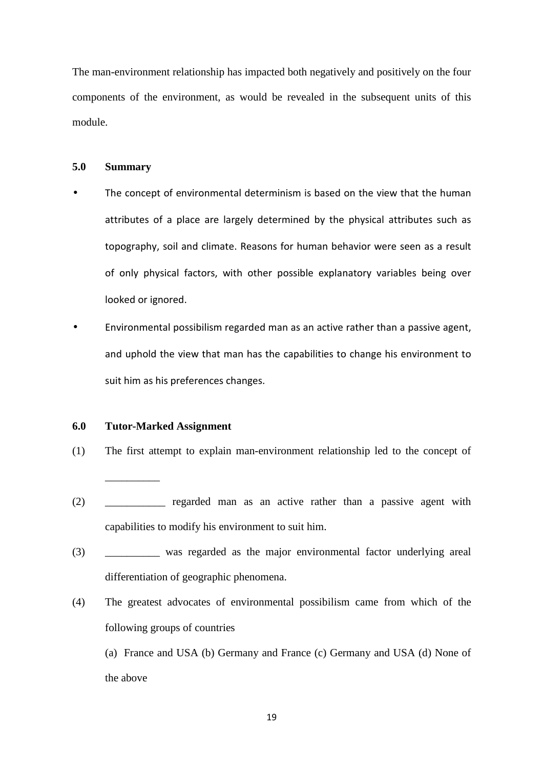The man-environment relationship has impacted both negatively and positively on the four components of the environment, as would be revealed in the subsequent units of this module.

#### **5.0 Summary**

- The concept of environmental determinism is based on the view that the human attributes of a place are largely determined by the physical attributes such as topography, soil and climate. Reasons for human behavior were seen as a result of only physical factors, with other possible explanatory variables being over looked or ignored.
- Environmental possibilism regarded man as an active rather than a passive agent, and uphold the view that man has the capabilities to change his environment to suit him as his preferences changes.

#### **6.0 Tutor-Marked Assignment**

\_\_\_\_\_\_\_\_\_\_

- (1) The first attempt to explain man-environment relationship led to the concept of
- (2) \_\_\_\_\_\_\_\_\_\_\_ regarded man as an active rather than a passive agent with capabilities to modify his environment to suit him.
- (3) \_\_\_\_\_\_\_\_\_\_ was regarded as the major environmental factor underlying areal differentiation of geographic phenomena.
- (4) The greatest advocates of environmental possibilism came from which of the following groups of countries

(a) France and USA (b) Germany and France (c) Germany and USA (d) None of the above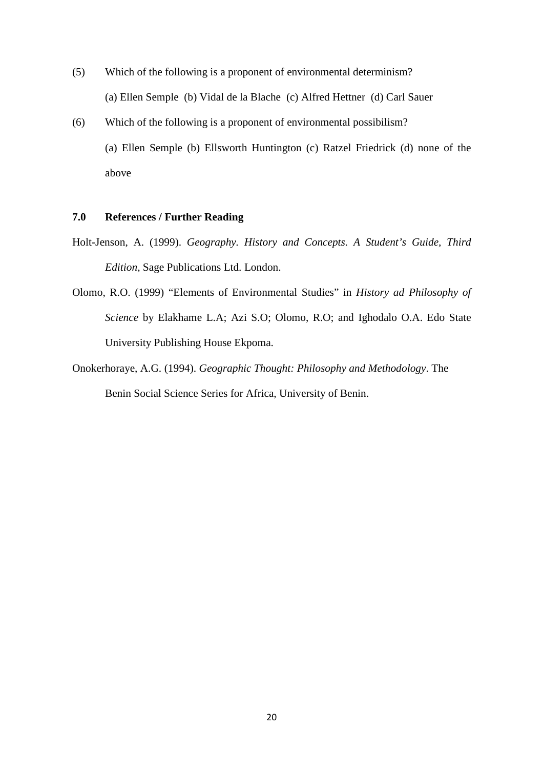- (5) Which of the following is a proponent of environmental determinism? (a) Ellen Semple (b) Vidal de la Blache (c) Alfred Hettner (d) Carl Sauer
- (6) Which of the following is a proponent of environmental possibilism? (a) Ellen Semple (b) Ellsworth Huntington (c) Ratzel Friedrick (d) none of the above

# **7.0 References / Further Reading**

- Holt-Jenson, A. (1999). *Geography. History and Concepts. A Student's Guide, Third Edition,* Sage Publications Ltd. London.
- Olomo, R.O. (1999) "Elements of Environmental Studies" in *History ad Philosophy of Science* by Elakhame L.A; Azi S.O; Olomo, R.O; and Ighodalo O.A. Edo State University Publishing House Ekpoma.
- Onokerhoraye, A.G. (1994). *Geographic Thought: Philosophy and Methodology*. The Benin Social Science Series for Africa, University of Benin.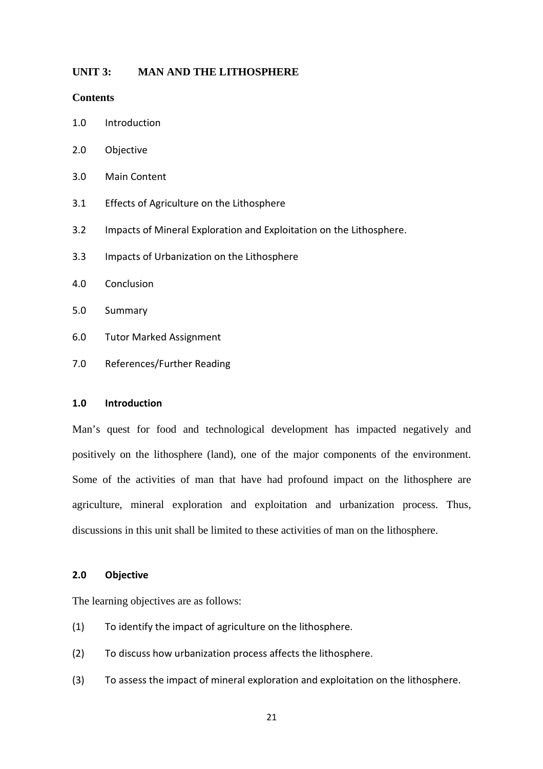#### **UNIT 3: MAN AND THE LITHOSPHERE**

#### **Contents**

- 1.0 Introduction
- 2.0 Objective
- 3.0 Main Content
- 3.1 Effects of Agriculture on the Lithosphere
- 3.2 Impacts of Mineral Exploration and Exploitation on the Lithosphere.
- 3.3 Impacts of Urbanization on the Lithosphere
- 4.0 Conclusion
- 5.0 Summary
- 6.0 Tutor Marked Assignment
- 7.0 References/Further Reading

#### **1.0 Introduction**

Man's quest for food and technological development has impacted negatively and positively on the lithosphere (land), one of the major components of the environment. Some of the activities of man that have had profound impact on the lithosphere are agriculture, mineral exploration and exploitation and urbanization process. Thus, discussions in this unit shall be limited to these activities of man on the lithosphere.

## **2.0 Objective**

The learning objectives are as follows:

- (1) To identify the impact of agriculture on the lithosphere.
- (2) To discuss how urbanization process affects the lithosphere.
- (3) To assess the impact of mineral exploration and exploitation on the lithosphere.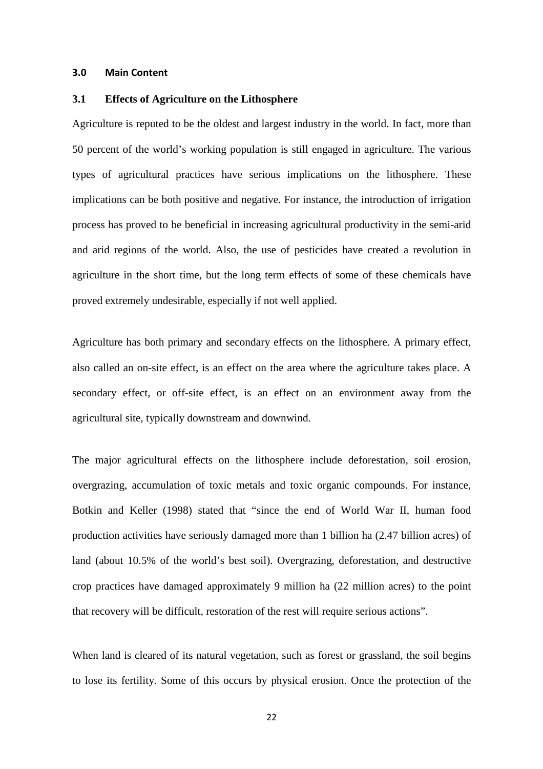#### **3.0 Main Content**

#### **3.1 Effects of Agriculture on the Lithosphere**

Agriculture is reputed to be the oldest and largest industry in the world. In fact, more than 50 percent of the world's working population is still engaged in agriculture. The various types of agricultural practices have serious implications on the lithosphere. These implications can be both positive and negative. For instance, the introduction of irrigation process has proved to be beneficial in increasing agricultural productivity in the semi-arid and arid regions of the world. Also, the use of pesticides have created a revolution in agriculture in the short time, but the long term effects of some of these chemicals have proved extremely undesirable, especially if not well applied.

Agriculture has both primary and secondary effects on the lithosphere. A primary effect, also called an on-site effect, is an effect on the area where the agriculture takes place. A secondary effect, or off-site effect, is an effect on an environment away from the agricultural site, typically downstream and downwind.

The major agricultural effects on the lithosphere include deforestation, soil erosion, overgrazing, accumulation of toxic metals and toxic organic compounds. For instance, Botkin and Keller (1998) stated that "since the end of World War II, human food production activities have seriously damaged more than 1 billion ha (2.47 billion acres) of land (about 10.5% of the world's best soil). Overgrazing, deforestation, and destructive crop practices have damaged approximately 9 million ha (22 million acres) to the point that recovery will be difficult, restoration of the rest will require serious actions".

When land is cleared of its natural vegetation, such as forest or grassland, the soil begins to lose its fertility. Some of this occurs by physical erosion. Once the protection of the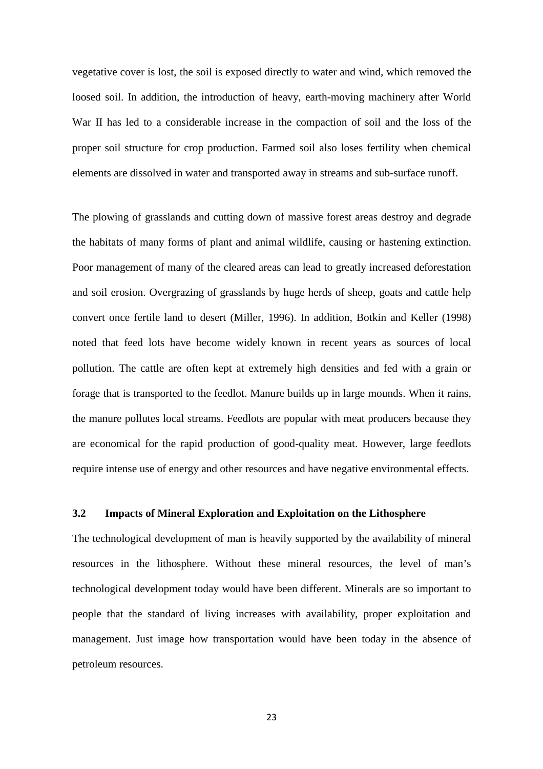vegetative cover is lost, the soil is exposed directly to water and wind, which removed the loosed soil. In addition, the introduction of heavy, earth-moving machinery after World War II has led to a considerable increase in the compaction of soil and the loss of the proper soil structure for crop production. Farmed soil also loses fertility when chemical elements are dissolved in water and transported away in streams and sub-surface runoff.

The plowing of grasslands and cutting down of massive forest areas destroy and degrade the habitats of many forms of plant and animal wildlife, causing or hastening extinction. Poor management of many of the cleared areas can lead to greatly increased deforestation and soil erosion. Overgrazing of grasslands by huge herds of sheep, goats and cattle help convert once fertile land to desert (Miller, 1996). In addition, Botkin and Keller (1998) noted that feed lots have become widely known in recent years as sources of local pollution. The cattle are often kept at extremely high densities and fed with a grain or forage that is transported to the feedlot. Manure builds up in large mounds. When it rains, the manure pollutes local streams. Feedlots are popular with meat producers because they are economical for the rapid production of good-quality meat. However, large feedlots require intense use of energy and other resources and have negative environmental effects.

#### **3.2 Impacts of Mineral Exploration and Exploitation on the Lithosphere**

The technological development of man is heavily supported by the availability of mineral resources in the lithosphere. Without these mineral resources, the level of man's technological development today would have been different. Minerals are so important to people that the standard of living increases with availability, proper exploitation and management. Just image how transportation would have been today in the absence of petroleum resources.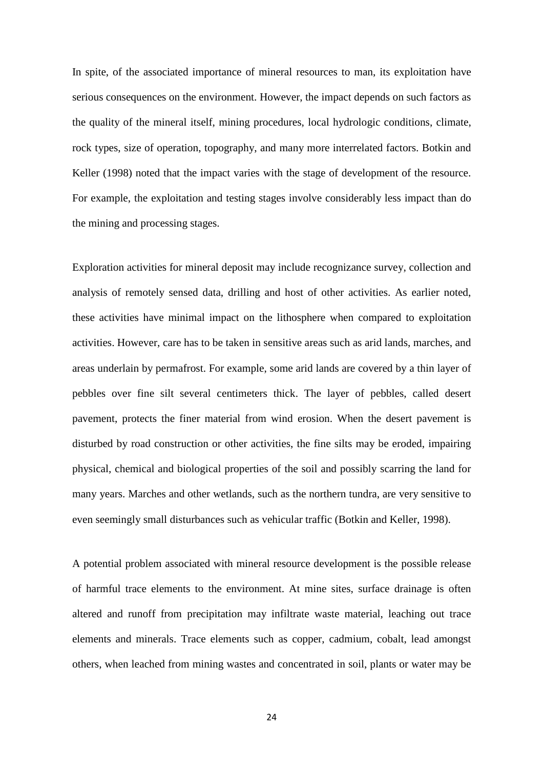In spite, of the associated importance of mineral resources to man, its exploitation have serious consequences on the environment. However, the impact depends on such factors as the quality of the mineral itself, mining procedures, local hydrologic conditions, climate, rock types, size of operation, topography, and many more interrelated factors. Botkin and Keller (1998) noted that the impact varies with the stage of development of the resource. For example, the exploitation and testing stages involve considerably less impact than do the mining and processing stages.

Exploration activities for mineral deposit may include recognizance survey, collection and analysis of remotely sensed data, drilling and host of other activities. As earlier noted, these activities have minimal impact on the lithosphere when compared to exploitation activities. However, care has to be taken in sensitive areas such as arid lands, marches, and areas underlain by permafrost. For example, some arid lands are covered by a thin layer of pebbles over fine silt several centimeters thick. The layer of pebbles, called desert pavement, protects the finer material from wind erosion. When the desert pavement is disturbed by road construction or other activities, the fine silts may be eroded, impairing physical, chemical and biological properties of the soil and possibly scarring the land for many years. Marches and other wetlands, such as the northern tundra, are very sensitive to even seemingly small disturbances such as vehicular traffic (Botkin and Keller, 1998).

A potential problem associated with mineral resource development is the possible release of harmful trace elements to the environment. At mine sites, surface drainage is often altered and runoff from precipitation may infiltrate waste material, leaching out trace elements and minerals. Trace elements such as copper, cadmium, cobalt, lead amongst others, when leached from mining wastes and concentrated in soil, plants or water may be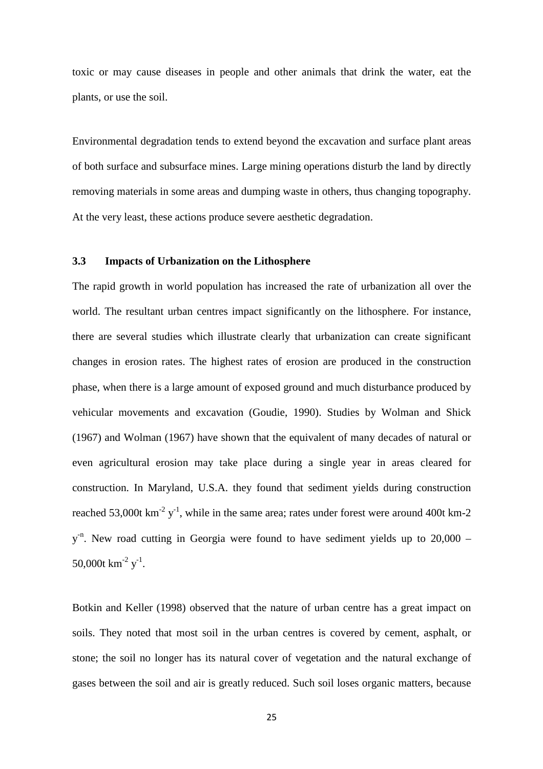toxic or may cause diseases in people and other animals that drink the water, eat the plants, or use the soil.

Environmental degradation tends to extend beyond the excavation and surface plant areas of both surface and subsurface mines. Large mining operations disturb the land by directly removing materials in some areas and dumping waste in others, thus changing topography. At the very least, these actions produce severe aesthetic degradation.

#### **3.3 Impacts of Urbanization on the Lithosphere**

The rapid growth in world population has increased the rate of urbanization all over the world. The resultant urban centres impact significantly on the lithosphere. For instance, there are several studies which illustrate clearly that urbanization can create significant changes in erosion rates. The highest rates of erosion are produced in the construction phase, when there is a large amount of exposed ground and much disturbance produced by vehicular movements and excavation (Goudie, 1990). Studies by Wolman and Shick (1967) and Wolman (1967) have shown that the equivalent of many decades of natural or even agricultural erosion may take place during a single year in areas cleared for construction. In Maryland, U.S.A. they found that sediment yields during construction reached 53,000t  $\text{km}^{-2}$  y<sup>-1</sup>, while in the same area; rates under forest were around 400t km-2  $y<sup>-n</sup>$ . New road cutting in Georgia were found to have sediment yields up to 20,000 – 50,000t  $\text{km}^{\text{-2}} \text{ y}^{\text{-1}}$ .

Botkin and Keller (1998) observed that the nature of urban centre has a great impact on soils. They noted that most soil in the urban centres is covered by cement, asphalt, or stone; the soil no longer has its natural cover of vegetation and the natural exchange of gases between the soil and air is greatly reduced. Such soil loses organic matters, because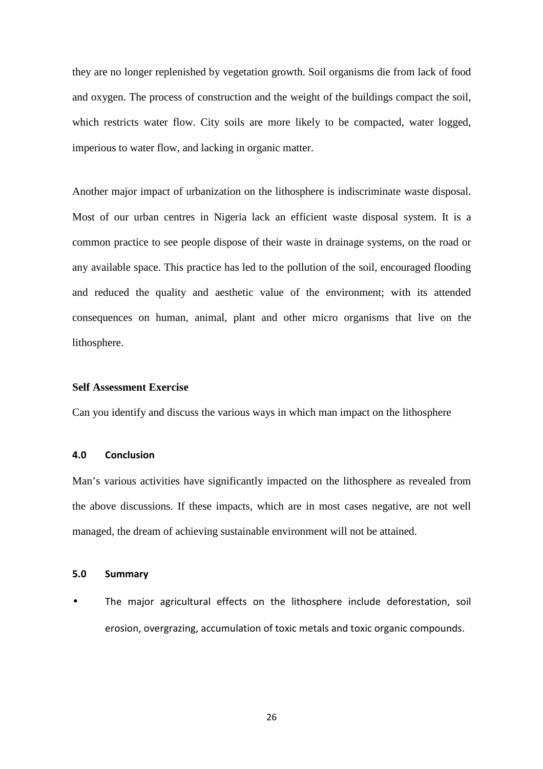they are no longer replenished by vegetation growth. Soil organisms die from lack of food and oxygen. The process of construction and the weight of the buildings compact the soil, which restricts water flow. City soils are more likely to be compacted, water logged, imperious to water flow, and lacking in organic matter.

Another major impact of urbanization on the lithosphere is indiscriminate waste disposal. Most of our urban centres in Nigeria lack an efficient waste disposal system. It is a common practice to see people dispose of their waste in drainage systems, on the road or any available space. This practice has led to the pollution of the soil, encouraged flooding and reduced the quality and aesthetic value of the environment; with its attended consequences on human, animal, plant and other micro organisms that live on the lithosphere.

#### **Self Assessment Exercise**

Can you identify and discuss the various ways in which man impact on the lithosphere

#### **4.0 Conclusion**

Man's various activities have significantly impacted on the lithosphere as revealed from the above discussions. If these impacts, which are in most cases negative, are not well managed, the dream of achieving sustainable environment will not be attained.

#### **5.0 Summary**

• The major agricultural effects on the lithosphere include deforestation, soil erosion, overgrazing, accumulation of toxic metals and toxic organic compounds.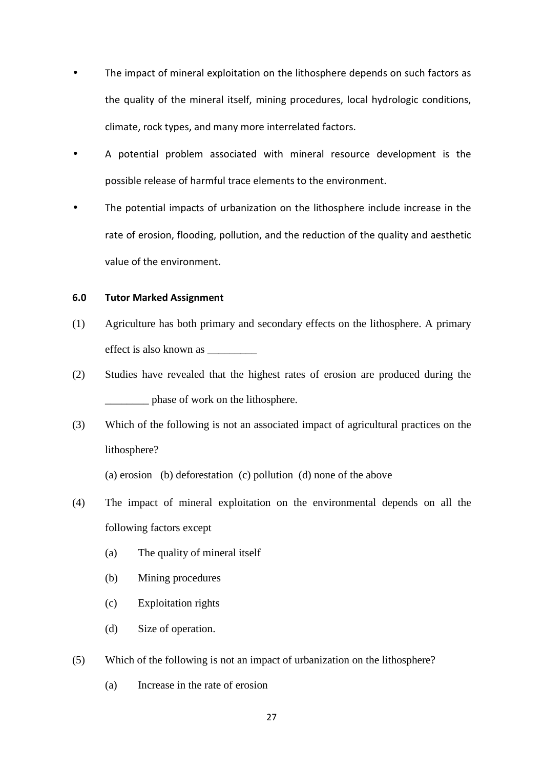- The impact of mineral exploitation on the lithosphere depends on such factors as the quality of the mineral itself, mining procedures, local hydrologic conditions, climate, rock types, and many more interrelated factors.
- A potential problem associated with mineral resource development is the possible release of harmful trace elements to the environment.
- The potential impacts of urbanization on the lithosphere include increase in the rate of erosion, flooding, pollution, and the reduction of the quality and aesthetic value of the environment.

#### **6.0 Tutor Marked Assignment**

- (1) Agriculture has both primary and secondary effects on the lithosphere. A primary effect is also known as \_\_\_\_\_\_\_\_\_
- (2) Studies have revealed that the highest rates of erosion are produced during the \_\_\_\_\_\_\_\_ phase of work on the lithosphere.
- (3) Which of the following is not an associated impact of agricultural practices on the lithosphere?

(a) erosion (b) deforestation (c) pollution (d) none of the above

- (4) The impact of mineral exploitation on the environmental depends on all the following factors except
	- (a) The quality of mineral itself
	- (b) Mining procedures
	- (c) Exploitation rights
	- (d) Size of operation.

(5) Which of the following is not an impact of urbanization on the lithosphere?

(a) Increase in the rate of erosion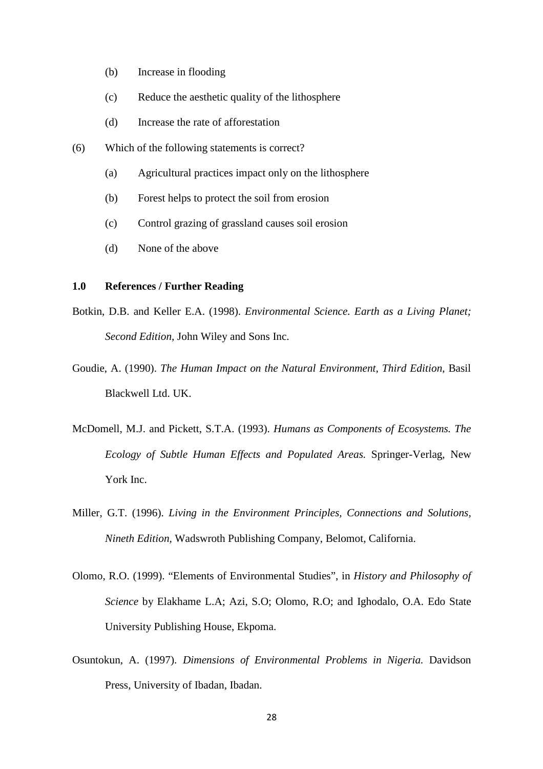- (b) Increase in flooding
- (c) Reduce the aesthetic quality of the lithosphere
- (d) Increase the rate of afforestation
- (6) Which of the following statements is correct?
	- (a) Agricultural practices impact only on the lithosphere
	- (b) Forest helps to protect the soil from erosion
	- (c) Control grazing of grassland causes soil erosion
	- (d) None of the above

#### **1.0 References / Further Reading**

- Botkin, D.B. and Keller E.A. (1998). *Environmental Science. Earth as a Living Planet; Second Edition,* John Wiley and Sons Inc.
- Goudie, A. (1990). *The Human Impact on the Natural Environment, Third Edition*, Basil Blackwell Ltd. UK.
- McDomell, M.J. and Pickett, S.T.A. (1993). *Humans as Components of Ecosystems. The Ecology of Subtle Human Effects and Populated Areas.* Springer-Verlag, New York Inc.
- Miller, G.T. (1996). *Living in the Environment Principles, Connections and Solutions, Nineth Edition,* Wadswroth Publishing Company, Belomot, California.
- Olomo, R.O. (1999). "Elements of Environmental Studies", in *History and Philosophy of Science* by Elakhame L.A; Azi, S.O; Olomo, R.O; and Ighodalo, O.A. Edo State University Publishing House, Ekpoma.
- Osuntokun, A. (1997). *Dimensions of Environmental Problems in Nigeria.* Davidson Press, University of Ibadan, Ibadan.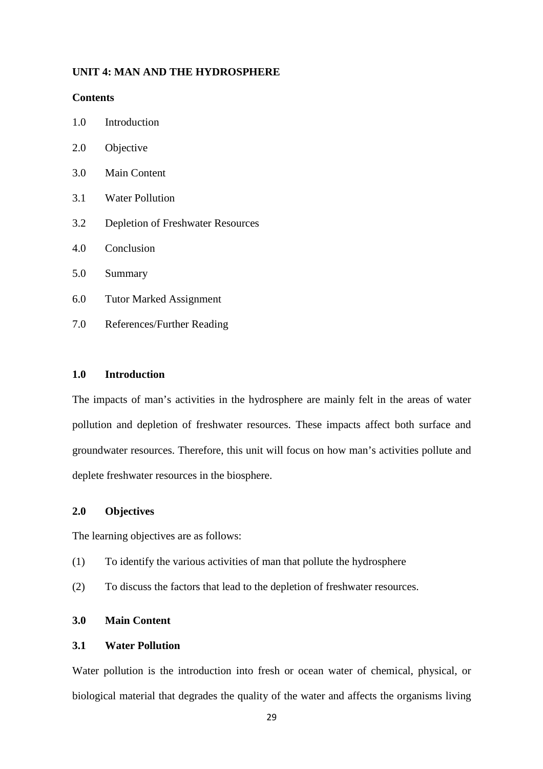#### **UNIT 4: MAN AND THE HYDROSPHERE**

#### **Contents**

- 1.0 Introduction
- 2.0 Objective
- 3.0 Main Content
- 3.1 Water Pollution
- 3.2 Depletion of Freshwater Resources
- 4.0 Conclusion
- 5.0 Summary
- 6.0 Tutor Marked Assignment
- 7.0 References/Further Reading

#### **1.0 Introduction**

The impacts of man's activities in the hydrosphere are mainly felt in the areas of water pollution and depletion of freshwater resources. These impacts affect both surface and groundwater resources. Therefore, this unit will focus on how man's activities pollute and deplete freshwater resources in the biosphere.

#### **2.0 Objectives**

The learning objectives are as follows:

- (1) To identify the various activities of man that pollute the hydrosphere
- (2) To discuss the factors that lead to the depletion of freshwater resources.

# **3.0 Main Content**

# **3.1 Water Pollution**

Water pollution is the introduction into fresh or ocean water of chemical, physical, or biological material that degrades the quality of the water and affects the organisms living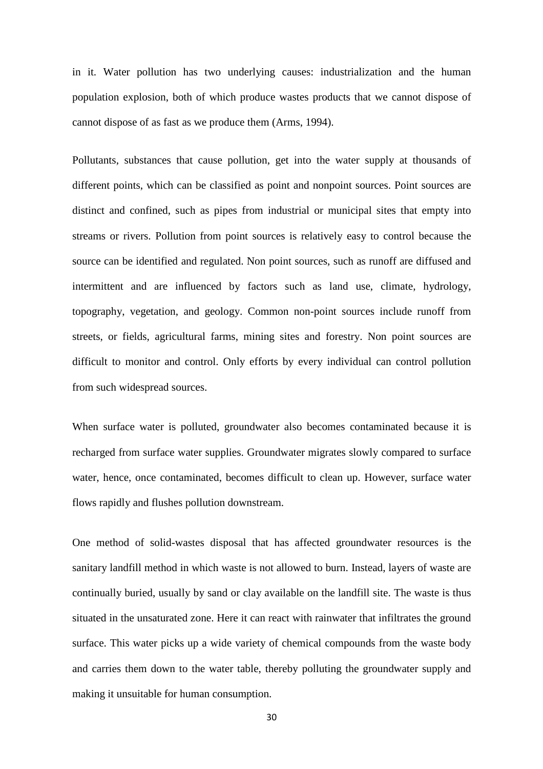in it. Water pollution has two underlying causes: industrialization and the human population explosion, both of which produce wastes products that we cannot dispose of cannot dispose of as fast as we produce them (Arms, 1994).

Pollutants, substances that cause pollution, get into the water supply at thousands of different points, which can be classified as point and nonpoint sources. Point sources are distinct and confined, such as pipes from industrial or municipal sites that empty into streams or rivers. Pollution from point sources is relatively easy to control because the source can be identified and regulated. Non point sources, such as runoff are diffused and intermittent and are influenced by factors such as land use, climate, hydrology, topography, vegetation, and geology. Common non-point sources include runoff from streets, or fields, agricultural farms, mining sites and forestry. Non point sources are difficult to monitor and control. Only efforts by every individual can control pollution from such widespread sources.

When surface water is polluted, groundwater also becomes contaminated because it is recharged from surface water supplies. Groundwater migrates slowly compared to surface water, hence, once contaminated, becomes difficult to clean up. However, surface water flows rapidly and flushes pollution downstream.

One method of solid-wastes disposal that has affected groundwater resources is the sanitary landfill method in which waste is not allowed to burn. Instead, layers of waste are continually buried, usually by sand or clay available on the landfill site. The waste is thus situated in the unsaturated zone. Here it can react with rainwater that infiltrates the ground surface. This water picks up a wide variety of chemical compounds from the waste body and carries them down to the water table, thereby polluting the groundwater supply and making it unsuitable for human consumption.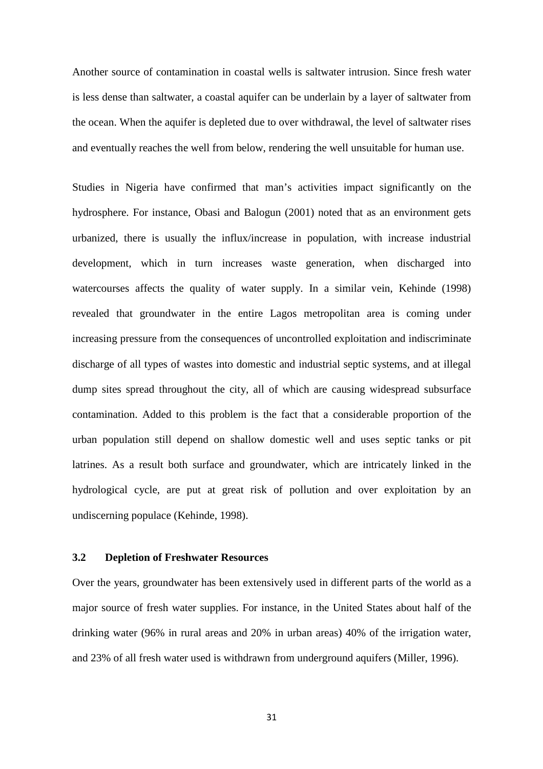Another source of contamination in coastal wells is saltwater intrusion. Since fresh water is less dense than saltwater, a coastal aquifer can be underlain by a layer of saltwater from the ocean. When the aquifer is depleted due to over withdrawal, the level of saltwater rises and eventually reaches the well from below, rendering the well unsuitable for human use.

Studies in Nigeria have confirmed that man's activities impact significantly on the hydrosphere. For instance, Obasi and Balogun (2001) noted that as an environment gets urbanized, there is usually the influx/increase in population, with increase industrial development, which in turn increases waste generation, when discharged into watercourses affects the quality of water supply. In a similar vein, Kehinde (1998) revealed that groundwater in the entire Lagos metropolitan area is coming under increasing pressure from the consequences of uncontrolled exploitation and indiscriminate discharge of all types of wastes into domestic and industrial septic systems, and at illegal dump sites spread throughout the city, all of which are causing widespread subsurface contamination. Added to this problem is the fact that a considerable proportion of the urban population still depend on shallow domestic well and uses septic tanks or pit latrines. As a result both surface and groundwater, which are intricately linked in the hydrological cycle, are put at great risk of pollution and over exploitation by an undiscerning populace (Kehinde, 1998).

# **3.2 Depletion of Freshwater Resources**

Over the years, groundwater has been extensively used in different parts of the world as a major source of fresh water supplies. For instance, in the United States about half of the drinking water (96% in rural areas and 20% in urban areas) 40% of the irrigation water, and 23% of all fresh water used is withdrawn from underground aquifers (Miller, 1996).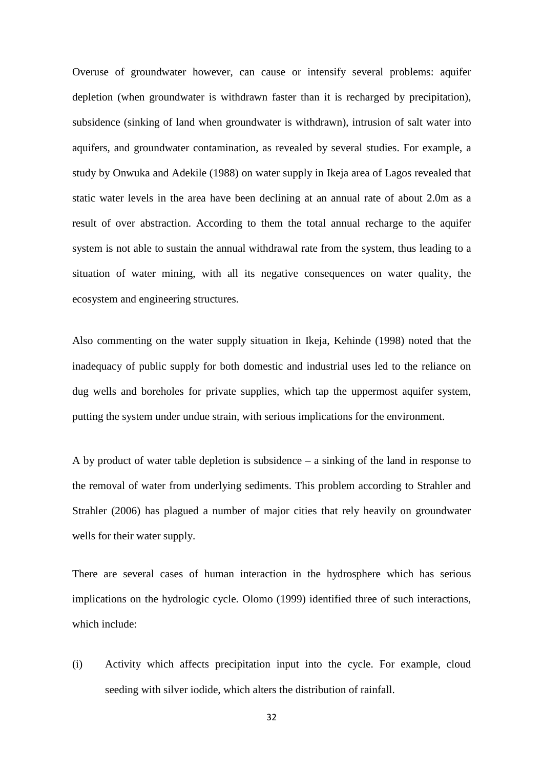Overuse of groundwater however, can cause or intensify several problems: aquifer depletion (when groundwater is withdrawn faster than it is recharged by precipitation), subsidence (sinking of land when groundwater is withdrawn), intrusion of salt water into aquifers, and groundwater contamination, as revealed by several studies. For example, a study by Onwuka and Adekile (1988) on water supply in Ikeja area of Lagos revealed that static water levels in the area have been declining at an annual rate of about 2.0m as a result of over abstraction. According to them the total annual recharge to the aquifer system is not able to sustain the annual withdrawal rate from the system, thus leading to a situation of water mining, with all its negative consequences on water quality, the ecosystem and engineering structures.

Also commenting on the water supply situation in Ikeja, Kehinde (1998) noted that the inadequacy of public supply for both domestic and industrial uses led to the reliance on dug wells and boreholes for private supplies, which tap the uppermost aquifer system, putting the system under undue strain, with serious implications for the environment.

A by product of water table depletion is subsidence – a sinking of the land in response to the removal of water from underlying sediments. This problem according to Strahler and Strahler (2006) has plagued a number of major cities that rely heavily on groundwater wells for their water supply.

There are several cases of human interaction in the hydrosphere which has serious implications on the hydrologic cycle. Olomo (1999) identified three of such interactions, which include:

(i) Activity which affects precipitation input into the cycle. For example, cloud seeding with silver iodide, which alters the distribution of rainfall.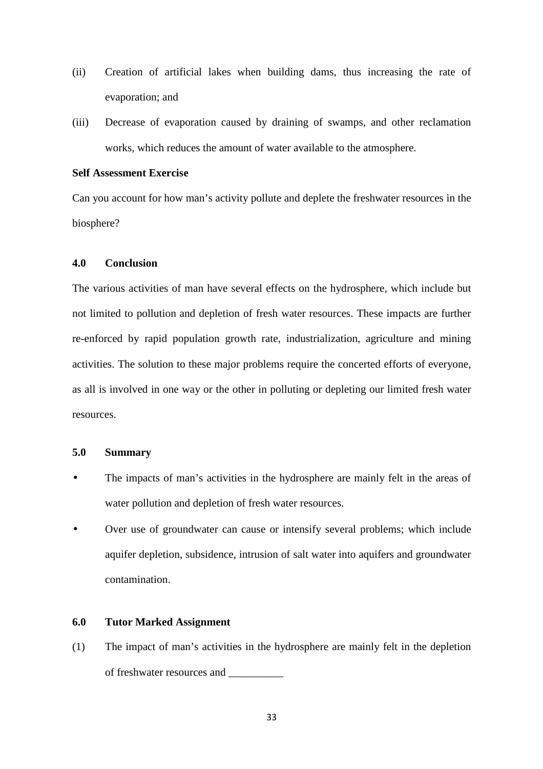- (ii) Creation of artificial lakes when building dams, thus increasing the rate of evaporation; and
- (iii) Decrease of evaporation caused by draining of swamps, and other reclamation works, which reduces the amount of water available to the atmosphere.

#### **Self Assessment Exercise**

Can you account for how man's activity pollute and deplete the freshwater resources in the biosphere?

#### **4.0 Conclusion**

The various activities of man have several effects on the hydrosphere, which include but not limited to pollution and depletion of fresh water resources. These impacts are further re-enforced by rapid population growth rate, industrialization, agriculture and mining activities. The solution to these major problems require the concerted efforts of everyone, as all is involved in one way or the other in polluting or depleting our limited fresh water resources.

#### **5.0 Summary**

- The impacts of man's activities in the hydrosphere are mainly felt in the areas of water pollution and depletion of fresh water resources.
- Over use of groundwater can cause or intensify several problems; which include aquifer depletion, subsidence, intrusion of salt water into aquifers and groundwater contamination.

#### **6.0 Tutor Marked Assignment**

(1) The impact of man's activities in the hydrosphere are mainly felt in the depletion of freshwater resources and \_\_\_\_\_\_\_\_\_\_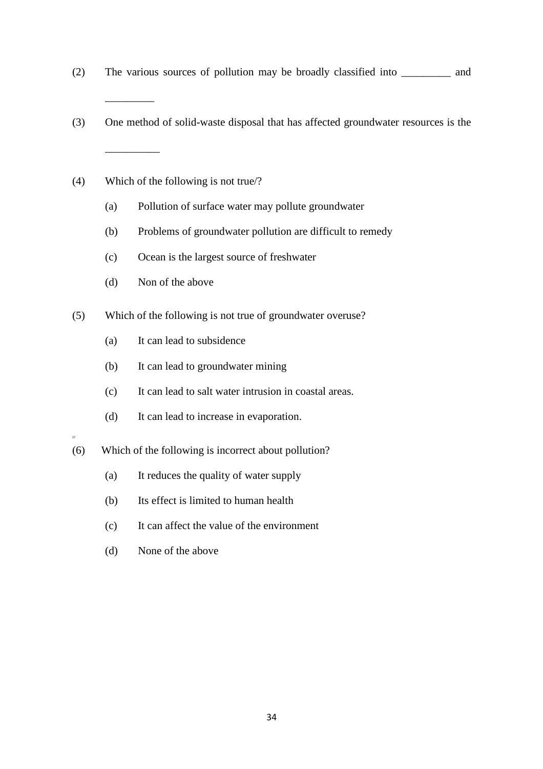- (2) The various sources of pollution may be broadly classified into \_\_\_\_\_\_\_\_\_ and
- (3) One method of solid-waste disposal that has affected groundwater resources is the \_\_\_\_\_\_\_\_\_\_
- (4) Which of the following is not true/?

 $\overline{\phantom{a}}$  . The set of  $\overline{\phantom{a}}$ 

- (a) Pollution of surface water may pollute groundwater
- (b) Problems of groundwater pollution are difficult to remedy
- (c) Ocean is the largest source of freshwater
- (d) Non of the above
- (5) Which of the following is not true of groundwater overuse?
	- (a) It can lead to subsidence
	- (b) It can lead to groundwater mining
	- (c) It can lead to salt water intrusion in coastal areas.
	- (d) It can lead to increase in evaporation.
- **///**
- (6) Which of the following is incorrect about pollution?
	- (a) It reduces the quality of water supply
	- (b) Its effect is limited to human health
	- (c) It can affect the value of the environment
	- (d) None of the above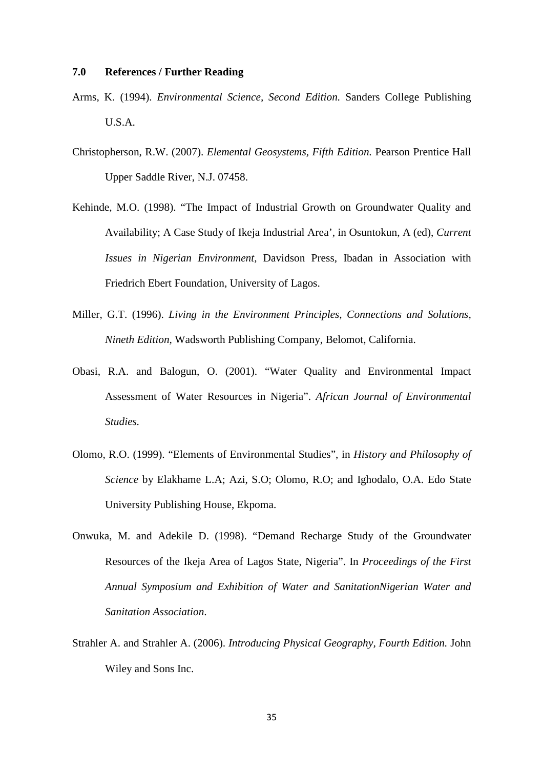#### **7.0 References / Further Reading**

- Arms, K. (1994). *Environmental Science, Second Edition.* Sanders College Publishing U.S.A.
- Christopherson, R.W. (2007). *Elemental Geosystems, Fifth Edition.* Pearson Prentice Hall Upper Saddle River, N.J. 07458.
- Kehinde, M.O. (1998). "The Impact of Industrial Growth on Groundwater Quality and Availability; A Case Study of Ikeja Industrial Area', in Osuntokun, A (ed), *Current Issues in Nigerian Environment,* Davidson Press, Ibadan in Association with Friedrich Ebert Foundation, University of Lagos.
- Miller, G.T. (1996). *Living in the Environment Principles, Connections and Solutions, Nineth Edition,* Wadsworth Publishing Company, Belomot, California.
- Obasi, R.A. and Balogun, O. (2001). "Water Quality and Environmental Impact Assessment of Water Resources in Nigeria". *African Journal of Environmental Studies.*
- Olomo, R.O. (1999). "Elements of Environmental Studies", in *History and Philosophy of Science* by Elakhame L.A; Azi, S.O; Olomo, R.O; and Ighodalo, O.A. Edo State University Publishing House, Ekpoma.
- Onwuka, M. and Adekile D. (1998). "Demand Recharge Study of the Groundwater Resources of the Ikeja Area of Lagos State, Nigeria". In *Proceedings of the First Annual Symposium and Exhibition of Water and SanitationNigerian Water and Sanitation Association*.
- Strahler A. and Strahler A. (2006). *Introducing Physical Geography, Fourth Edition.* John Wiley and Sons Inc.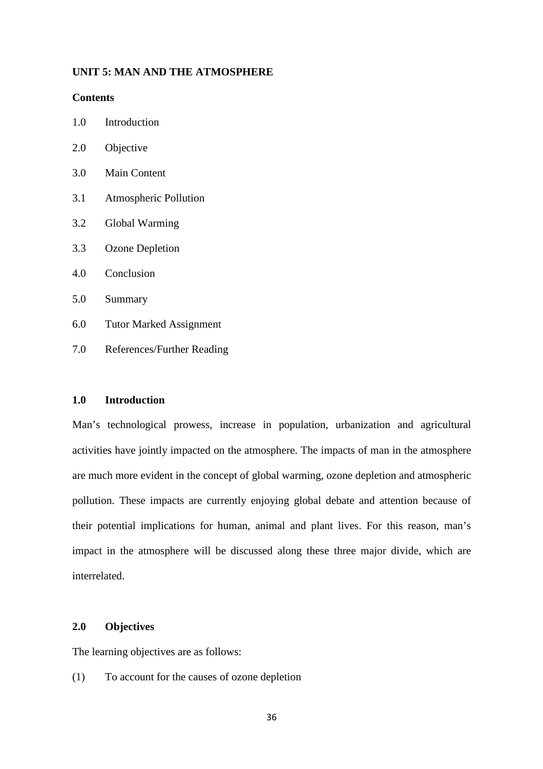#### **UNIT 5: MAN AND THE ATMOSPHERE**

#### **Contents**

| 1.0<br>Introduction |
|---------------------|
|---------------------|

- 2.0 Objective
- 3.0 Main Content
- 3.1 Atmospheric Pollution
- 3.2 Global Warming
- 3.3 Ozone Depletion
- 4.0 Conclusion
- 5.0 Summary
- 6.0 Tutor Marked Assignment
- 7.0 References/Further Reading

#### **1.0 Introduction**

Man's technological prowess, increase in population, urbanization and agricultural activities have jointly impacted on the atmosphere. The impacts of man in the atmosphere are much more evident in the concept of global warming, ozone depletion and atmospheric pollution. These impacts are currently enjoying global debate and attention because of their potential implications for human, animal and plant lives. For this reason, man's impact in the atmosphere will be discussed along these three major divide, which are interrelated.

# **2.0 Objectives**

The learning objectives are as follows:

(1) To account for the causes of ozone depletion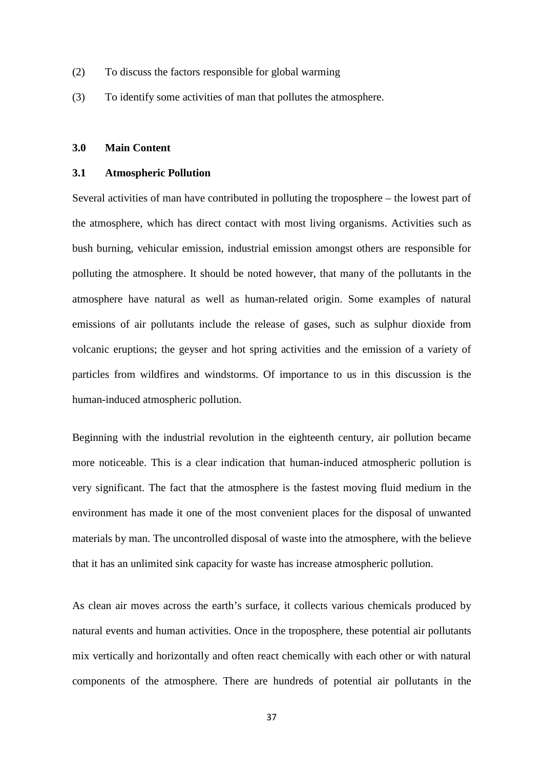- (2) To discuss the factors responsible for global warming
- (3) To identify some activities of man that pollutes the atmosphere.

#### **3.0 Main Content**

#### **3.1 Atmospheric Pollution**

Several activities of man have contributed in polluting the troposphere – the lowest part of the atmosphere, which has direct contact with most living organisms. Activities such as bush burning, vehicular emission, industrial emission amongst others are responsible for polluting the atmosphere. It should be noted however, that many of the pollutants in the atmosphere have natural as well as human-related origin. Some examples of natural emissions of air pollutants include the release of gases, such as sulphur dioxide from volcanic eruptions; the geyser and hot spring activities and the emission of a variety of particles from wildfires and windstorms. Of importance to us in this discussion is the human-induced atmospheric pollution.

Beginning with the industrial revolution in the eighteenth century, air pollution became more noticeable. This is a clear indication that human-induced atmospheric pollution is very significant. The fact that the atmosphere is the fastest moving fluid medium in the environment has made it one of the most convenient places for the disposal of unwanted materials by man. The uncontrolled disposal of waste into the atmosphere, with the believe that it has an unlimited sink capacity for waste has increase atmospheric pollution.

As clean air moves across the earth's surface, it collects various chemicals produced by natural events and human activities. Once in the troposphere, these potential air pollutants mix vertically and horizontally and often react chemically with each other or with natural components of the atmosphere. There are hundreds of potential air pollutants in the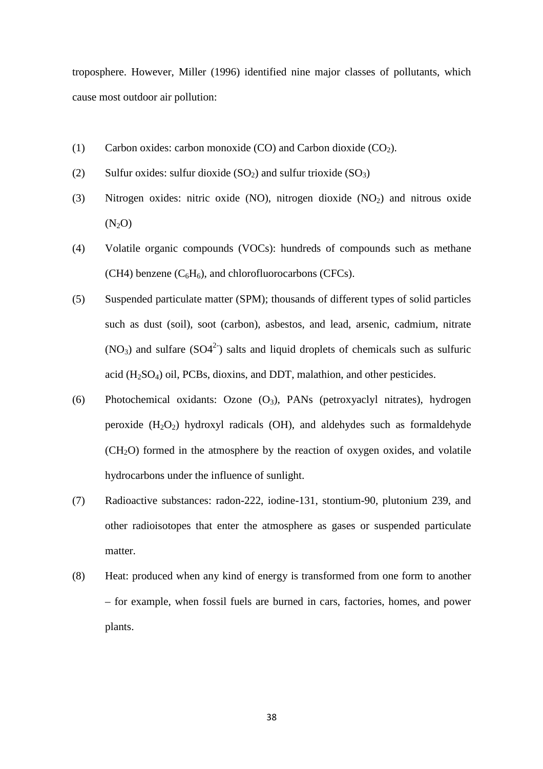troposphere. However, Miller (1996) identified nine major classes of pollutants, which cause most outdoor air pollution:

- (1) Carbon oxides: carbon monoxide (CO) and Carbon dioxide  $(CO_2)$ .
- (2) Sulfur oxides: sulfur dioxide  $(SO_2)$  and sulfur trioxide  $(SO_3)$
- (3) Nitrogen oxides: nitric oxide (NO), nitrogen dioxide  $(NO<sub>2</sub>)$  and nitrous oxide  $(N_2O)$
- (4) Volatile organic compounds (VOCs): hundreds of compounds such as methane (CH4) benzene  $(C_6H_6)$ , and chlorofluorocarbons (CFCs).
- (5) Suspended particulate matter (SPM); thousands of different types of solid particles such as dust (soil), soot (carbon), asbestos, and lead, arsenic, cadmium, nitrate  $(NO_3)$  and sulfare  $(SO4^2)$  salts and liquid droplets of chemicals such as sulfuric acid (H2SO4) oil, PCBs, dioxins, and DDT, malathion, and other pesticides.
- (6) Photochemical oxidants: Ozone  $(O_3)$ , PANs (petroxyaclyl nitrates), hydrogen peroxide  $(H_2O_2)$  hydroxyl radicals  $(OH)$ , and aldehydes such as formaldehyde  $(CH<sub>2</sub>O)$  formed in the atmosphere by the reaction of oxygen oxides, and volatile hydrocarbons under the influence of sunlight.
- (7) Radioactive substances: radon-222, iodine-131, stontium-90, plutonium 239, and other radioisotopes that enter the atmosphere as gases or suspended particulate matter.
- (8) Heat: produced when any kind of energy is transformed from one form to another – for example, when fossil fuels are burned in cars, factories, homes, and power plants.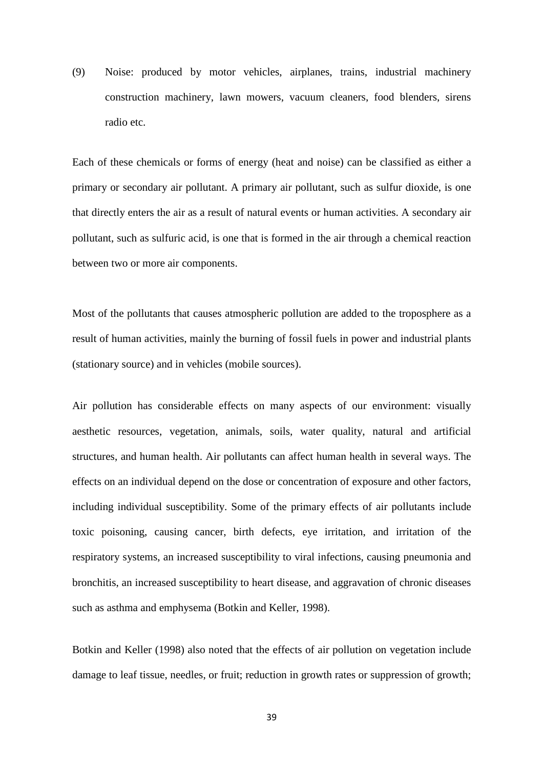(9) Noise: produced by motor vehicles, airplanes, trains, industrial machinery construction machinery, lawn mowers, vacuum cleaners, food blenders, sirens radio etc.

Each of these chemicals or forms of energy (heat and noise) can be classified as either a primary or secondary air pollutant. A primary air pollutant, such as sulfur dioxide, is one that directly enters the air as a result of natural events or human activities. A secondary air pollutant, such as sulfuric acid, is one that is formed in the air through a chemical reaction between two or more air components.

Most of the pollutants that causes atmospheric pollution are added to the troposphere as a result of human activities, mainly the burning of fossil fuels in power and industrial plants (stationary source) and in vehicles (mobile sources).

Air pollution has considerable effects on many aspects of our environment: visually aesthetic resources, vegetation, animals, soils, water quality, natural and artificial structures, and human health. Air pollutants can affect human health in several ways. The effects on an individual depend on the dose or concentration of exposure and other factors, including individual susceptibility. Some of the primary effects of air pollutants include toxic poisoning, causing cancer, birth defects, eye irritation, and irritation of the respiratory systems, an increased susceptibility to viral infections, causing pneumonia and bronchitis, an increased susceptibility to heart disease, and aggravation of chronic diseases such as asthma and emphysema (Botkin and Keller, 1998).

Botkin and Keller (1998) also noted that the effects of air pollution on vegetation include damage to leaf tissue, needles, or fruit; reduction in growth rates or suppression of growth;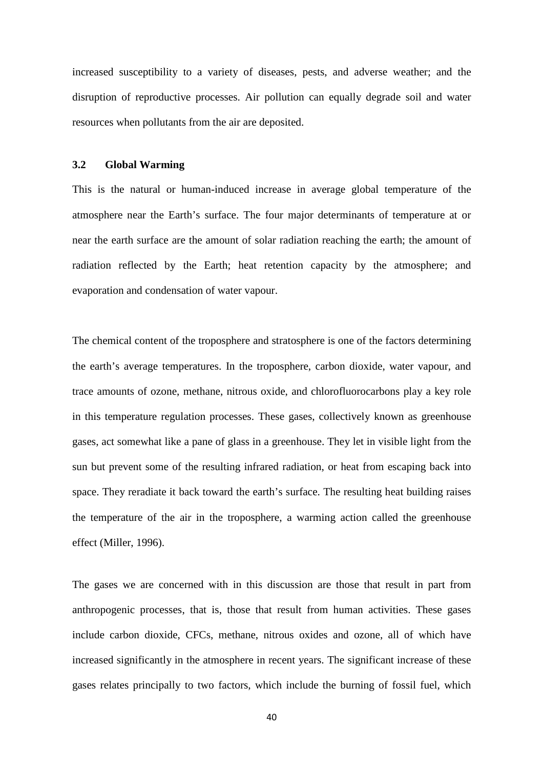increased susceptibility to a variety of diseases, pests, and adverse weather; and the disruption of reproductive processes. Air pollution can equally degrade soil and water resources when pollutants from the air are deposited.

#### **3.2 Global Warming**

This is the natural or human-induced increase in average global temperature of the atmosphere near the Earth's surface. The four major determinants of temperature at or near the earth surface are the amount of solar radiation reaching the earth; the amount of radiation reflected by the Earth; heat retention capacity by the atmosphere; and evaporation and condensation of water vapour.

The chemical content of the troposphere and stratosphere is one of the factors determining the earth's average temperatures. In the troposphere, carbon dioxide, water vapour, and trace amounts of ozone, methane, nitrous oxide, and chlorofluorocarbons play a key role in this temperature regulation processes. These gases, collectively known as greenhouse gases, act somewhat like a pane of glass in a greenhouse. They let in visible light from the sun but prevent some of the resulting infrared radiation, or heat from escaping back into space. They reradiate it back toward the earth's surface. The resulting heat building raises the temperature of the air in the troposphere, a warming action called the greenhouse effect (Miller, 1996).

The gases we are concerned with in this discussion are those that result in part from anthropogenic processes, that is, those that result from human activities. These gases include carbon dioxide, CFCs, methane, nitrous oxides and ozone, all of which have increased significantly in the atmosphere in recent years. The significant increase of these gases relates principally to two factors, which include the burning of fossil fuel, which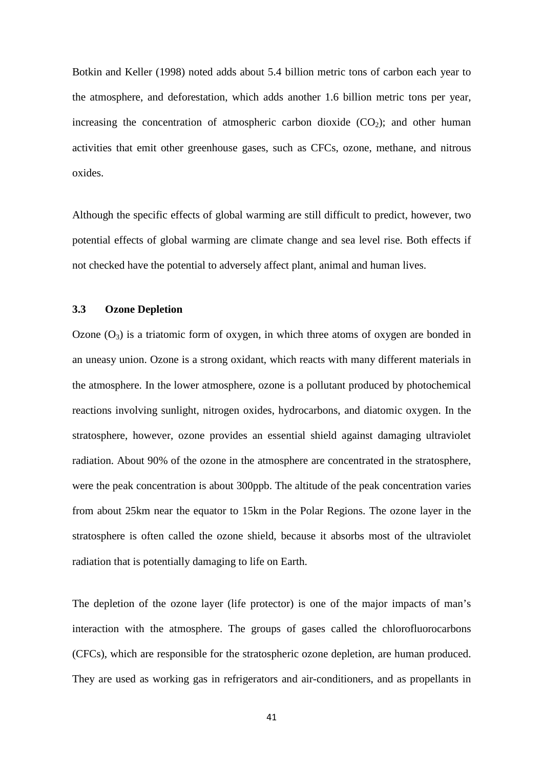Botkin and Keller (1998) noted adds about 5.4 billion metric tons of carbon each year to the atmosphere, and deforestation, which adds another 1.6 billion metric tons per year, increasing the concentration of atmospheric carbon dioxide  $(CO<sub>2</sub>)$ ; and other human activities that emit other greenhouse gases, such as CFCs, ozone, methane, and nitrous oxides.

Although the specific effects of global warming are still difficult to predict, however, two potential effects of global warming are climate change and sea level rise. Both effects if not checked have the potential to adversely affect plant, animal and human lives.

## **3.3 Ozone Depletion**

Ozone  $(O_3)$  is a triatomic form of oxygen, in which three atoms of oxygen are bonded in an uneasy union. Ozone is a strong oxidant, which reacts with many different materials in the atmosphere. In the lower atmosphere, ozone is a pollutant produced by photochemical reactions involving sunlight, nitrogen oxides, hydrocarbons, and diatomic oxygen. In the stratosphere, however, ozone provides an essential shield against damaging ultraviolet radiation. About 90% of the ozone in the atmosphere are concentrated in the stratosphere, were the peak concentration is about 300ppb. The altitude of the peak concentration varies from about 25km near the equator to 15km in the Polar Regions. The ozone layer in the stratosphere is often called the ozone shield, because it absorbs most of the ultraviolet radiation that is potentially damaging to life on Earth.

The depletion of the ozone layer (life protector) is one of the major impacts of man's interaction with the atmosphere. The groups of gases called the chlorofluorocarbons (CFCs), which are responsible for the stratospheric ozone depletion, are human produced. They are used as working gas in refrigerators and air-conditioners, and as propellants in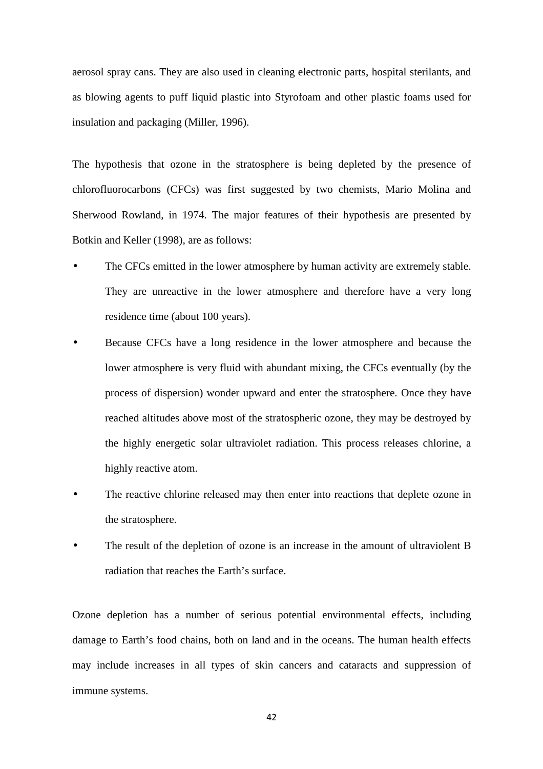aerosol spray cans. They are also used in cleaning electronic parts, hospital sterilants, and as blowing agents to puff liquid plastic into Styrofoam and other plastic foams used for insulation and packaging (Miller, 1996).

The hypothesis that ozone in the stratosphere is being depleted by the presence of chlorofluorocarbons (CFCs) was first suggested by two chemists, Mario Molina and Sherwood Rowland, in 1974. The major features of their hypothesis are presented by Botkin and Keller (1998), are as follows:

- The CFCs emitted in the lower atmosphere by human activity are extremely stable. They are unreactive in the lower atmosphere and therefore have a very long residence time (about 100 years).
- Because CFCs have a long residence in the lower atmosphere and because the lower atmosphere is very fluid with abundant mixing, the CFCs eventually (by the process of dispersion) wonder upward and enter the stratosphere. Once they have reached altitudes above most of the stratospheric ozone, they may be destroyed by the highly energetic solar ultraviolet radiation. This process releases chlorine, a highly reactive atom.
- The reactive chlorine released may then enter into reactions that deplete ozone in the stratosphere.
- The result of the depletion of ozone is an increase in the amount of ultraviolent B radiation that reaches the Earth's surface.

Ozone depletion has a number of serious potential environmental effects, including damage to Earth's food chains, both on land and in the oceans. The human health effects may include increases in all types of skin cancers and cataracts and suppression of immune systems.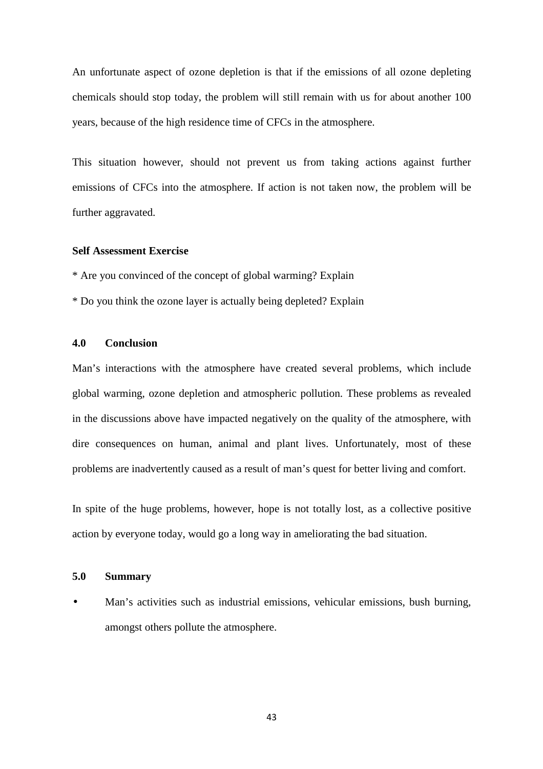An unfortunate aspect of ozone depletion is that if the emissions of all ozone depleting chemicals should stop today, the problem will still remain with us for about another 100 years, because of the high residence time of CFCs in the atmosphere.

This situation however, should not prevent us from taking actions against further emissions of CFCs into the atmosphere. If action is not taken now, the problem will be further aggravated.

## **Self Assessment Exercise**

\* Are you convinced of the concept of global warming? Explain

\* Do you think the ozone layer is actually being depleted? Explain

## **4.0 Conclusion**

Man's interactions with the atmosphere have created several problems, which include global warming, ozone depletion and atmospheric pollution. These problems as revealed in the discussions above have impacted negatively on the quality of the atmosphere, with dire consequences on human, animal and plant lives. Unfortunately, most of these problems are inadvertently caused as a result of man's quest for better living and comfort.

In spite of the huge problems, however, hope is not totally lost, as a collective positive action by everyone today, would go a long way in ameliorating the bad situation.

#### **5.0 Summary**

• Man's activities such as industrial emissions, vehicular emissions, bush burning, amongst others pollute the atmosphere.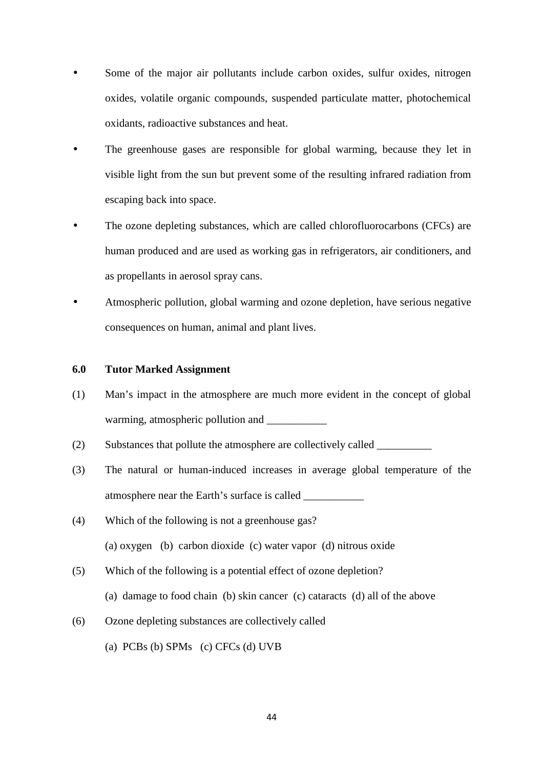- Some of the major air pollutants include carbon oxides, sulfur oxides, nitrogen oxides, volatile organic compounds, suspended particulate matter, photochemical oxidants, radioactive substances and heat.
- The greenhouse gases are responsible for global warming, because they let in visible light from the sun but prevent some of the resulting infrared radiation from escaping back into space.
- The ozone depleting substances, which are called chlorofluorocarbons (CFCs) are human produced and are used as working gas in refrigerators, air conditioners, and as propellants in aerosol spray cans.
- Atmospheric pollution, global warming and ozone depletion, have serious negative consequences on human, animal and plant lives.

#### **6.0 Tutor Marked Assignment**

- (1) Man's impact in the atmosphere are much more evident in the concept of global warming, atmospheric pollution and \_\_\_\_\_\_\_\_\_\_\_
- (2) Substances that pollute the atmosphere are collectively called \_\_\_\_\_\_\_\_\_\_
- (3) The natural or human-induced increases in average global temperature of the atmosphere near the Earth's surface is called \_\_\_\_\_\_\_\_\_\_\_
- (4) Which of the following is not a greenhouse gas? (a) oxygen (b) carbon dioxide (c) water vapor (d) nitrous oxide
- (5) Which of the following is a potential effect of ozone depletion? (a) damage to food chain (b) skin cancer (c) cataracts (d) all of the above
- (6) Ozone depleting substances are collectively called
	- (a) PCBs (b) SPMs (c) CFCs (d) UVB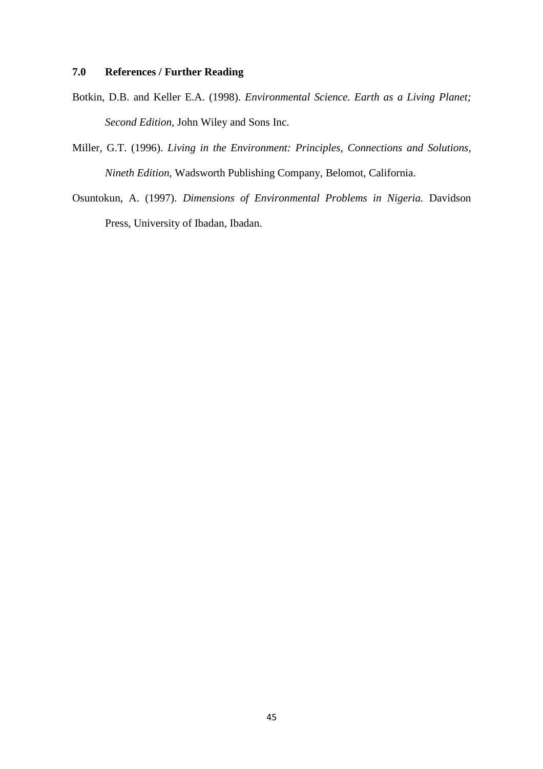## **7.0 References / Further Reading**

- Botkin, D.B. and Keller E.A. (1998). *Environmental Science. Earth as a Living Planet; Second Edition,* John Wiley and Sons Inc.
- Miller, G.T. (1996). *Living in the Environment: Principles, Connections and Solutions, Nineth Edition,* Wadsworth Publishing Company, Belomot, California.
- Osuntokun, A. (1997). *Dimensions of Environmental Problems in Nigeria.* Davidson Press, University of Ibadan, Ibadan.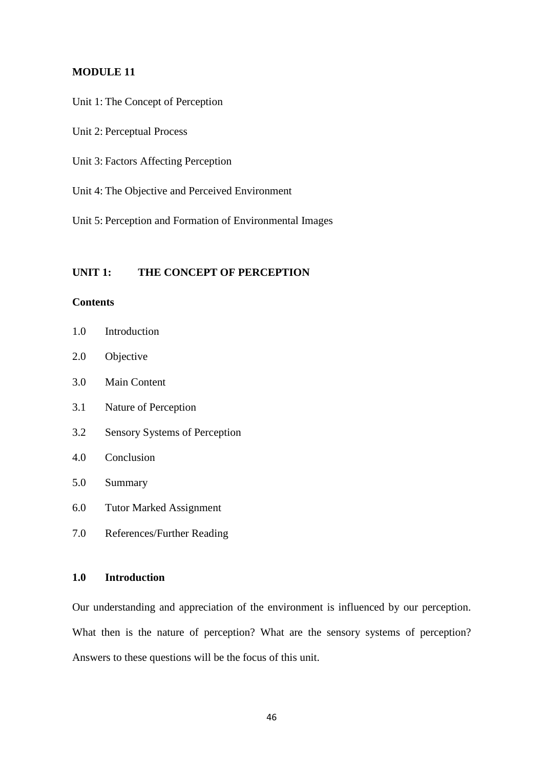#### **MODULE 11**

- Unit 1: The Concept of Perception
- Unit 2: Perceptual Process
- Unit 3: Factors Affecting Perception
- Unit 4: The Objective and Perceived Environment
- Unit 5: Perception and Formation of Environmental Images

## **UNIT 1: THE CONCEPT OF PERCEPTION**

## **Contents**

- 1.0 Introduction
- 2.0 Objective
- 3.0 Main Content
- 3.1 Nature of Perception
- 3.2 Sensory Systems of Perception
- 4.0 Conclusion
- 5.0 Summary
- 6.0 Tutor Marked Assignment
- 7.0 References/Further Reading

# **1.0 Introduction**

Our understanding and appreciation of the environment is influenced by our perception. What then is the nature of perception? What are the sensory systems of perception? Answers to these questions will be the focus of this unit.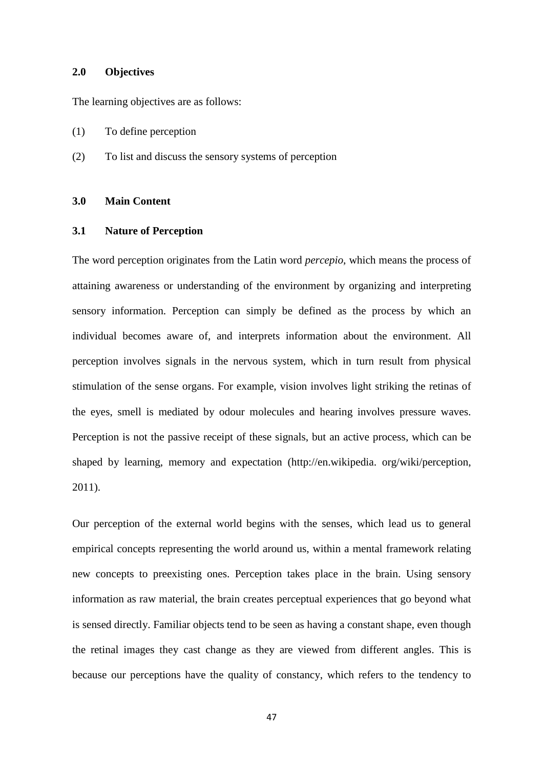#### **2.0 Objectives**

The learning objectives are as follows:

- (1) To define perception
- (2) To list and discuss the sensory systems of perception

## **3.0 Main Content**

### **3.1 Nature of Perception**

The word perception originates from the Latin word *percepio*, which means the process of attaining awareness or understanding of the environment by organizing and interpreting sensory information. Perception can simply be defined as the process by which an individual becomes aware of, and interprets information about the environment. All perception involves signals in the nervous system, which in turn result from physical stimulation of the sense organs. For example, vision involves light striking the retinas of the eyes, smell is mediated by odour molecules and hearing involves pressure waves. Perception is not the passive receipt of these signals, but an active process, which can be shaped by learning, memory and expectation (http://en.wikipedia. org/wiki/perception, 2011).

Our perception of the external world begins with the senses, which lead us to general empirical concepts representing the world around us, within a mental framework relating new concepts to preexisting ones. Perception takes place in the brain. Using sensory information as raw material, the brain creates perceptual experiences that go beyond what is sensed directly. Familiar objects tend to be seen as having a constant shape, even though the retinal images they cast change as they are viewed from different angles. This is because our perceptions have the quality of constancy, which refers to the tendency to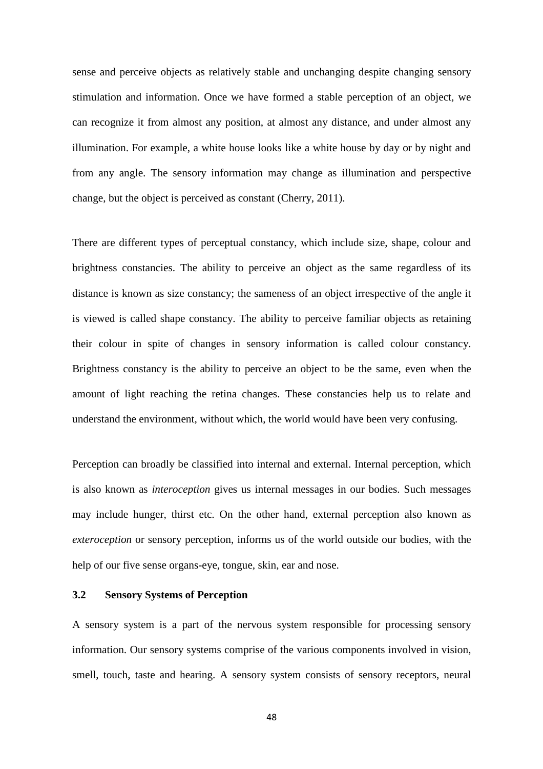sense and perceive objects as relatively stable and unchanging despite changing sensory stimulation and information. Once we have formed a stable perception of an object, we can recognize it from almost any position, at almost any distance, and under almost any illumination. For example, a white house looks like a white house by day or by night and from any angle. The sensory information may change as illumination and perspective change, but the object is perceived as constant (Cherry, 2011).

There are different types of perceptual constancy, which include size, shape, colour and brightness constancies. The ability to perceive an object as the same regardless of its distance is known as size constancy; the sameness of an object irrespective of the angle it is viewed is called shape constancy. The ability to perceive familiar objects as retaining their colour in spite of changes in sensory information is called colour constancy. Brightness constancy is the ability to perceive an object to be the same, even when the amount of light reaching the retina changes. These constancies help us to relate and understand the environment, without which, the world would have been very confusing.

Perception can broadly be classified into internal and external. Internal perception, which is also known as *interoception* gives us internal messages in our bodies. Such messages may include hunger, thirst etc. On the other hand, external perception also known as *exteroception* or sensory perception, informs us of the world outside our bodies, with the help of our five sense organs-eye, tongue, skin, ear and nose.

## **3.2 Sensory Systems of Perception**

A sensory system is a part of the nervous system responsible for processing sensory information. Our sensory systems comprise of the various components involved in vision, smell, touch, taste and hearing. A sensory system consists of sensory receptors, neural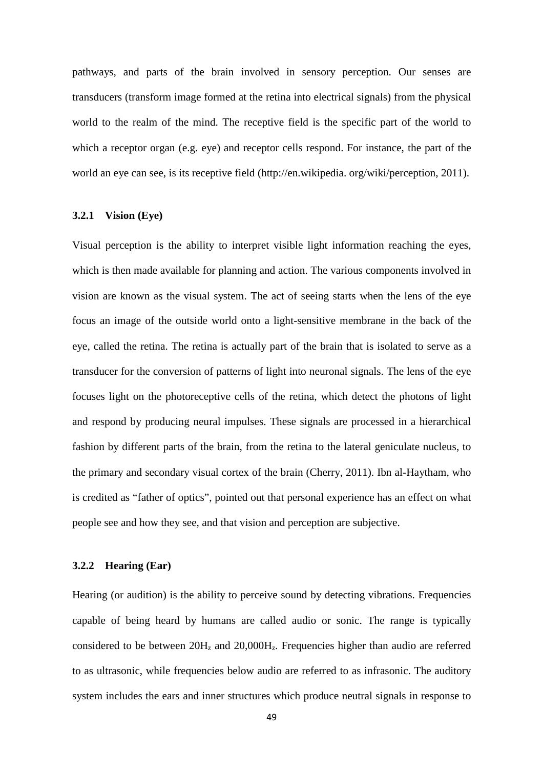pathways, and parts of the brain involved in sensory perception. Our senses are transducers (transform image formed at the retina into electrical signals) from the physical world to the realm of the mind. The receptive field is the specific part of the world to which a receptor organ (e.g. eye) and receptor cells respond. For instance, the part of the world an eye can see, is its receptive field (http://en.wikipedia. org/wiki/perception, 2011).

#### **3.2.1 Vision (Eye)**

Visual perception is the ability to interpret visible light information reaching the eyes, which is then made available for planning and action. The various components involved in vision are known as the visual system. The act of seeing starts when the lens of the eye focus an image of the outside world onto a light-sensitive membrane in the back of the eye, called the retina. The retina is actually part of the brain that is isolated to serve as a transducer for the conversion of patterns of light into neuronal signals. The lens of the eye focuses light on the photoreceptive cells of the retina, which detect the photons of light and respond by producing neural impulses. These signals are processed in a hierarchical fashion by different parts of the brain, from the retina to the lateral geniculate nucleus, to the primary and secondary visual cortex of the brain (Cherry, 2011). Ibn al-Haytham, who is credited as "father of optics", pointed out that personal experience has an effect on what people see and how they see, and that vision and perception are subjective.

#### **3.2.2 Hearing (Ear)**

Hearing (or audition) is the ability to perceive sound by detecting vibrations. Frequencies capable of being heard by humans are called audio or sonic. The range is typically considered to be between  $20H<sub>z</sub>$  and  $20,000H<sub>z</sub>$ . Frequencies higher than audio are referred to as ultrasonic, while frequencies below audio are referred to as infrasonic. The auditory system includes the ears and inner structures which produce neutral signals in response to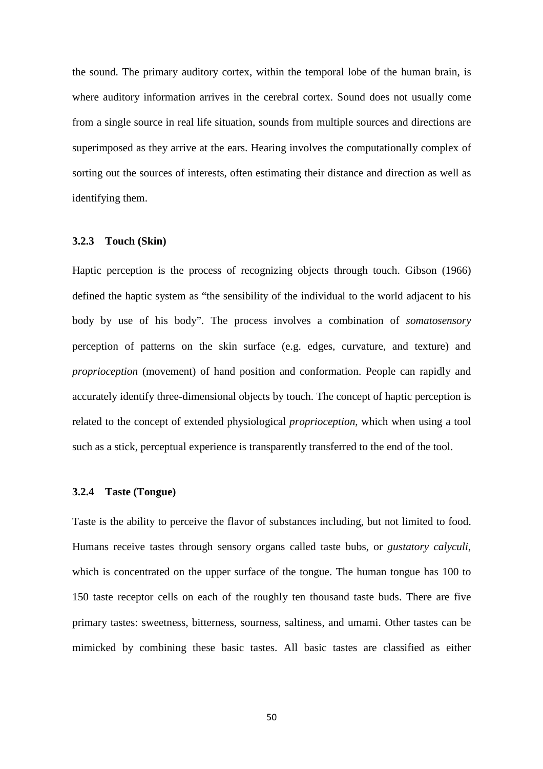the sound. The primary auditory cortex, within the temporal lobe of the human brain, is where auditory information arrives in the cerebral cortex. Sound does not usually come from a single source in real life situation, sounds from multiple sources and directions are superimposed as they arrive at the ears. Hearing involves the computationally complex of sorting out the sources of interests, often estimating their distance and direction as well as identifying them.

#### **3.2.3 Touch (Skin)**

Haptic perception is the process of recognizing objects through touch. Gibson (1966) defined the haptic system as "the sensibility of the individual to the world adjacent to his body by use of his body". The process involves a combination of *somatosensory* perception of patterns on the skin surface (e.g. edges, curvature, and texture) and *proprioception* (movement) of hand position and conformation. People can rapidly and accurately identify three-dimensional objects by touch. The concept of haptic perception is related to the concept of extended physiological *proprioception*, which when using a tool such as a stick, perceptual experience is transparently transferred to the end of the tool.

#### **3.2.4 Taste (Tongue)**

Taste is the ability to perceive the flavor of substances including, but not limited to food. Humans receive tastes through sensory organs called taste bubs, or *gustatory calyculi*, which is concentrated on the upper surface of the tongue. The human tongue has 100 to 150 taste receptor cells on each of the roughly ten thousand taste buds. There are five primary tastes: sweetness, bitterness, sourness, saltiness, and umami. Other tastes can be mimicked by combining these basic tastes. All basic tastes are classified as either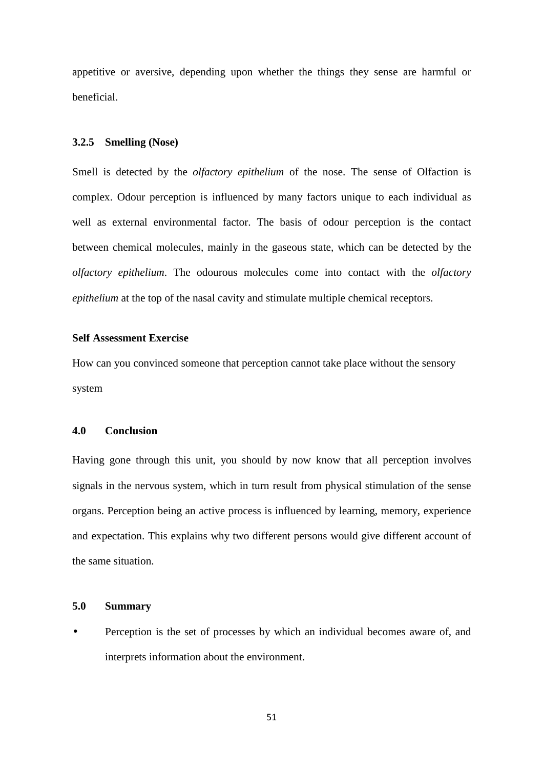appetitive or aversive, depending upon whether the things they sense are harmful or beneficial.

#### **3.2.5 Smelling (Nose)**

Smell is detected by the *olfactory epithelium* of the nose. The sense of Olfaction is complex. Odour perception is influenced by many factors unique to each individual as well as external environmental factor. The basis of odour perception is the contact between chemical molecules, mainly in the gaseous state, which can be detected by the *olfactory epithelium*. The odourous molecules come into contact with the *olfactory epithelium* at the top of the nasal cavity and stimulate multiple chemical receptors.

## **Self Assessment Exercise**

How can you convinced someone that perception cannot take place without the sensory system

### **4.0 Conclusion**

Having gone through this unit, you should by now know that all perception involves signals in the nervous system, which in turn result from physical stimulation of the sense organs. Perception being an active process is influenced by learning, memory, experience and expectation. This explains why two different persons would give different account of the same situation.

## **5.0 Summary**

• Perception is the set of processes by which an individual becomes aware of, and interprets information about the environment.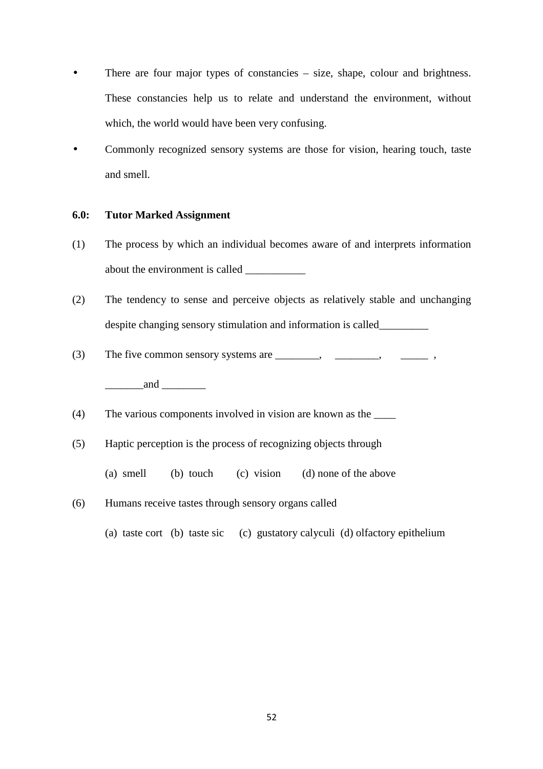- There are four major types of constancies size, shape, colour and brightness. These constancies help us to relate and understand the environment, without which, the world would have been very confusing.
- Commonly recognized sensory systems are those for vision, hearing touch, taste and smell.

## **6.0: Tutor Marked Assignment**

- (1) The process by which an individual becomes aware of and interprets information about the environment is called \_\_\_\_\_\_\_\_\_\_\_
- (2) The tendency to sense and perceive objects as relatively stable and unchanging despite changing sensory stimulation and information is called\_\_\_\_\_\_\_\_\_
- (3) The five common sensory systems are \_\_\_\_\_\_\_\_, \_\_\_\_\_\_\_\_, \_\_\_\_\_ ,

and  $\Box$ 

- (4) The various components involved in vision are known as the \_\_\_\_
- (5) Haptic perception is the process of recognizing objects through
	- (a) smell (b) touch (c) vision (d) none of the above
- (6) Humans receive tastes through sensory organs called
	- (a) taste cort (b) taste sic (c) gustatory calyculi (d) olfactory epithelium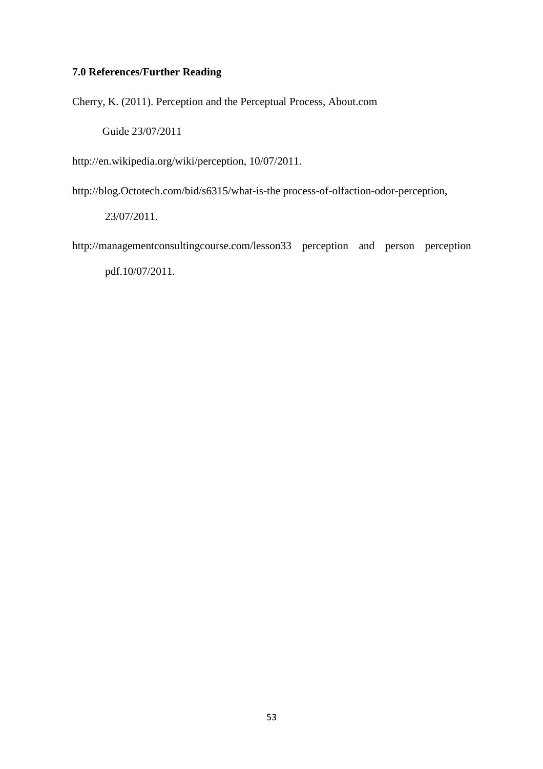# **7.0 References/Further Reading**

Cherry, K. (2011). Perception and the Perceptual Process, About.com

Guide 23/07/2011

http://en.wikipedia.org/wiki/perception, 10/07/2011.

http://blog.Octotech.com/bid/s6315/what-is-the process-of-olfaction-odor-perception,

23/07/2011.

http://managementconsultingcourse.com/lesson33 perception and person perception pdf.10/07/2011.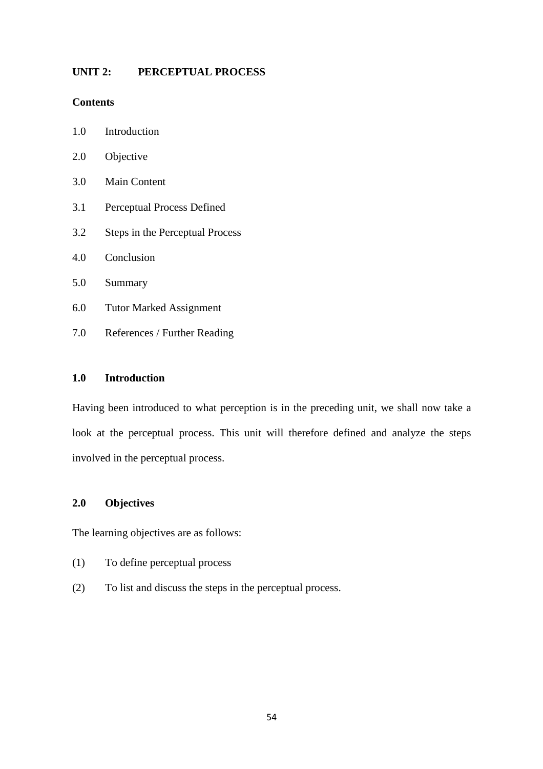## **UNIT 2: PERCEPTUAL PROCESS**

## **Contents**

- 2.0 Objective
- 3.0 Main Content
- 3.1 Perceptual Process Defined
- 3.2 Steps in the Perceptual Process
- 4.0 Conclusion
- 5.0 Summary
- 6.0 Tutor Marked Assignment
- 7.0 References / Further Reading

# **1.0 Introduction**

Having been introduced to what perception is in the preceding unit, we shall now take a look at the perceptual process. This unit will therefore defined and analyze the steps involved in the perceptual process.

## **2.0 Objectives**

The learning objectives are as follows:

- (1) To define perceptual process
- (2) To list and discuss the steps in the perceptual process.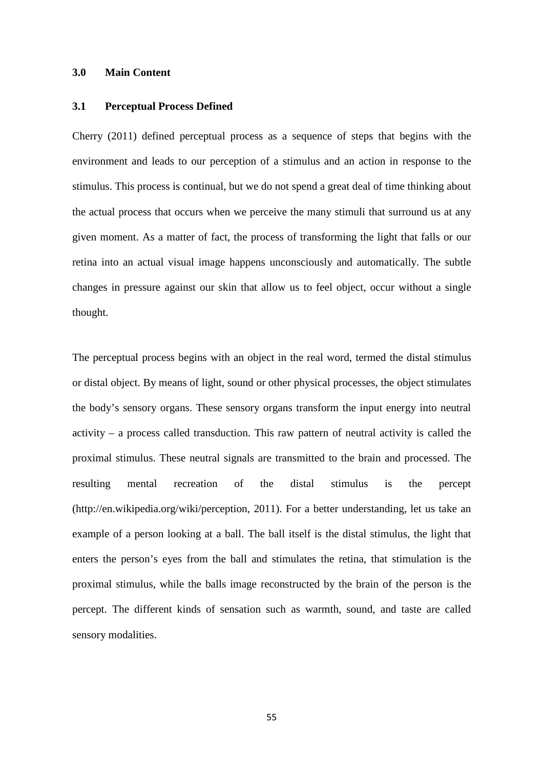#### **3.0 Main Content**

#### **3.1 Perceptual Process Defined**

Cherry (2011) defined perceptual process as a sequence of steps that begins with the environment and leads to our perception of a stimulus and an action in response to the stimulus. This process is continual, but we do not spend a great deal of time thinking about the actual process that occurs when we perceive the many stimuli that surround us at any given moment. As a matter of fact, the process of transforming the light that falls or our retina into an actual visual image happens unconsciously and automatically. The subtle changes in pressure against our skin that allow us to feel object, occur without a single thought.

The perceptual process begins with an object in the real word, termed the distal stimulus or distal object. By means of light, sound or other physical processes, the object stimulates the body's sensory organs. These sensory organs transform the input energy into neutral activity – a process called transduction. This raw pattern of neutral activity is called the proximal stimulus. These neutral signals are transmitted to the brain and processed. The resulting mental recreation of the distal stimulus is the percept (http://en.wikipedia.org/wiki/perception, 2011). For a better understanding, let us take an example of a person looking at a ball. The ball itself is the distal stimulus, the light that enters the person's eyes from the ball and stimulates the retina, that stimulation is the proximal stimulus, while the balls image reconstructed by the brain of the person is the percept. The different kinds of sensation such as warmth, sound, and taste are called sensory modalities.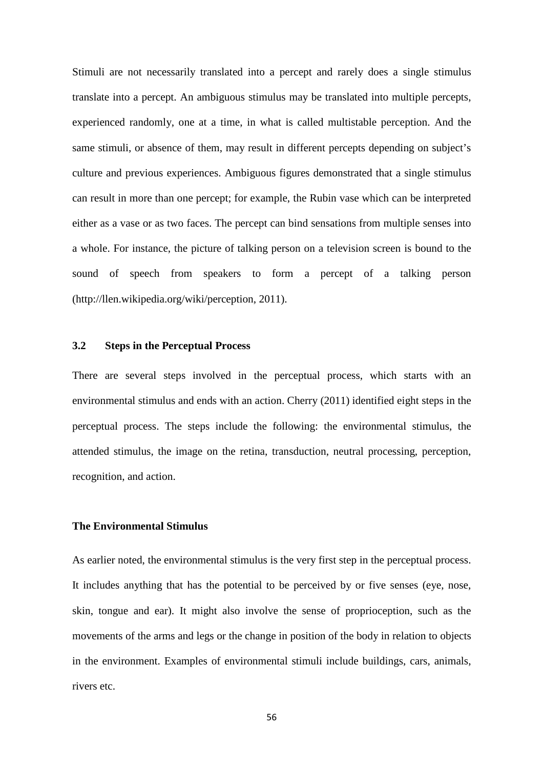Stimuli are not necessarily translated into a percept and rarely does a single stimulus translate into a percept. An ambiguous stimulus may be translated into multiple percepts, experienced randomly, one at a time, in what is called multistable perception. And the same stimuli, or absence of them, may result in different percepts depending on subject's culture and previous experiences. Ambiguous figures demonstrated that a single stimulus can result in more than one percept; for example, the Rubin vase which can be interpreted either as a vase or as two faces. The percept can bind sensations from multiple senses into a whole. For instance, the picture of talking person on a television screen is bound to the sound of speech from speakers to form a percept of a talking person (http://llen.wikipedia.org/wiki/perception, 2011).

## **3.2 Steps in the Perceptual Process**

There are several steps involved in the perceptual process, which starts with an environmental stimulus and ends with an action. Cherry (2011) identified eight steps in the perceptual process. The steps include the following: the environmental stimulus, the attended stimulus, the image on the retina, transduction, neutral processing, perception, recognition, and action.

## **The Environmental Stimulus**

As earlier noted, the environmental stimulus is the very first step in the perceptual process. It includes anything that has the potential to be perceived by or five senses (eye, nose, skin, tongue and ear). It might also involve the sense of proprioception, such as the movements of the arms and legs or the change in position of the body in relation to objects in the environment. Examples of environmental stimuli include buildings, cars, animals, rivers etc.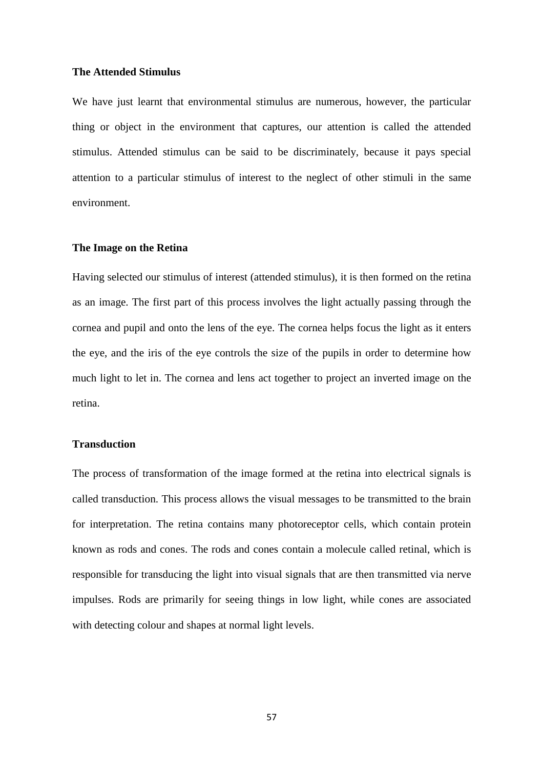#### **The Attended Stimulus**

We have just learnt that environmental stimulus are numerous, however, the particular thing or object in the environment that captures, our attention is called the attended stimulus. Attended stimulus can be said to be discriminately, because it pays special attention to a particular stimulus of interest to the neglect of other stimuli in the same environment.

#### **The Image on the Retina**

Having selected our stimulus of interest (attended stimulus), it is then formed on the retina as an image. The first part of this process involves the light actually passing through the cornea and pupil and onto the lens of the eye. The cornea helps focus the light as it enters the eye, and the iris of the eye controls the size of the pupils in order to determine how much light to let in. The cornea and lens act together to project an inverted image on the retina.

## **Transduction**

The process of transformation of the image formed at the retina into electrical signals is called transduction. This process allows the visual messages to be transmitted to the brain for interpretation. The retina contains many photoreceptor cells, which contain protein known as rods and cones. The rods and cones contain a molecule called retinal, which is responsible for transducing the light into visual signals that are then transmitted via nerve impulses. Rods are primarily for seeing things in low light, while cones are associated with detecting colour and shapes at normal light levels.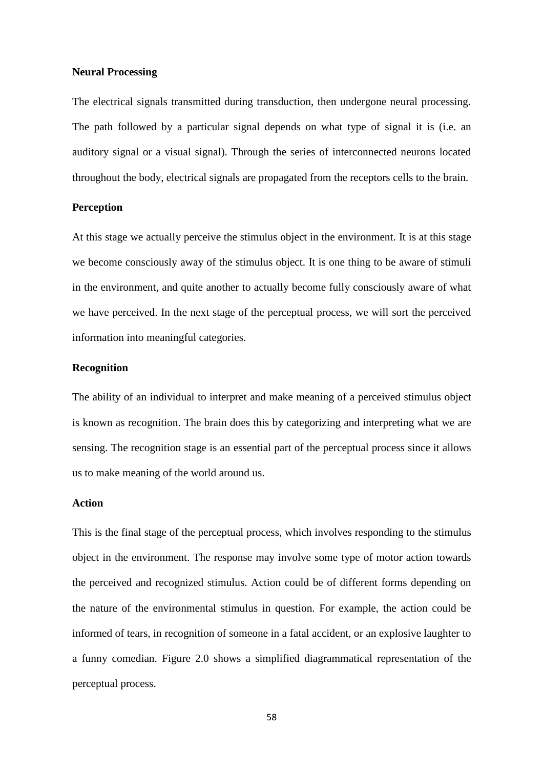#### **Neural Processing**

The electrical signals transmitted during transduction, then undergone neural processing. The path followed by a particular signal depends on what type of signal it is (i.e. an auditory signal or a visual signal). Through the series of interconnected neurons located throughout the body, electrical signals are propagated from the receptors cells to the brain.

#### **Perception**

At this stage we actually perceive the stimulus object in the environment. It is at this stage we become consciously away of the stimulus object. It is one thing to be aware of stimuli in the environment, and quite another to actually become fully consciously aware of what we have perceived. In the next stage of the perceptual process, we will sort the perceived information into meaningful categories.

## **Recognition**

The ability of an individual to interpret and make meaning of a perceived stimulus object is known as recognition. The brain does this by categorizing and interpreting what we are sensing. The recognition stage is an essential part of the perceptual process since it allows us to make meaning of the world around us.

#### **Action**

This is the final stage of the perceptual process, which involves responding to the stimulus object in the environment. The response may involve some type of motor action towards the perceived and recognized stimulus. Action could be of different forms depending on the nature of the environmental stimulus in question. For example, the action could be informed of tears, in recognition of someone in a fatal accident, or an explosive laughter to a funny comedian. Figure 2.0 shows a simplified diagrammatical representation of the perceptual process.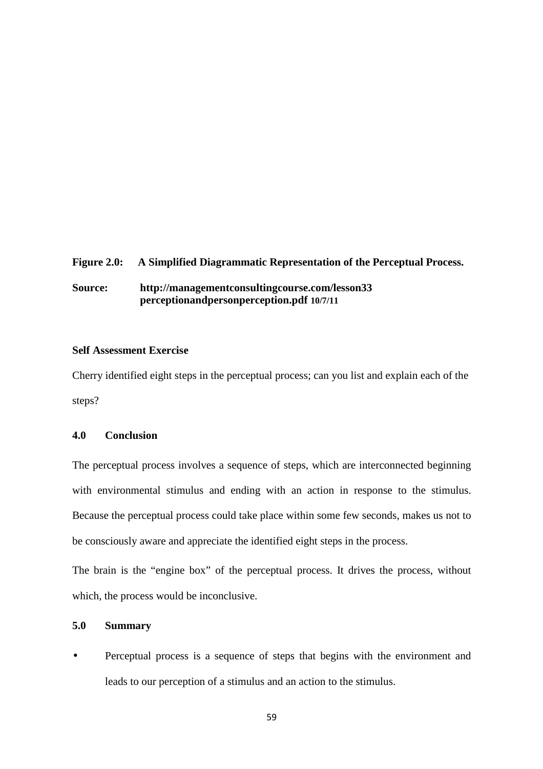# **Figure 2.0: A Simplified Diagrammatic Representation of the Perceptual Process.**

**Source: http://managementconsultingcourse.com/lesson33 perceptionandpersonperception.pdf 10/7/11** 

## **Self Assessment Exercise**

Cherry identified eight steps in the perceptual process; can you list and explain each of the steps?

# **4.0 Conclusion**

The perceptual process involves a sequence of steps, which are interconnected beginning with environmental stimulus and ending with an action in response to the stimulus. Because the perceptual process could take place within some few seconds, makes us not to be consciously aware and appreciate the identified eight steps in the process.

The brain is the "engine box" of the perceptual process. It drives the process, without which, the process would be inconclusive.

## **5.0 Summary**

• Perceptual process is a sequence of steps that begins with the environment and leads to our perception of a stimulus and an action to the stimulus.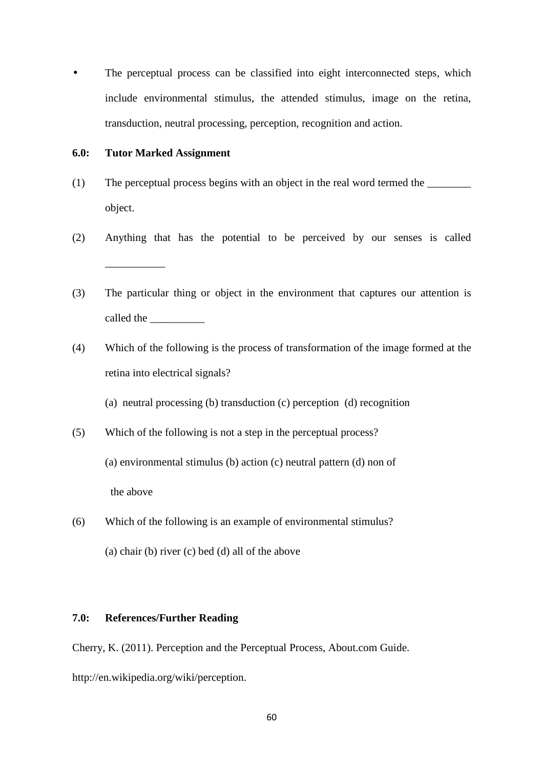• The perceptual process can be classified into eight interconnected steps, which include environmental stimulus, the attended stimulus, image on the retina, transduction, neutral processing, perception, recognition and action.

#### **6.0: Tutor Marked Assignment**

- (1) The perceptual process begins with an object in the real word termed the \_\_\_\_\_\_\_\_ object.
- (2) Anything that has the potential to be perceived by our senses is called  $\overline{\phantom{a}}$  , we can also the contract of  $\overline{\phantom{a}}$
- (3) The particular thing or object in the environment that captures our attention is called the \_\_\_\_\_\_\_\_\_\_
- (4) Which of the following is the process of transformation of the image formed at the retina into electrical signals?

(a) neutral processing (b) transduction (c) perception (d) recognition

(5) Which of the following is not a step in the perceptual process?

(a) environmental stimulus (b) action (c) neutral pattern (d) non of

the above

(6) Which of the following is an example of environmental stimulus?

(a) chair (b) river (c) bed (d) all of the above

# **7.0: References/Further Reading**

Cherry, K. (2011). Perception and the Perceptual Process, About.com Guide. http://en.wikipedia.org/wiki/perception.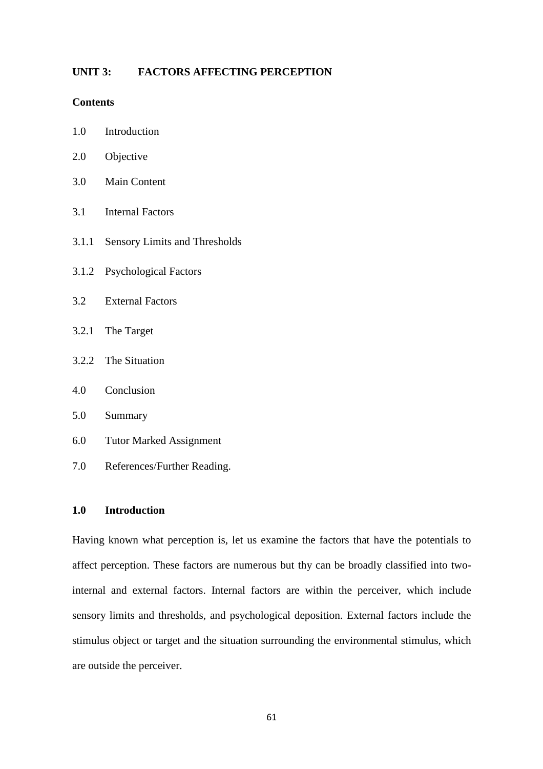## **UNIT 3: FACTORS AFFECTING PERCEPTION**

## **Contents**

- 1.0 Introduction
- 2.0 Objective
- 3.0 Main Content
- 3.1 Internal Factors
- 3.1.1 Sensory Limits and Thresholds
- 3.1.2 Psychological Factors
- 3.2 External Factors
- 3.2.1 The Target
- 3.2.2 The Situation
- 4.0 Conclusion
- 5.0 Summary
- 6.0 Tutor Marked Assignment
- 7.0 References/Further Reading.

## **1.0 Introduction**

Having known what perception is, let us examine the factors that have the potentials to affect perception. These factors are numerous but thy can be broadly classified into twointernal and external factors. Internal factors are within the perceiver, which include sensory limits and thresholds, and psychological deposition. External factors include the stimulus object or target and the situation surrounding the environmental stimulus, which are outside the perceiver.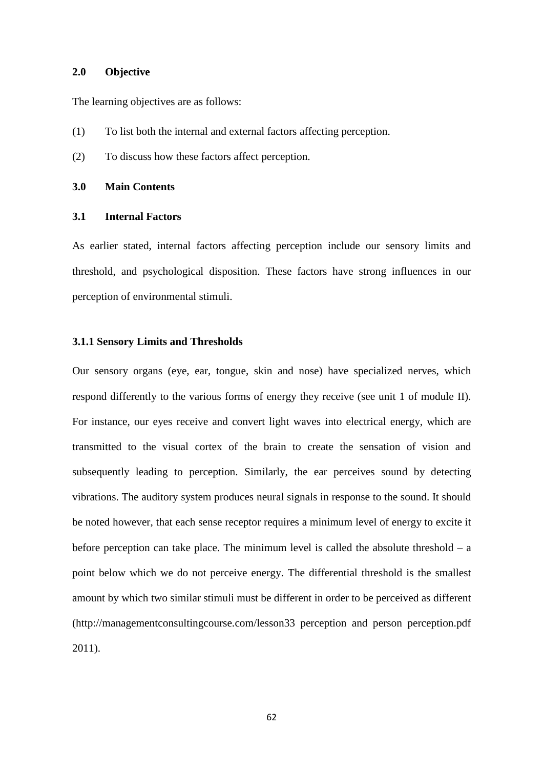#### **2.0 Objective**

The learning objectives are as follows:

- (1) To list both the internal and external factors affecting perception.
- (2) To discuss how these factors affect perception.

#### **3.0 Main Contents**

#### **3.1 Internal Factors**

As earlier stated, internal factors affecting perception include our sensory limits and threshold, and psychological disposition. These factors have strong influences in our perception of environmental stimuli.

#### **3.1.1 Sensory Limits and Thresholds**

Our sensory organs (eye, ear, tongue, skin and nose) have specialized nerves, which respond differently to the various forms of energy they receive (see unit 1 of module II). For instance, our eyes receive and convert light waves into electrical energy, which are transmitted to the visual cortex of the brain to create the sensation of vision and subsequently leading to perception. Similarly, the ear perceives sound by detecting vibrations. The auditory system produces neural signals in response to the sound. It should be noted however, that each sense receptor requires a minimum level of energy to excite it before perception can take place. The minimum level is called the absolute threshold  $- a$ point below which we do not perceive energy. The differential threshold is the smallest amount by which two similar stimuli must be different in order to be perceived as different (http://managementconsultingcourse.com/lesson33 perception and person perception.pdf 2011).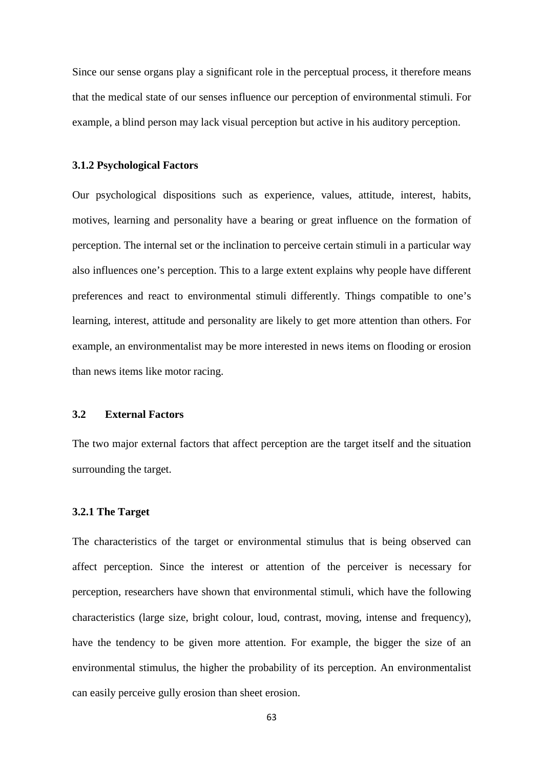Since our sense organs play a significant role in the perceptual process, it therefore means that the medical state of our senses influence our perception of environmental stimuli. For example, a blind person may lack visual perception but active in his auditory perception.

#### **3.1.2 Psychological Factors**

Our psychological dispositions such as experience, values, attitude, interest, habits, motives, learning and personality have a bearing or great influence on the formation of perception. The internal set or the inclination to perceive certain stimuli in a particular way also influences one's perception. This to a large extent explains why people have different preferences and react to environmental stimuli differently. Things compatible to one's learning, interest, attitude and personality are likely to get more attention than others. For example, an environmentalist may be more interested in news items on flooding or erosion than news items like motor racing.

## **3.2 External Factors**

The two major external factors that affect perception are the target itself and the situation surrounding the target.

#### **3.2.1 The Target**

The characteristics of the target or environmental stimulus that is being observed can affect perception. Since the interest or attention of the perceiver is necessary for perception, researchers have shown that environmental stimuli, which have the following characteristics (large size, bright colour, loud, contrast, moving, intense and frequency), have the tendency to be given more attention. For example, the bigger the size of an environmental stimulus, the higher the probability of its perception. An environmentalist can easily perceive gully erosion than sheet erosion.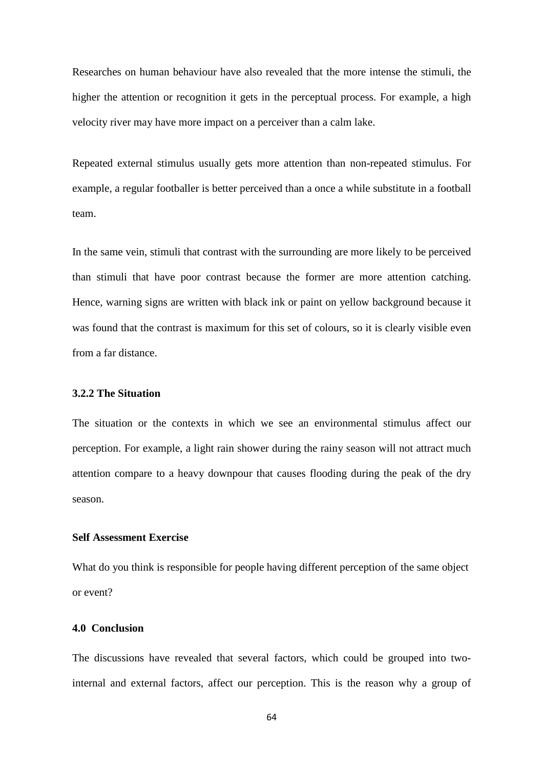Researches on human behaviour have also revealed that the more intense the stimuli, the higher the attention or recognition it gets in the perceptual process. For example, a high velocity river may have more impact on a perceiver than a calm lake.

Repeated external stimulus usually gets more attention than non-repeated stimulus. For example, a regular footballer is better perceived than a once a while substitute in a football team.

In the same vein, stimuli that contrast with the surrounding are more likely to be perceived than stimuli that have poor contrast because the former are more attention catching. Hence, warning signs are written with black ink or paint on yellow background because it was found that the contrast is maximum for this set of colours, so it is clearly visible even from a far distance.

#### **3.2.2 The Situation**

The situation or the contexts in which we see an environmental stimulus affect our perception. For example, a light rain shower during the rainy season will not attract much attention compare to a heavy downpour that causes flooding during the peak of the dry season.

#### **Self Assessment Exercise**

What do you think is responsible for people having different perception of the same object or event?

#### **4.0 Conclusion**

The discussions have revealed that several factors, which could be grouped into twointernal and external factors, affect our perception. This is the reason why a group of

64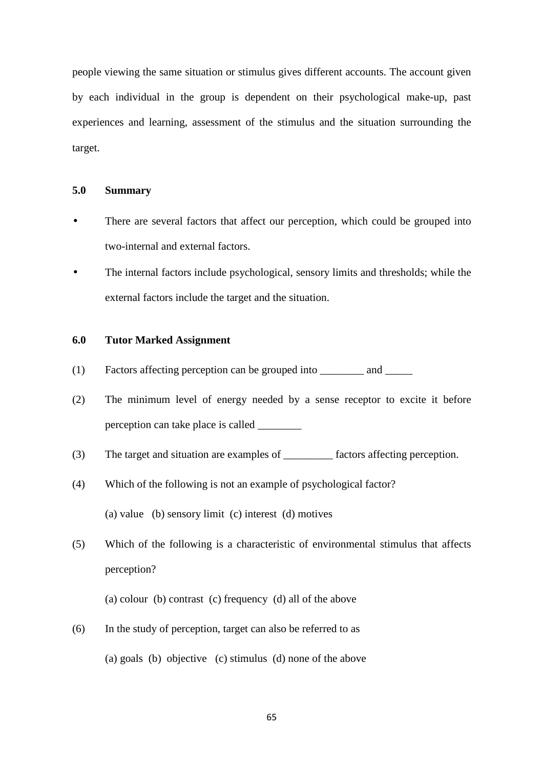people viewing the same situation or stimulus gives different accounts. The account given by each individual in the group is dependent on their psychological make-up, past experiences and learning, assessment of the stimulus and the situation surrounding the target.

## **5.0 Summary**

- There are several factors that affect our perception, which could be grouped into two-internal and external factors.
- The internal factors include psychological, sensory limits and thresholds; while the external factors include the target and the situation.

#### **6.0 Tutor Marked Assignment**

- (1) Factors affecting perception can be grouped into \_\_\_\_\_\_\_\_ and \_\_\_\_\_\_
- (2) The minimum level of energy needed by a sense receptor to excite it before perception can take place is called \_\_\_\_\_\_\_\_\_
- (3) The target and situation are examples of \_\_\_\_\_\_\_\_\_ factors affecting perception.
- (4) Which of the following is not an example of psychological factor? (a) value (b) sensory limit (c) interest (d) motives
- (5) Which of the following is a characteristic of environmental stimulus that affects perception?

(a) colour (b) contrast (c) frequency (d) all of the above

(6) In the study of perception, target can also be referred to as

(a) goals (b) objective (c) stimulus (d) none of the above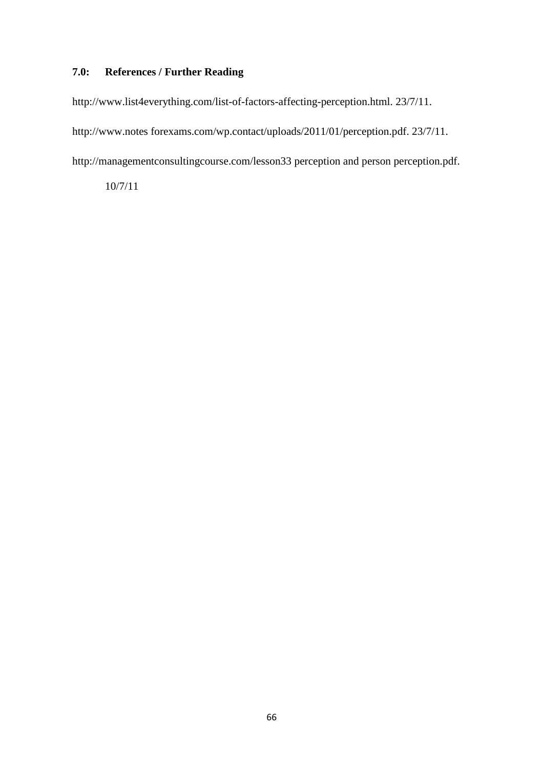# **7.0: References / Further Reading**

http://www.list4everything.com/list-of-factors-affecting-perception.html. 23/7/11.

http://www.notes forexams.com/wp.contact/uploads/2011/01/perception.pdf. 23/7/11.

http://managementconsultingcourse.com/lesson33 perception and person perception.pdf.

10/7/11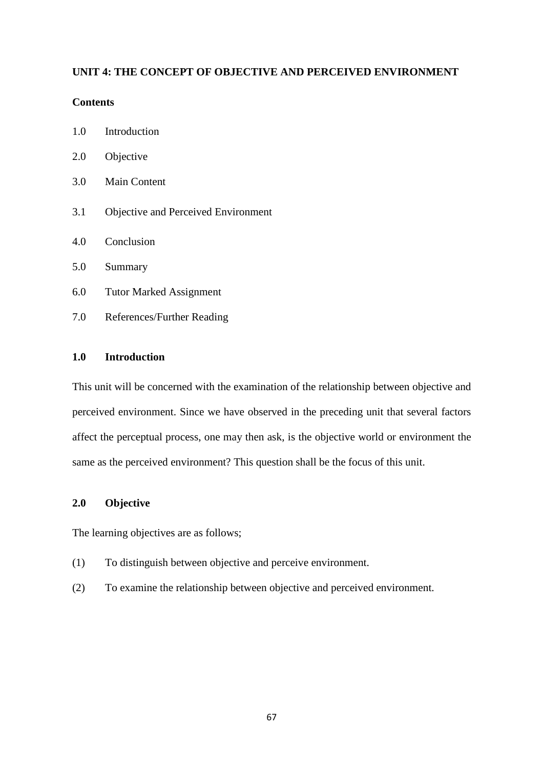## **UNIT 4: THE CONCEPT OF OBJECTIVE AND PERCEIVED ENVIRONMENT**

## **Contents**

- 1.0 Introduction
- 2.0 Objective
- 3.0 Main Content
- 3.1 Objective and Perceived Environment
- 4.0 Conclusion
- 5.0 Summary
- 6.0 Tutor Marked Assignment
- 7.0 References/Further Reading

# **1.0 Introduction**

This unit will be concerned with the examination of the relationship between objective and perceived environment. Since we have observed in the preceding unit that several factors affect the perceptual process, one may then ask, is the objective world or environment the same as the perceived environment? This question shall be the focus of this unit.

## **2.0 Objective**

The learning objectives are as follows;

- (1) To distinguish between objective and perceive environment.
- (2) To examine the relationship between objective and perceived environment.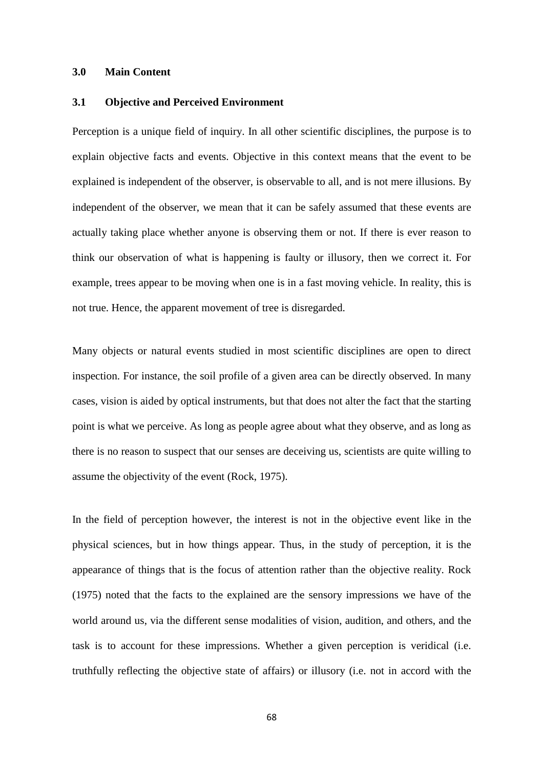#### **3.0 Main Content**

#### **3.1 Objective and Perceived Environment**

Perception is a unique field of inquiry. In all other scientific disciplines, the purpose is to explain objective facts and events. Objective in this context means that the event to be explained is independent of the observer, is observable to all, and is not mere illusions. By independent of the observer, we mean that it can be safely assumed that these events are actually taking place whether anyone is observing them or not. If there is ever reason to think our observation of what is happening is faulty or illusory, then we correct it. For example, trees appear to be moving when one is in a fast moving vehicle. In reality, this is not true. Hence, the apparent movement of tree is disregarded.

Many objects or natural events studied in most scientific disciplines are open to direct inspection. For instance, the soil profile of a given area can be directly observed. In many cases, vision is aided by optical instruments, but that does not alter the fact that the starting point is what we perceive. As long as people agree about what they observe, and as long as there is no reason to suspect that our senses are deceiving us, scientists are quite willing to assume the objectivity of the event (Rock, 1975).

In the field of perception however, the interest is not in the objective event like in the physical sciences, but in how things appear. Thus, in the study of perception, it is the appearance of things that is the focus of attention rather than the objective reality. Rock (1975) noted that the facts to the explained are the sensory impressions we have of the world around us, via the different sense modalities of vision, audition, and others, and the task is to account for these impressions. Whether a given perception is veridical (i.e. truthfully reflecting the objective state of affairs) or illusory (i.e. not in accord with the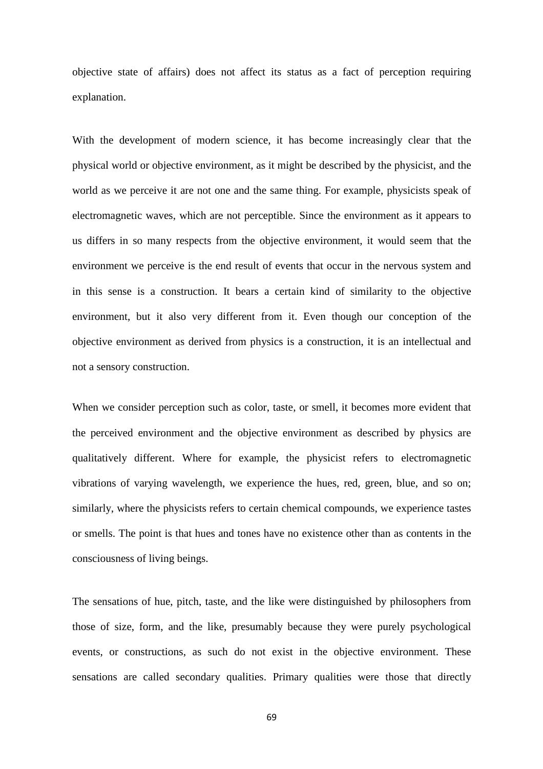objective state of affairs) does not affect its status as a fact of perception requiring explanation.

With the development of modern science, it has become increasingly clear that the physical world or objective environment, as it might be described by the physicist, and the world as we perceive it are not one and the same thing. For example, physicists speak of electromagnetic waves, which are not perceptible. Since the environment as it appears to us differs in so many respects from the objective environment, it would seem that the environment we perceive is the end result of events that occur in the nervous system and in this sense is a construction. It bears a certain kind of similarity to the objective environment, but it also very different from it. Even though our conception of the objective environment as derived from physics is a construction, it is an intellectual and not a sensory construction.

When we consider perception such as color, taste, or smell, it becomes more evident that the perceived environment and the objective environment as described by physics are qualitatively different. Where for example, the physicist refers to electromagnetic vibrations of varying wavelength, we experience the hues, red, green, blue, and so on; similarly, where the physicists refers to certain chemical compounds, we experience tastes or smells. The point is that hues and tones have no existence other than as contents in the consciousness of living beings.

The sensations of hue, pitch, taste, and the like were distinguished by philosophers from those of size, form, and the like, presumably because they were purely psychological events, or constructions, as such do not exist in the objective environment. These sensations are called secondary qualities. Primary qualities were those that directly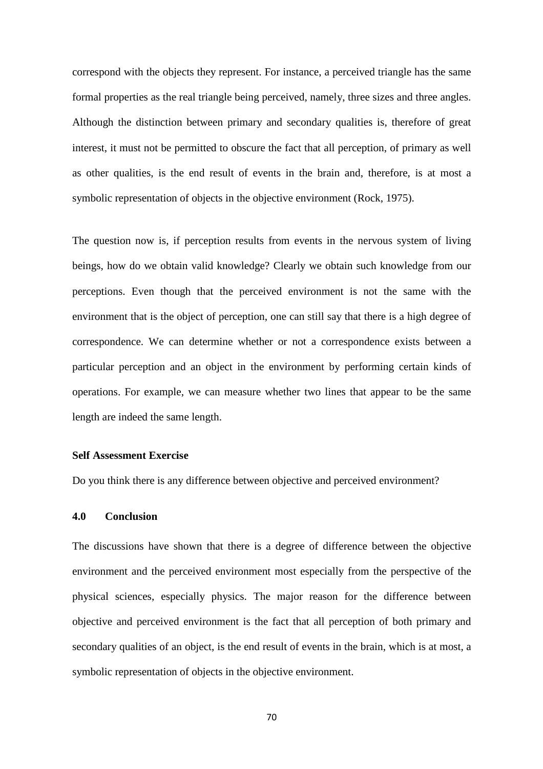correspond with the objects they represent. For instance, a perceived triangle has the same formal properties as the real triangle being perceived, namely, three sizes and three angles. Although the distinction between primary and secondary qualities is, therefore of great interest, it must not be permitted to obscure the fact that all perception, of primary as well as other qualities, is the end result of events in the brain and, therefore, is at most a symbolic representation of objects in the objective environment (Rock, 1975).

The question now is, if perception results from events in the nervous system of living beings, how do we obtain valid knowledge? Clearly we obtain such knowledge from our perceptions. Even though that the perceived environment is not the same with the environment that is the object of perception, one can still say that there is a high degree of correspondence. We can determine whether or not a correspondence exists between a particular perception and an object in the environment by performing certain kinds of operations. For example, we can measure whether two lines that appear to be the same length are indeed the same length.

#### **Self Assessment Exercise**

Do you think there is any difference between objective and perceived environment?

## **4.0 Conclusion**

The discussions have shown that there is a degree of difference between the objective environment and the perceived environment most especially from the perspective of the physical sciences, especially physics. The major reason for the difference between objective and perceived environment is the fact that all perception of both primary and secondary qualities of an object, is the end result of events in the brain, which is at most, a symbolic representation of objects in the objective environment.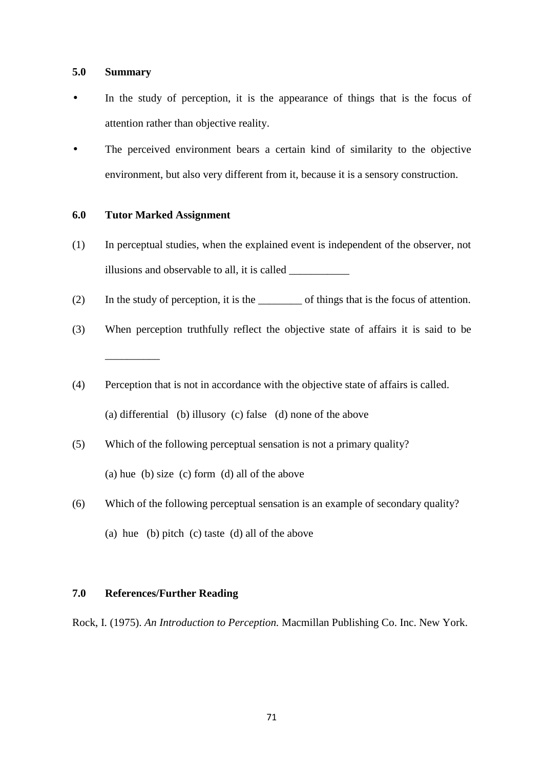#### **5.0 Summary**

- In the study of perception, it is the appearance of things that is the focus of attention rather than objective reality.
- The perceived environment bears a certain kind of similarity to the objective environment, but also very different from it, because it is a sensory construction.

## **6.0 Tutor Marked Assignment**

- (1) In perceptual studies, when the explained event is independent of the observer, not illusions and observable to all, it is called \_\_\_\_\_\_\_\_\_\_\_
- (2) In the study of perception, it is the \_\_\_\_\_\_\_\_ of things that is the focus of attention.
- (3) When perception truthfully reflect the objective state of affairs it is said to be \_\_\_\_\_\_\_\_\_\_
- (4) Perception that is not in accordance with the objective state of affairs is called. (a) differential (b) illusory (c) false (d) none of the above
- (5) Which of the following perceptual sensation is not a primary quality? (a) hue (b) size (c) form (d) all of the above
- (6) Which of the following perceptual sensation is an example of secondary quality? (a) hue (b) pitch (c) taste (d) all of the above

#### **7.0 References/Further Reading**

Rock, I. (1975). *An Introduction to Perception.* Macmillan Publishing Co. Inc. New York.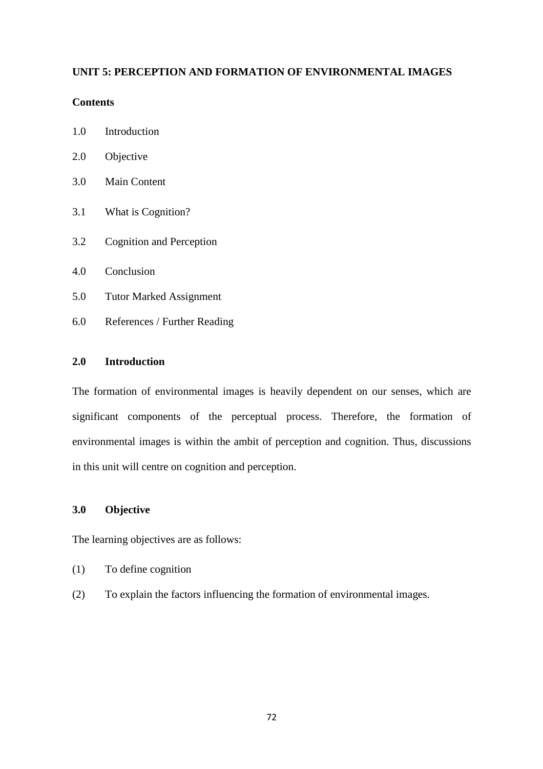# **UNIT 5: PERCEPTION AND FORMATION OF ENVIRONMENTAL IMAGES**

## **Contents**

- 1.0 Introduction
- 2.0 Objective
- 3.0 Main Content
- 3.1 What is Cognition?
- 3.2 Cognition and Perception
- 4.0 Conclusion
- 5.0 Tutor Marked Assignment
- 6.0 References / Further Reading

## **2.0 Introduction**

The formation of environmental images is heavily dependent on our senses, which are significant components of the perceptual process. Therefore, the formation of environmental images is within the ambit of perception and cognition. Thus, discussions in this unit will centre on cognition and perception.

# **3.0 Objective**

The learning objectives are as follows:

- (1) To define cognition
- (2) To explain the factors influencing the formation of environmental images.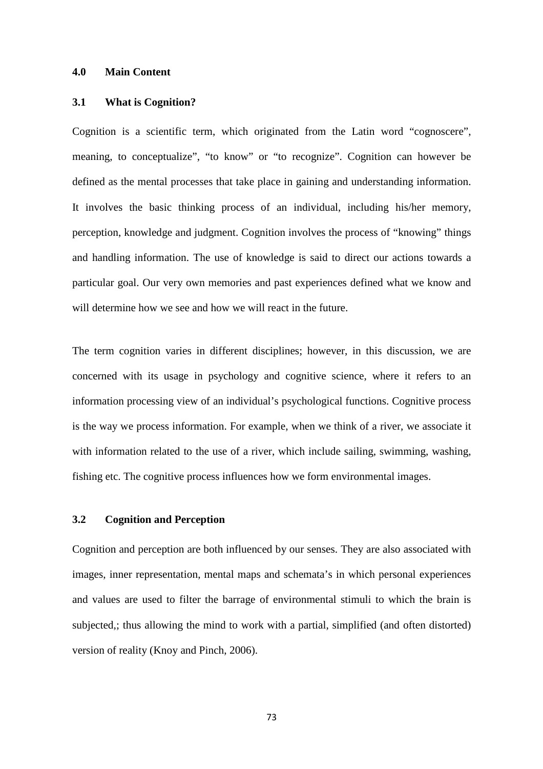### **4.0 Main Content**

#### **3.1 What is Cognition?**

Cognition is a scientific term, which originated from the Latin word "cognoscere", meaning, to conceptualize", "to know" or "to recognize". Cognition can however be defined as the mental processes that take place in gaining and understanding information. It involves the basic thinking process of an individual, including his/her memory, perception, knowledge and judgment. Cognition involves the process of "knowing" things and handling information. The use of knowledge is said to direct our actions towards a particular goal. Our very own memories and past experiences defined what we know and will determine how we see and how we will react in the future.

The term cognition varies in different disciplines; however, in this discussion, we are concerned with its usage in psychology and cognitive science, where it refers to an information processing view of an individual's psychological functions. Cognitive process is the way we process information. For example, when we think of a river, we associate it with information related to the use of a river, which include sailing, swimming, washing, fishing etc. The cognitive process influences how we form environmental images.

# **3.2 Cognition and Perception**

Cognition and perception are both influenced by our senses. They are also associated with images, inner representation, mental maps and schemata's in which personal experiences and values are used to filter the barrage of environmental stimuli to which the brain is subjected,; thus allowing the mind to work with a partial, simplified (and often distorted) version of reality (Knoy and Pinch, 2006).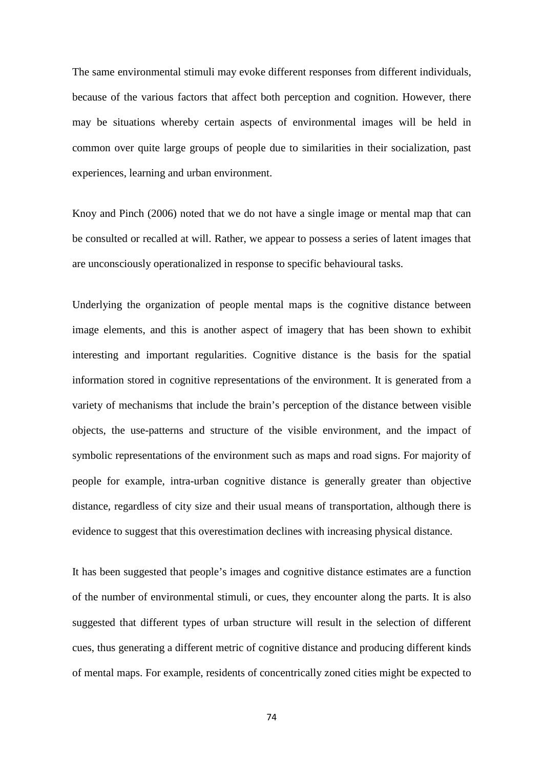The same environmental stimuli may evoke different responses from different individuals, because of the various factors that affect both perception and cognition. However, there may be situations whereby certain aspects of environmental images will be held in common over quite large groups of people due to similarities in their socialization, past experiences, learning and urban environment.

Knoy and Pinch (2006) noted that we do not have a single image or mental map that can be consulted or recalled at will. Rather, we appear to possess a series of latent images that are unconsciously operationalized in response to specific behavioural tasks.

Underlying the organization of people mental maps is the cognitive distance between image elements, and this is another aspect of imagery that has been shown to exhibit interesting and important regularities. Cognitive distance is the basis for the spatial information stored in cognitive representations of the environment. It is generated from a variety of mechanisms that include the brain's perception of the distance between visible objects, the use-patterns and structure of the visible environment, and the impact of symbolic representations of the environment such as maps and road signs. For majority of people for example, intra-urban cognitive distance is generally greater than objective distance, regardless of city size and their usual means of transportation, although there is evidence to suggest that this overestimation declines with increasing physical distance.

It has been suggested that people's images and cognitive distance estimates are a function of the number of environmental stimuli, or cues, they encounter along the parts. It is also suggested that different types of urban structure will result in the selection of different cues, thus generating a different metric of cognitive distance and producing different kinds of mental maps. For example, residents of concentrically zoned cities might be expected to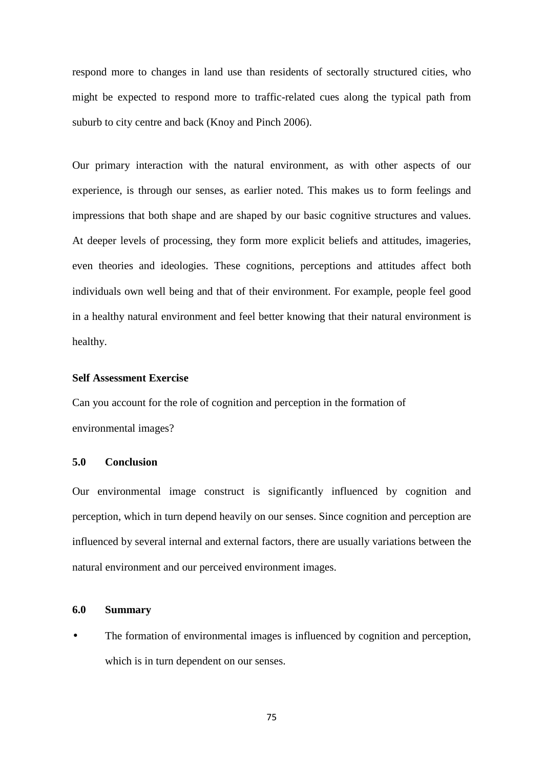respond more to changes in land use than residents of sectorally structured cities, who might be expected to respond more to traffic-related cues along the typical path from suburb to city centre and back (Knoy and Pinch 2006).

Our primary interaction with the natural environment, as with other aspects of our experience, is through our senses, as earlier noted. This makes us to form feelings and impressions that both shape and are shaped by our basic cognitive structures and values. At deeper levels of processing, they form more explicit beliefs and attitudes, imageries, even theories and ideologies. These cognitions, perceptions and attitudes affect both individuals own well being and that of their environment. For example, people feel good in a healthy natural environment and feel better knowing that their natural environment is healthy.

# **Self Assessment Exercise**

Can you account for the role of cognition and perception in the formation of environmental images?

# **5.0 Conclusion**

Our environmental image construct is significantly influenced by cognition and perception, which in turn depend heavily on our senses. Since cognition and perception are influenced by several internal and external factors, there are usually variations between the natural environment and our perceived environment images.

### **6.0 Summary**

The formation of environmental images is influenced by cognition and perception, which is in turn dependent on our senses.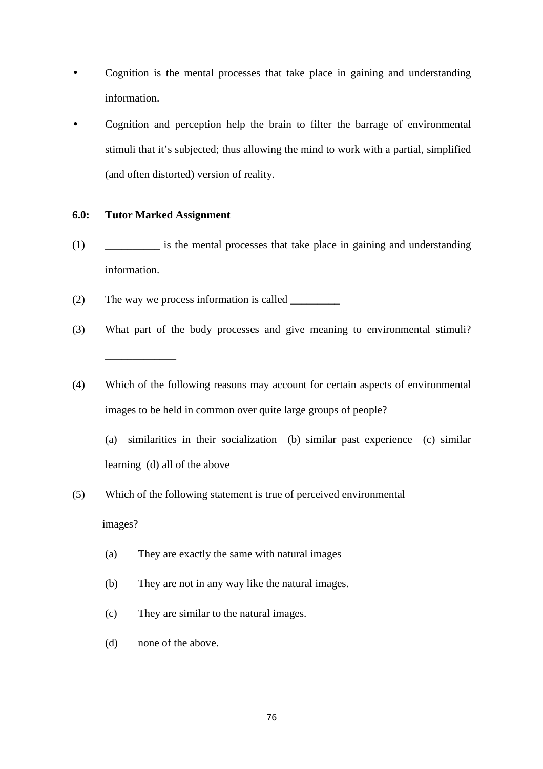- Cognition is the mental processes that take place in gaining and understanding information.
- Cognition and perception help the brain to filter the barrage of environmental stimuli that it's subjected; thus allowing the mind to work with a partial, simplified (and often distorted) version of reality.

# **6.0: Tutor Marked Assignment**

- (1) \_\_\_\_\_\_\_\_\_\_ is the mental processes that take place in gaining and understanding information.
- (2) The way we process information is called  $\qquad \qquad$
- (3) What part of the body processes and give meaning to environmental stimuli? \_\_\_\_\_\_\_\_\_\_\_\_\_
- (4) Which of the following reasons may account for certain aspects of environmental images to be held in common over quite large groups of people?
	- (a) similarities in their socialization (b) similar past experience (c) similar learning (d) all of the above
- (5) Which of the following statement is true of perceived environmental

images?

- (a) They are exactly the same with natural images
- (b) They are not in any way like the natural images.
- (c) They are similar to the natural images.
- (d) none of the above.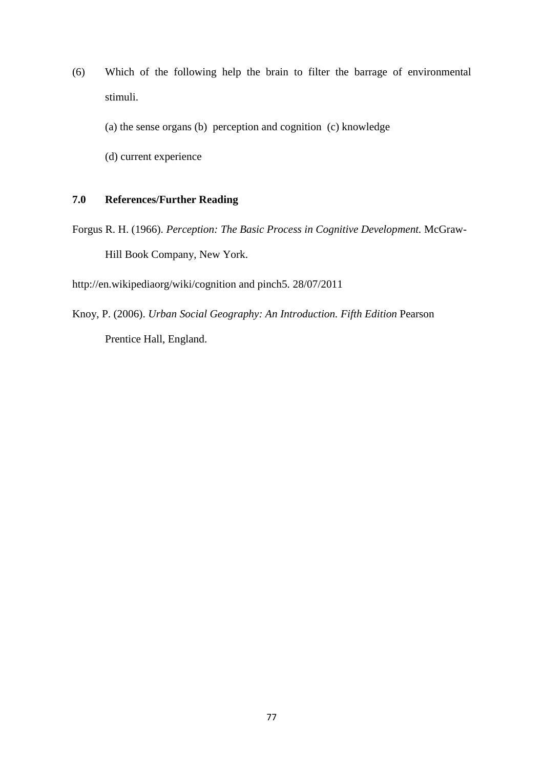(6) Which of the following help the brain to filter the barrage of environmental stimuli.

(a) the sense organs (b) perception and cognition (c) knowledge

(d) current experience

# **7.0 References/Further Reading**

Forgus R. H. (1966). *Perception: The Basic Process in Cognitive Development.* McGraw-Hill Book Company, New York.

http://en.wikipediaorg/wiki/cognition and pinch5. 28/07/2011

Knoy, P. (2006). *Urban Social Geography: An Introduction. Fifth Edition* Pearson Prentice Hall, England.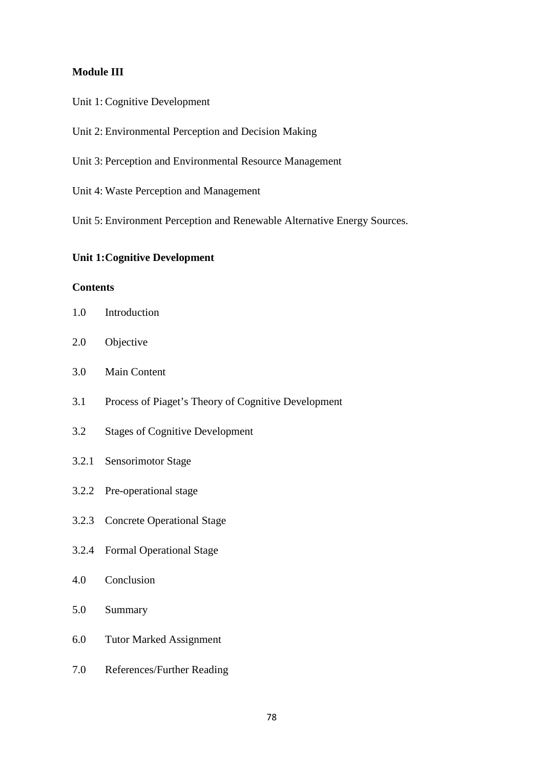# **Module III**

- Unit 1: Cognitive Development
- Unit 2: Environmental Perception and Decision Making
- Unit 3: Perception and Environmental Resource Management
- Unit 4: Waste Perception and Management
- Unit 5: Environment Perception and Renewable Alternative Energy Sources.

# **Unit 1: Cognitive Development**

# **Contents**

- 1.0 Introduction
- 2.0 Objective
- 3.0 Main Content
- 3.1 Process of Piaget's Theory of Cognitive Development
- 3.2 Stages of Cognitive Development
- 3.2.1 Sensorimotor Stage
- 3.2.2 Pre-operational stage
- 3.2.3 Concrete Operational Stage
- 3.2.4 Formal Operational Stage
- 4.0 Conclusion
- 5.0 Summary
- 6.0 Tutor Marked Assignment
- 7.0 References/Further Reading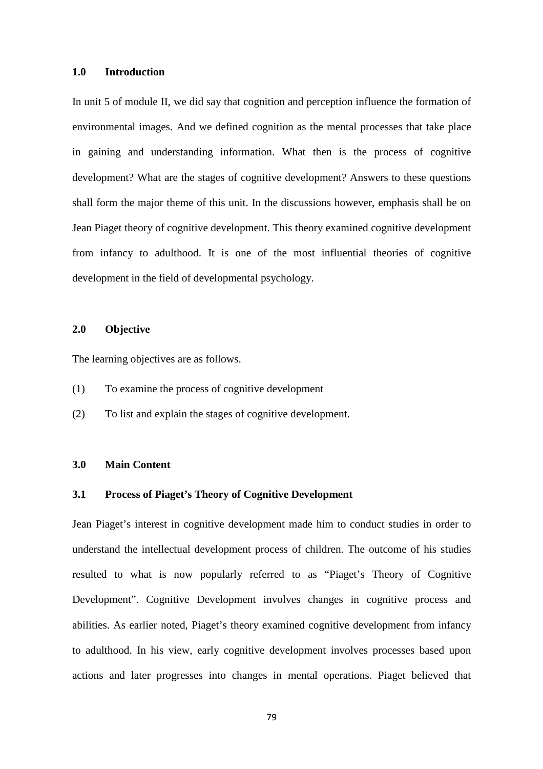#### **1.0 Introduction**

In unit 5 of module II, we did say that cognition and perception influence the formation of environmental images. And we defined cognition as the mental processes that take place in gaining and understanding information. What then is the process of cognitive development? What are the stages of cognitive development? Answers to these questions shall form the major theme of this unit. In the discussions however, emphasis shall be on Jean Piaget theory of cognitive development. This theory examined cognitive development from infancy to adulthood. It is one of the most influential theories of cognitive development in the field of developmental psychology.

# **2.0 Objective**

The learning objectives are as follows.

- (1) To examine the process of cognitive development
- (2) To list and explain the stages of cognitive development.

# **3.0 Main Content**

### **3.1 Process of Piaget's Theory of Cognitive Development**

Jean Piaget's interest in cognitive development made him to conduct studies in order to understand the intellectual development process of children. The outcome of his studies resulted to what is now popularly referred to as "Piaget's Theory of Cognitive Development". Cognitive Development involves changes in cognitive process and abilities. As earlier noted, Piaget's theory examined cognitive development from infancy to adulthood. In his view, early cognitive development involves processes based upon actions and later progresses into changes in mental operations. Piaget believed that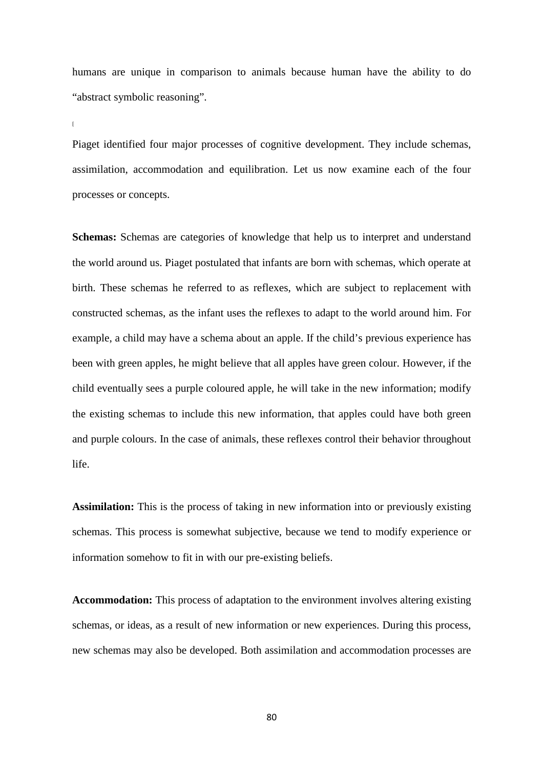humans are unique in comparison to animals because human have the ability to do "abstract symbolic reasoning".

 $\overline{a}$ 

Piaget identified four major processes of cognitive development. They include schemas, assimilation, accommodation and equilibration. Let us now examine each of the four processes or concepts.

**Schemas:** Schemas are categories of knowledge that help us to interpret and understand the world around us. Piaget postulated that infants are born with schemas, which operate at birth. These schemas he referred to as reflexes, which are subject to replacement with constructed schemas, as the infant uses the reflexes to adapt to the world around him. For example, a child may have a schema about an apple. If the child's previous experience has been with green apples, he might believe that all apples have green colour. However, if the child eventually sees a purple coloured apple, he will take in the new information; modify the existing schemas to include this new information, that apples could have both green and purple colours. In the case of animals, these reflexes control their behavior throughout life.

**Assimilation:** This is the process of taking in new information into or previously existing schemas. This process is somewhat subjective, because we tend to modify experience or information somehow to fit in with our pre-existing beliefs.

**Accommodation:** This process of adaptation to the environment involves altering existing schemas, or ideas, as a result of new information or new experiences. During this process, new schemas may also be developed. Both assimilation and accommodation processes are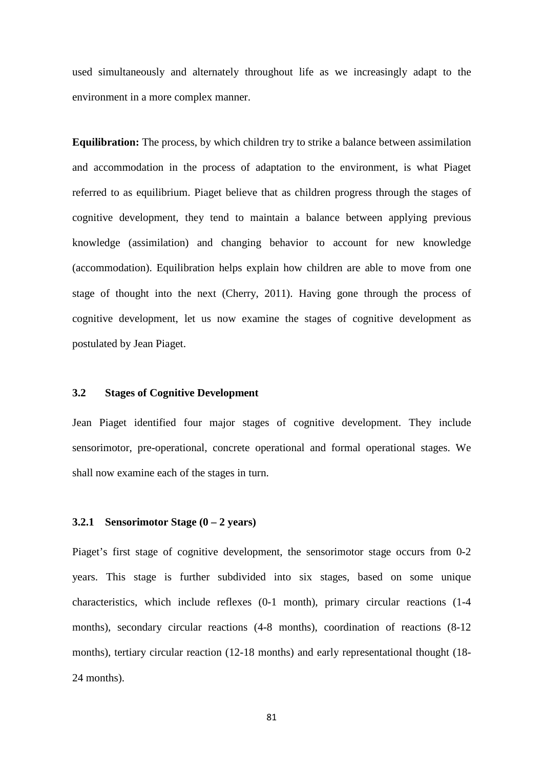used simultaneously and alternately throughout life as we increasingly adapt to the environment in a more complex manner.

**Equilibration:** The process, by which children try to strike a balance between assimilation and accommodation in the process of adaptation to the environment, is what Piaget referred to as equilibrium. Piaget believe that as children progress through the stages of cognitive development, they tend to maintain a balance between applying previous knowledge (assimilation) and changing behavior to account for new knowledge (accommodation). Equilibration helps explain how children are able to move from one stage of thought into the next (Cherry, 2011). Having gone through the process of cognitive development, let us now examine the stages of cognitive development as postulated by Jean Piaget.

#### **3.2 Stages of Cognitive Development**

Jean Piaget identified four major stages of cognitive development. They include sensorimotor, pre-operational, concrete operational and formal operational stages. We shall now examine each of the stages in turn.

#### **3.2.1 Sensorimotor Stage (0 – 2 years)**

Piaget's first stage of cognitive development, the sensorimotor stage occurs from 0-2 years. This stage is further subdivided into six stages, based on some unique characteristics, which include reflexes (0-1 month), primary circular reactions (1-4 months), secondary circular reactions (4-8 months), coordination of reactions (8-12 months), tertiary circular reaction (12-18 months) and early representational thought (18- 24 months).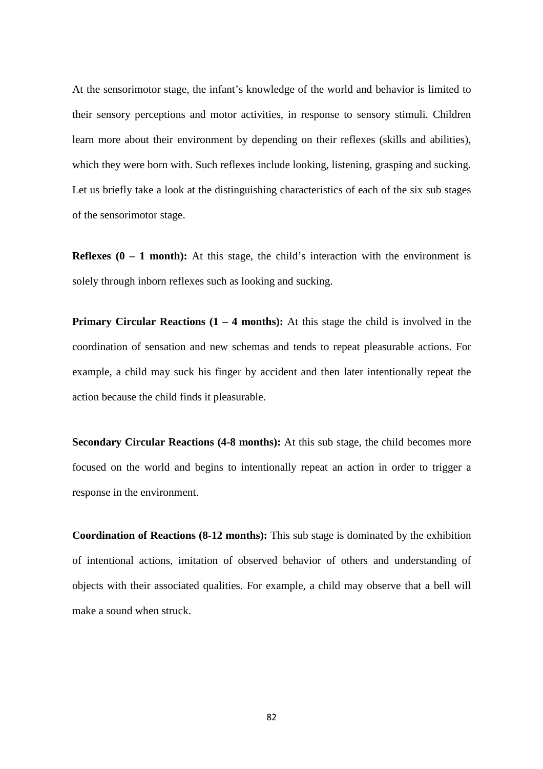At the sensorimotor stage, the infant's knowledge of the world and behavior is limited to their sensory perceptions and motor activities, in response to sensory stimuli. Children learn more about their environment by depending on their reflexes (skills and abilities), which they were born with. Such reflexes include looking, listening, grasping and sucking. Let us briefly take a look at the distinguishing characteristics of each of the six sub stages of the sensorimotor stage.

**Reflexes**  $(0 - 1$  **month):** At this stage, the child's interaction with the environment is solely through inborn reflexes such as looking and sucking.

**Primary Circular Reactions (1 – 4 months):** At this stage the child is involved in the coordination of sensation and new schemas and tends to repeat pleasurable actions. For example, a child may suck his finger by accident and then later intentionally repeat the action because the child finds it pleasurable.

**Secondary Circular Reactions (4-8 months):** At this sub stage, the child becomes more focused on the world and begins to intentionally repeat an action in order to trigger a response in the environment.

**Coordination of Reactions (8-12 months):** This sub stage is dominated by the exhibition of intentional actions, imitation of observed behavior of others and understanding of objects with their associated qualities. For example, a child may observe that a bell will make a sound when struck.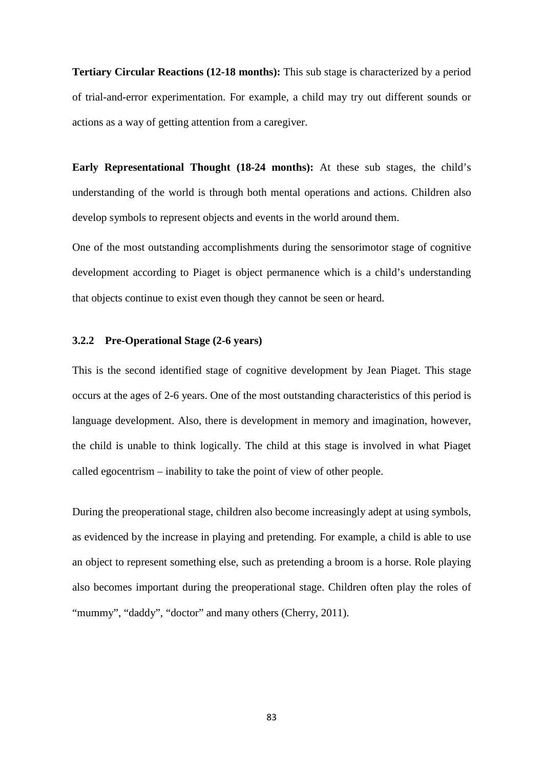**Tertiary Circular Reactions (12-18 months):** This sub stage is characterized by a period of trial-and-error experimentation. For example, a child may try out different sounds or actions as a way of getting attention from a caregiver.

**Early Representational Thought (18-24 months):** At these sub stages, the child's understanding of the world is through both mental operations and actions. Children also develop symbols to represent objects and events in the world around them.

One of the most outstanding accomplishments during the sensorimotor stage of cognitive development according to Piaget is object permanence which is a child's understanding that objects continue to exist even though they cannot be seen or heard.

### **3.2.2 Pre-Operational Stage (2-6 years)**

This is the second identified stage of cognitive development by Jean Piaget. This stage occurs at the ages of 2-6 years. One of the most outstanding characteristics of this period is language development. Also, there is development in memory and imagination, however, the child is unable to think logically. The child at this stage is involved in what Piaget called egocentrism – inability to take the point of view of other people.

During the preoperational stage, children also become increasingly adept at using symbols, as evidenced by the increase in playing and pretending. For example, a child is able to use an object to represent something else, such as pretending a broom is a horse. Role playing also becomes important during the preoperational stage. Children often play the roles of "mummy", "daddy", "doctor" and many others (Cherry, 2011).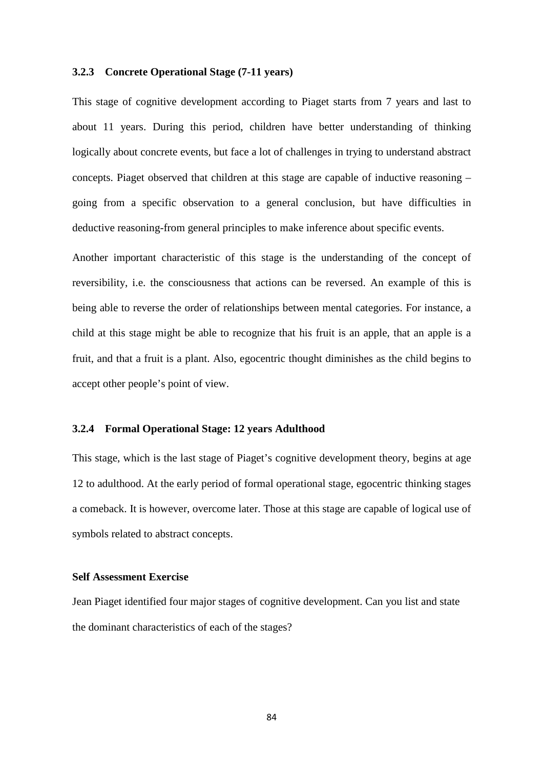#### **3.2.3 Concrete Operational Stage (7-11 years)**

This stage of cognitive development according to Piaget starts from 7 years and last to about 11 years. During this period, children have better understanding of thinking logically about concrete events, but face a lot of challenges in trying to understand abstract concepts. Piaget observed that children at this stage are capable of inductive reasoning – going from a specific observation to a general conclusion, but have difficulties in deductive reasoning-from general principles to make inference about specific events.

Another important characteristic of this stage is the understanding of the concept of reversibility, i.e. the consciousness that actions can be reversed. An example of this is being able to reverse the order of relationships between mental categories. For instance, a child at this stage might be able to recognize that his fruit is an apple, that an apple is a fruit, and that a fruit is a plant. Also, egocentric thought diminishes as the child begins to accept other people's point of view.

#### **3.2.4 Formal Operational Stage: 12 years Adulthood**

This stage, which is the last stage of Piaget's cognitive development theory, begins at age 12 to adulthood. At the early period of formal operational stage, egocentric thinking stages a comeback. It is however, overcome later. Those at this stage are capable of logical use of symbols related to abstract concepts.

#### **Self Assessment Exercise**

Jean Piaget identified four major stages of cognitive development. Can you list and state the dominant characteristics of each of the stages?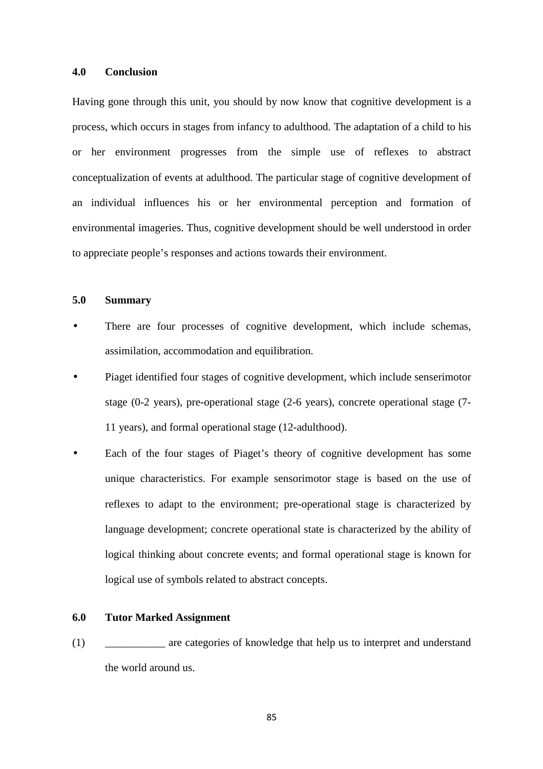#### **4.0 Conclusion**

Having gone through this unit, you should by now know that cognitive development is a process, which occurs in stages from infancy to adulthood. The adaptation of a child to his or her environment progresses from the simple use of reflexes to abstract conceptualization of events at adulthood. The particular stage of cognitive development of an individual influences his or her environmental perception and formation of environmental imageries. Thus, cognitive development should be well understood in order to appreciate people's responses and actions towards their environment.

#### **5.0 Summary**

- There are four processes of cognitive development, which include schemas, assimilation, accommodation and equilibration.
- Piaget identified four stages of cognitive development, which include senserimotor stage (0-2 years), pre-operational stage (2-6 years), concrete operational stage (7- 11 years), and formal operational stage (12-adulthood).
- Each of the four stages of Piaget's theory of cognitive development has some unique characteristics. For example sensorimotor stage is based on the use of reflexes to adapt to the environment; pre-operational stage is characterized by language development; concrete operational state is characterized by the ability of logical thinking about concrete events; and formal operational stage is known for logical use of symbols related to abstract concepts.

#### **6.0 Tutor Marked Assignment**

(1) \_\_\_\_\_\_\_\_\_\_\_ are categories of knowledge that help us to interpret and understand the world around us.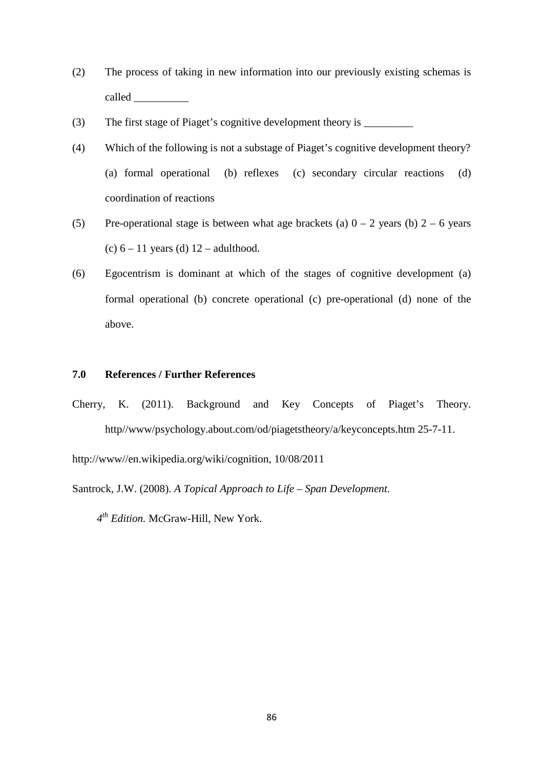- (2) The process of taking in new information into our previously existing schemas is called  $\Box$
- (3) The first stage of Piaget's cognitive development theory is \_\_\_\_\_\_\_\_\_
- (4) Which of the following is not a substage of Piaget's cognitive development theory? (a) formal operational (b) reflexes (c) secondary circular reactions (d) coordination of reactions
- (5) Pre-operational stage is between what age brackets (a)  $0 2$  years (b)  $2 6$  years (c)  $6 - 11$  years (d)  $12 - \text{adulthood.}$
- (6) Egocentrism is dominant at which of the stages of cognitive development (a) formal operational (b) concrete operational (c) pre-operational (d) none of the above.

# **7.0 References / Further References**

Cherry, K. (2011). Background and Key Concepts of Piaget's Theory. http//www/psychology.about.com/od/piagetstheory/a/keyconcepts.htm 25-7-11.

http://www//en.wikipedia.org/wiki/cognition, 10/08/2011

Santrock, J.W. (2008). *A Topical Approach to Life – Span Development.* 

 *4th Edition.* McGraw-Hill, New York.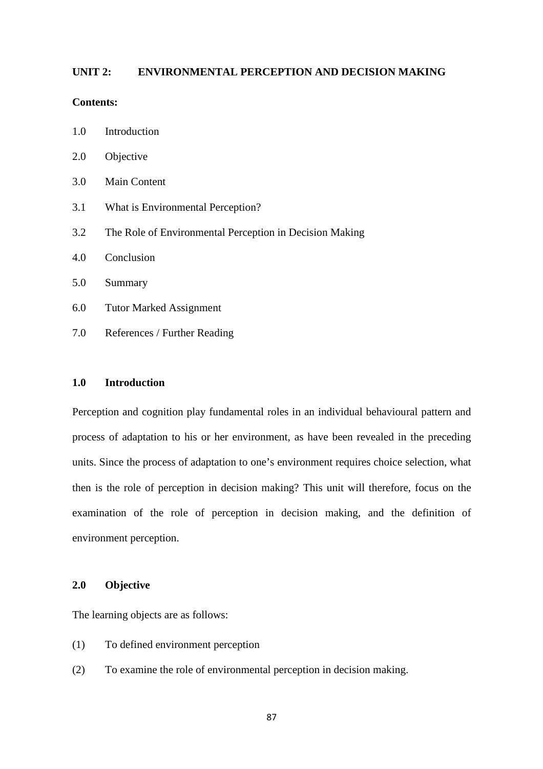# **UNIT 2: ENVIRONMENTAL PERCEPTION AND DECISION MAKING**

### **Contents:**

| 1.0 | Introduction |
|-----|--------------|
|-----|--------------|

- 2.0 Objective
- 3.0 Main Content
- 3.1 What is Environmental Perception?
- 3.2 The Role of Environmental Perception in Decision Making
- 4.0 Conclusion
- 5.0 Summary
- 6.0 Tutor Marked Assignment
- 7.0 References / Further Reading

#### **1.0 Introduction**

Perception and cognition play fundamental roles in an individual behavioural pattern and process of adaptation to his or her environment, as have been revealed in the preceding units. Since the process of adaptation to one's environment requires choice selection, what then is the role of perception in decision making? This unit will therefore, focus on the examination of the role of perception in decision making, and the definition of environment perception.

### **2.0 Objective**

The learning objects are as follows:

- (1) To defined environment perception
- (2) To examine the role of environmental perception in decision making.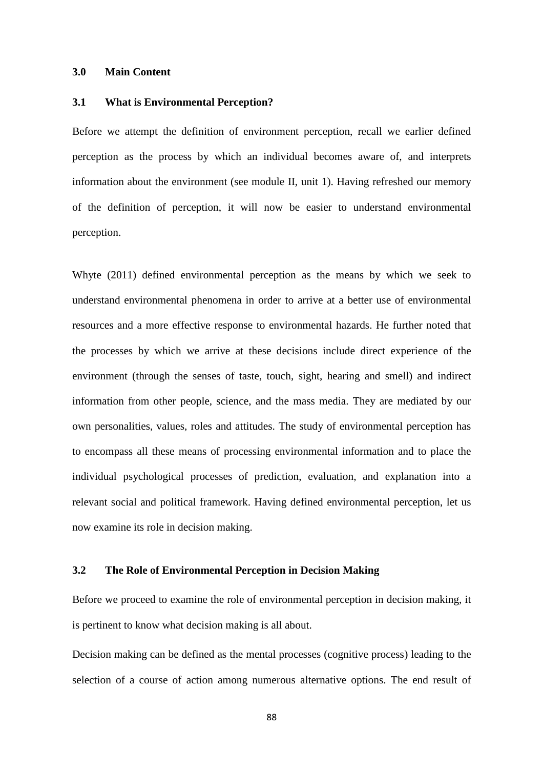#### **3.0 Main Content**

#### **3.1 What is Environmental Perception?**

Before we attempt the definition of environment perception, recall we earlier defined perception as the process by which an individual becomes aware of, and interprets information about the environment (see module II, unit 1). Having refreshed our memory of the definition of perception, it will now be easier to understand environmental perception.

Whyte (2011) defined environmental perception as the means by which we seek to understand environmental phenomena in order to arrive at a better use of environmental resources and a more effective response to environmental hazards. He further noted that the processes by which we arrive at these decisions include direct experience of the environment (through the senses of taste, touch, sight, hearing and smell) and indirect information from other people, science, and the mass media. They are mediated by our own personalities, values, roles and attitudes. The study of environmental perception has to encompass all these means of processing environmental information and to place the individual psychological processes of prediction, evaluation, and explanation into a relevant social and political framework. Having defined environmental perception, let us now examine its role in decision making.

# **3.2 The Role of Environmental Perception in Decision Making**

Before we proceed to examine the role of environmental perception in decision making, it is pertinent to know what decision making is all about.

Decision making can be defined as the mental processes (cognitive process) leading to the selection of a course of action among numerous alternative options. The end result of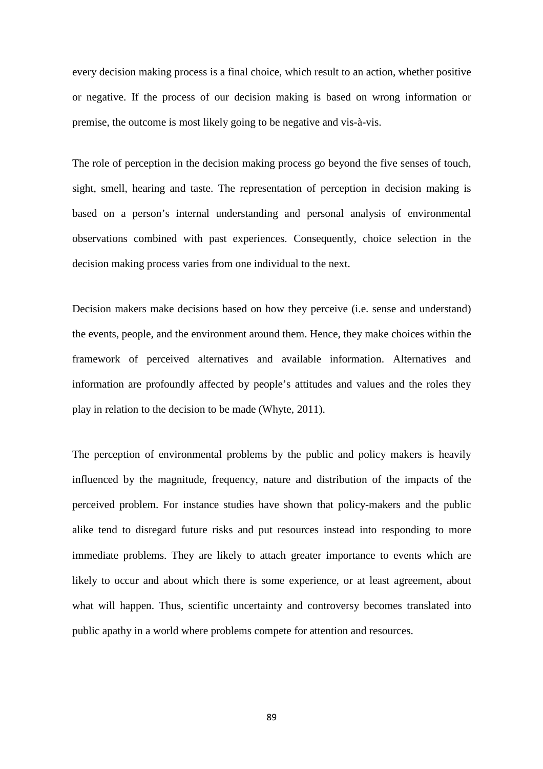every decision making process is a final choice, which result to an action, whether positive or negative. If the process of our decision making is based on wrong information or premise, the outcome is most likely going to be negative and vis-à-vis.

The role of perception in the decision making process go beyond the five senses of touch, sight, smell, hearing and taste. The representation of perception in decision making is based on a person's internal understanding and personal analysis of environmental observations combined with past experiences. Consequently, choice selection in the decision making process varies from one individual to the next.

Decision makers make decisions based on how they perceive (i.e. sense and understand) the events, people, and the environment around them. Hence, they make choices within the framework of perceived alternatives and available information. Alternatives and information are profoundly affected by people's attitudes and values and the roles they play in relation to the decision to be made (Whyte, 2011).

The perception of environmental problems by the public and policy makers is heavily influenced by the magnitude, frequency, nature and distribution of the impacts of the perceived problem. For instance studies have shown that policy-makers and the public alike tend to disregard future risks and put resources instead into responding to more immediate problems. They are likely to attach greater importance to events which are likely to occur and about which there is some experience, or at least agreement, about what will happen. Thus, scientific uncertainty and controversy becomes translated into public apathy in a world where problems compete for attention and resources.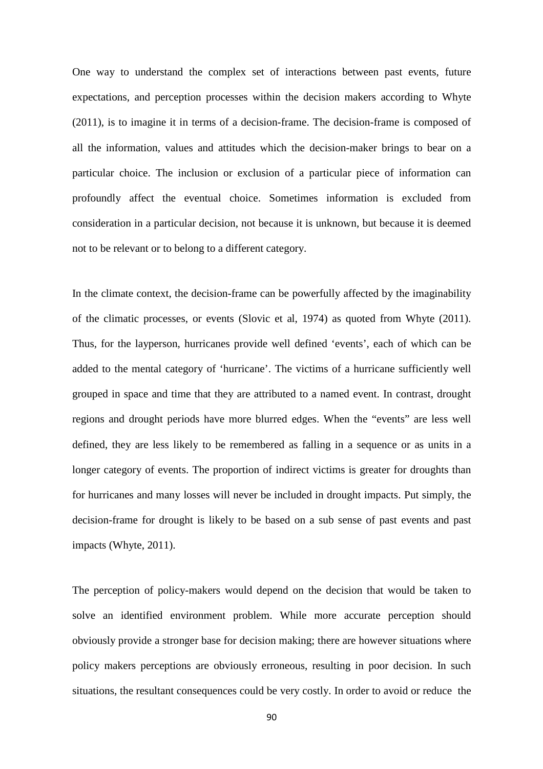One way to understand the complex set of interactions between past events, future expectations, and perception processes within the decision makers according to Whyte (2011), is to imagine it in terms of a decision-frame. The decision-frame is composed of all the information, values and attitudes which the decision-maker brings to bear on a particular choice. The inclusion or exclusion of a particular piece of information can profoundly affect the eventual choice. Sometimes information is excluded from consideration in a particular decision, not because it is unknown, but because it is deemed not to be relevant or to belong to a different category.

In the climate context, the decision-frame can be powerfully affected by the imaginability of the climatic processes, or events (Slovic et al, 1974) as quoted from Whyte (2011). Thus, for the layperson, hurricanes provide well defined 'events', each of which can be added to the mental category of 'hurricane'. The victims of a hurricane sufficiently well grouped in space and time that they are attributed to a named event. In contrast, drought regions and drought periods have more blurred edges. When the "events" are less well defined, they are less likely to be remembered as falling in a sequence or as units in a longer category of events. The proportion of indirect victims is greater for droughts than for hurricanes and many losses will never be included in drought impacts. Put simply, the decision-frame for drought is likely to be based on a sub sense of past events and past impacts (Whyte, 2011).

The perception of policy-makers would depend on the decision that would be taken to solve an identified environment problem. While more accurate perception should obviously provide a stronger base for decision making; there are however situations where policy makers perceptions are obviously erroneous, resulting in poor decision. In such situations, the resultant consequences could be very costly. In order to avoid or reduce the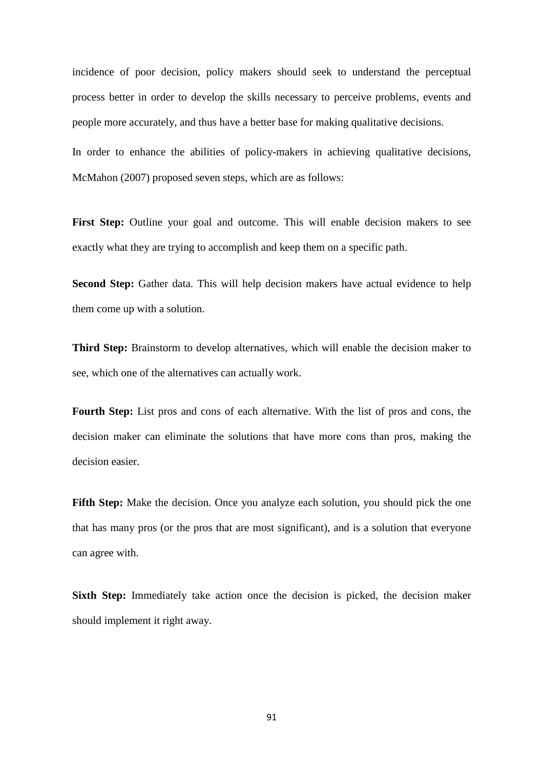incidence of poor decision, policy makers should seek to understand the perceptual process better in order to develop the skills necessary to perceive problems, events and people more accurately, and thus have a better base for making qualitative decisions.

In order to enhance the abilities of policy-makers in achieving qualitative decisions, McMahon (2007) proposed seven steps, which are as follows:

First Step: Outline your goal and outcome. This will enable decision makers to see exactly what they are trying to accomplish and keep them on a specific path.

**Second Step:** Gather data. This will help decision makers have actual evidence to help them come up with a solution.

**Third Step:** Brainstorm to develop alternatives, which will enable the decision maker to see, which one of the alternatives can actually work.

**Fourth Step:** List pros and cons of each alternative. With the list of pros and cons, the decision maker can eliminate the solutions that have more cons than pros, making the decision easier.

**Fifth Step:** Make the decision. Once you analyze each solution, you should pick the one that has many pros (or the pros that are most significant), and is a solution that everyone can agree with.

**Sixth Step:** Immediately take action once the decision is picked, the decision maker should implement it right away.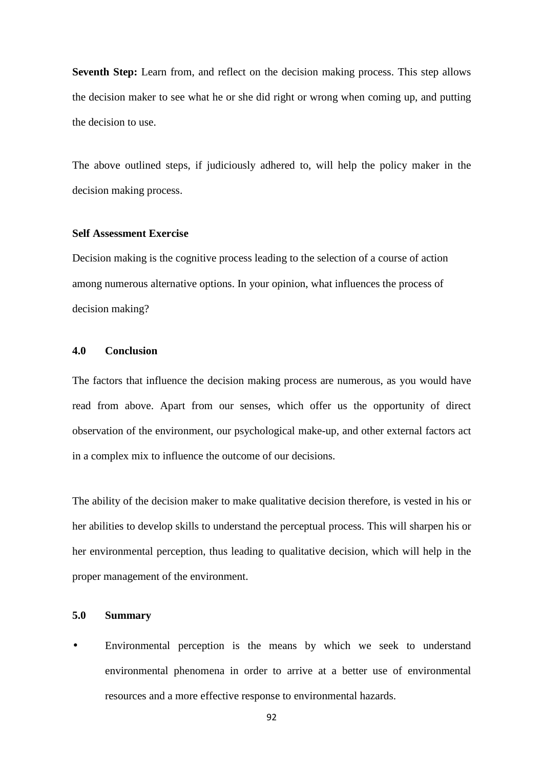**Seventh Step:** Learn from, and reflect on the decision making process. This step allows the decision maker to see what he or she did right or wrong when coming up, and putting the decision to use.

The above outlined steps, if judiciously adhered to, will help the policy maker in the decision making process.

#### **Self Assessment Exercise**

Decision making is the cognitive process leading to the selection of a course of action among numerous alternative options. In your opinion, what influences the process of decision making?

### **4.0 Conclusion**

The factors that influence the decision making process are numerous, as you would have read from above. Apart from our senses, which offer us the opportunity of direct observation of the environment, our psychological make-up, and other external factors act in a complex mix to influence the outcome of our decisions.

The ability of the decision maker to make qualitative decision therefore, is vested in his or her abilities to develop skills to understand the perceptual process. This will sharpen his or her environmental perception, thus leading to qualitative decision, which will help in the proper management of the environment.

# **5.0 Summary**

• Environmental perception is the means by which we seek to understand environmental phenomena in order to arrive at a better use of environmental resources and a more effective response to environmental hazards.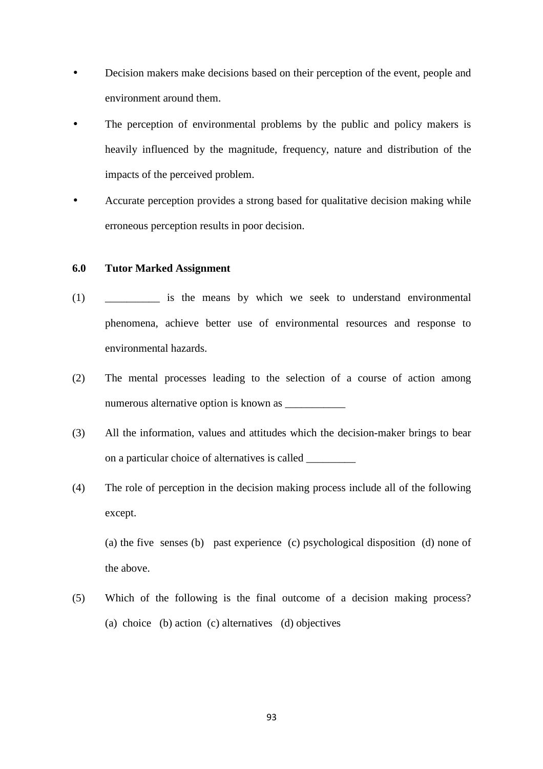- Decision makers make decisions based on their perception of the event, people and environment around them.
- The perception of environmental problems by the public and policy makers is heavily influenced by the magnitude, frequency, nature and distribution of the impacts of the perceived problem.
- Accurate perception provides a strong based for qualitative decision making while erroneous perception results in poor decision.

## **6.0 Tutor Marked Assignment**

- (1) \_\_\_\_\_\_\_\_\_\_ is the means by which we seek to understand environmental phenomena, achieve better use of environmental resources and response to environmental hazards.
- (2) The mental processes leading to the selection of a course of action among numerous alternative option is known as
- (3) All the information, values and attitudes which the decision-maker brings to bear on a particular choice of alternatives is called \_\_\_\_\_\_\_\_\_
- (4) The role of perception in the decision making process include all of the following except.

(a) the five senses (b) past experience (c) psychological disposition (d) none of the above.

(5) Which of the following is the final outcome of a decision making process? (a) choice (b) action (c) alternatives (d) objectives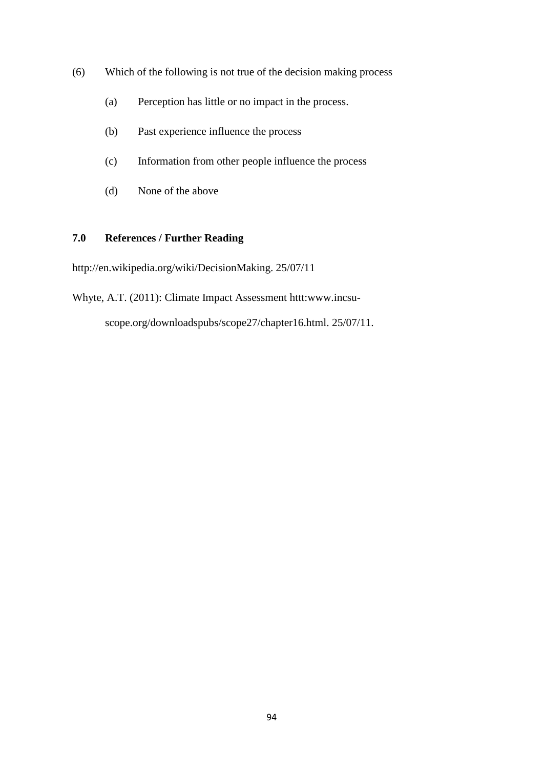- (6) Which of the following is not true of the decision making process
	- (a) Perception has little or no impact in the process.
	- (b) Past experience influence the process
	- (c) Information from other people influence the process
	- (d) None of the above

# **7.0 References / Further Reading**

http://en.wikipedia.org/wiki/DecisionMaking. 25/07/11

Whyte, A.T. (2011): Climate Impact Assessment httt:www.incsu-

scope.org/downloadspubs/scope27/chapter16.html. 25/07/11.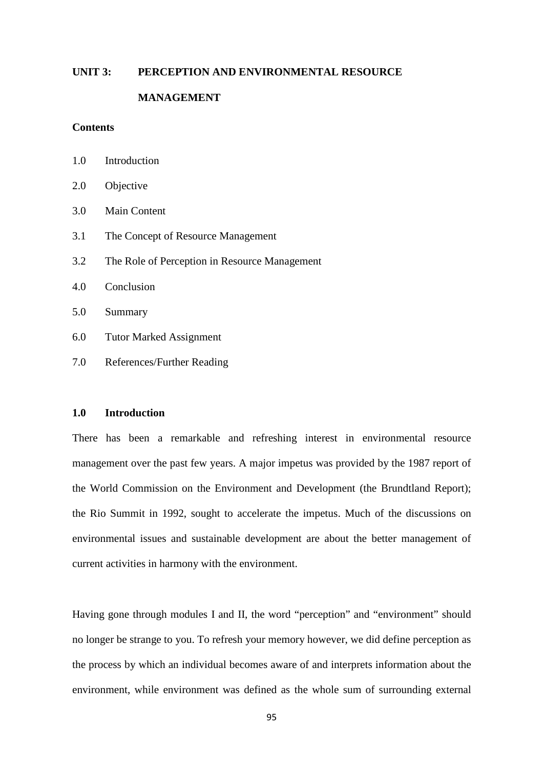#### **UNIT 3: PERCEPTION AND ENVIRONMENTAL RESOURCE**

### **MANAGEMENT**

# **Contents**

| 1.0 | Introduction                                  |
|-----|-----------------------------------------------|
| 2.0 | Objective                                     |
| 3.0 | <b>Main Content</b>                           |
| 3.1 | The Concept of Resource Management            |
| 3.2 | The Role of Perception in Resource Management |
| 4.0 | Conclusion                                    |
| 5.0 | Summary                                       |
| 6.0 | <b>Tutor Marked Assignment</b>                |
| 7.0 | References/Further Reading                    |

### **1.0 Introduction**

There has been a remarkable and refreshing interest in environmental resource management over the past few years. A major impetus was provided by the 1987 report of the World Commission on the Environment and Development (the Brundtland Report); the Rio Summit in 1992, sought to accelerate the impetus. Much of the discussions on environmental issues and sustainable development are about the better management of current activities in harmony with the environment.

Having gone through modules I and II, the word "perception" and "environment" should no longer be strange to you. To refresh your memory however, we did define perception as the process by which an individual becomes aware of and interprets information about the environment, while environment was defined as the whole sum of surrounding external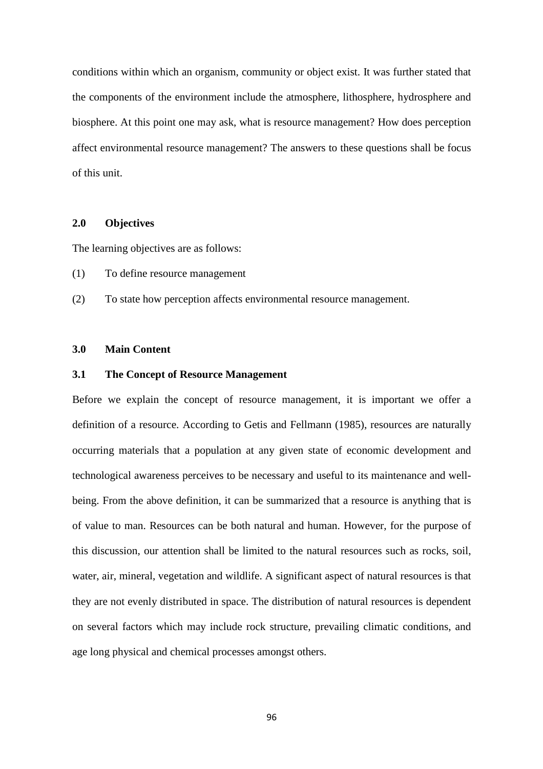conditions within which an organism, community or object exist. It was further stated that the components of the environment include the atmosphere, lithosphere, hydrosphere and biosphere. At this point one may ask, what is resource management? How does perception affect environmental resource management? The answers to these questions shall be focus of this unit.

### **2.0 Objectives**

The learning objectives are as follows:

- (1) To define resource management
- (2) To state how perception affects environmental resource management.

# **3.0 Main Content**

# **3.1 The Concept of Resource Management**

Before we explain the concept of resource management, it is important we offer a definition of a resource. According to Getis and Fellmann (1985), resources are naturally occurring materials that a population at any given state of economic development and technological awareness perceives to be necessary and useful to its maintenance and wellbeing. From the above definition, it can be summarized that a resource is anything that is of value to man. Resources can be both natural and human. However, for the purpose of this discussion, our attention shall be limited to the natural resources such as rocks, soil, water, air, mineral, vegetation and wildlife. A significant aspect of natural resources is that they are not evenly distributed in space. The distribution of natural resources is dependent on several factors which may include rock structure, prevailing climatic conditions, and age long physical and chemical processes amongst others.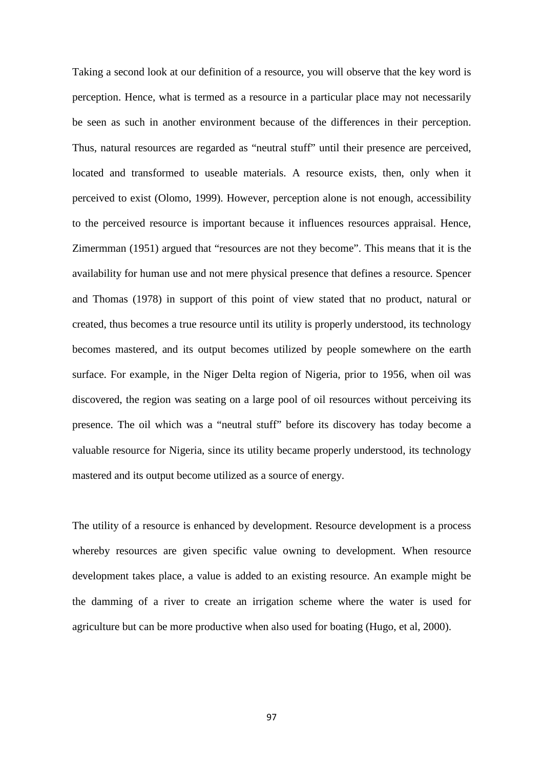Taking a second look at our definition of a resource, you will observe that the key word is perception. Hence, what is termed as a resource in a particular place may not necessarily be seen as such in another environment because of the differences in their perception. Thus, natural resources are regarded as "neutral stuff" until their presence are perceived, located and transformed to useable materials. A resource exists, then, only when it perceived to exist (Olomo, 1999). However, perception alone is not enough, accessibility to the perceived resource is important because it influences resources appraisal. Hence, Zimermman (1951) argued that "resources are not they become". This means that it is the availability for human use and not mere physical presence that defines a resource. Spencer and Thomas (1978) in support of this point of view stated that no product, natural or created, thus becomes a true resource until its utility is properly understood, its technology becomes mastered, and its output becomes utilized by people somewhere on the earth surface. For example, in the Niger Delta region of Nigeria, prior to 1956, when oil was discovered, the region was seating on a large pool of oil resources without perceiving its presence. The oil which was a "neutral stuff" before its discovery has today become a valuable resource for Nigeria, since its utility became properly understood, its technology mastered and its output become utilized as a source of energy.

The utility of a resource is enhanced by development. Resource development is a process whereby resources are given specific value owning to development. When resource development takes place, a value is added to an existing resource. An example might be the damming of a river to create an irrigation scheme where the water is used for agriculture but can be more productive when also used for boating (Hugo, et al, 2000).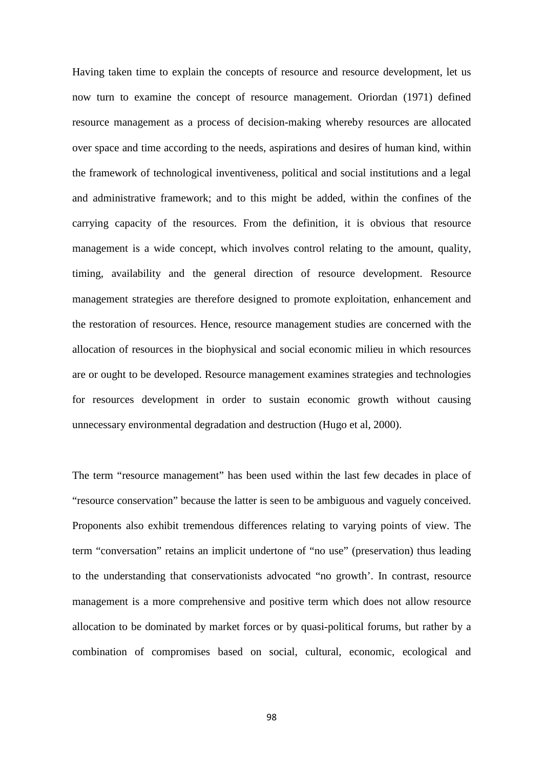Having taken time to explain the concepts of resource and resource development, let us now turn to examine the concept of resource management. Oriordan (1971) defined resource management as a process of decision-making whereby resources are allocated over space and time according to the needs, aspirations and desires of human kind, within the framework of technological inventiveness, political and social institutions and a legal and administrative framework; and to this might be added, within the confines of the carrying capacity of the resources. From the definition, it is obvious that resource management is a wide concept, which involves control relating to the amount, quality, timing, availability and the general direction of resource development. Resource management strategies are therefore designed to promote exploitation, enhancement and the restoration of resources. Hence, resource management studies are concerned with the allocation of resources in the biophysical and social economic milieu in which resources are or ought to be developed. Resource management examines strategies and technologies for resources development in order to sustain economic growth without causing unnecessary environmental degradation and destruction (Hugo et al, 2000).

The term "resource management" has been used within the last few decades in place of "resource conservation" because the latter is seen to be ambiguous and vaguely conceived. Proponents also exhibit tremendous differences relating to varying points of view. The term "conversation" retains an implicit undertone of "no use" (preservation) thus leading to the understanding that conservationists advocated "no growth'. In contrast, resource management is a more comprehensive and positive term which does not allow resource allocation to be dominated by market forces or by quasi-political forums, but rather by a combination of compromises based on social, cultural, economic, ecological and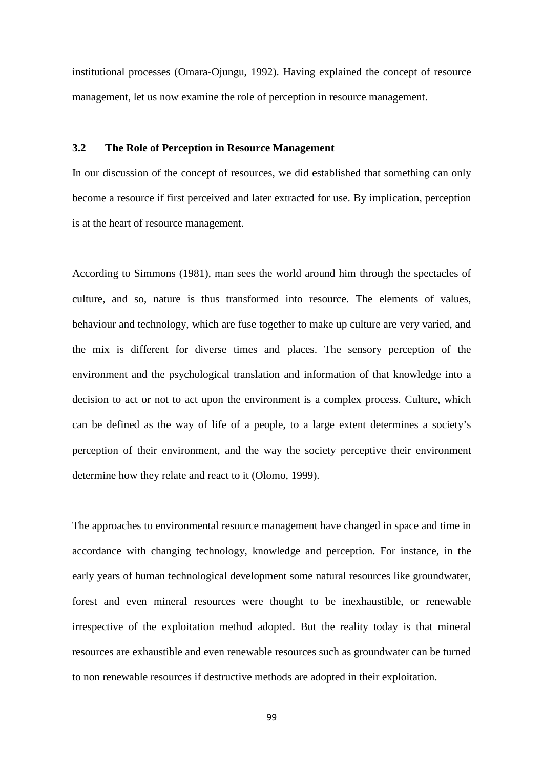institutional processes (Omara-Ojungu, 1992). Having explained the concept of resource management, let us now examine the role of perception in resource management.

## **3.2 The Role of Perception in Resource Management**

In our discussion of the concept of resources, we did established that something can only become a resource if first perceived and later extracted for use. By implication, perception is at the heart of resource management.

According to Simmons (1981), man sees the world around him through the spectacles of culture, and so, nature is thus transformed into resource. The elements of values, behaviour and technology, which are fuse together to make up culture are very varied, and the mix is different for diverse times and places. The sensory perception of the environment and the psychological translation and information of that knowledge into a decision to act or not to act upon the environment is a complex process. Culture, which can be defined as the way of life of a people, to a large extent determines a society's perception of their environment, and the way the society perceptive their environment determine how they relate and react to it (Olomo, 1999).

The approaches to environmental resource management have changed in space and time in accordance with changing technology, knowledge and perception. For instance, in the early years of human technological development some natural resources like groundwater, forest and even mineral resources were thought to be inexhaustible, or renewable irrespective of the exploitation method adopted. But the reality today is that mineral resources are exhaustible and even renewable resources such as groundwater can be turned to non renewable resources if destructive methods are adopted in their exploitation.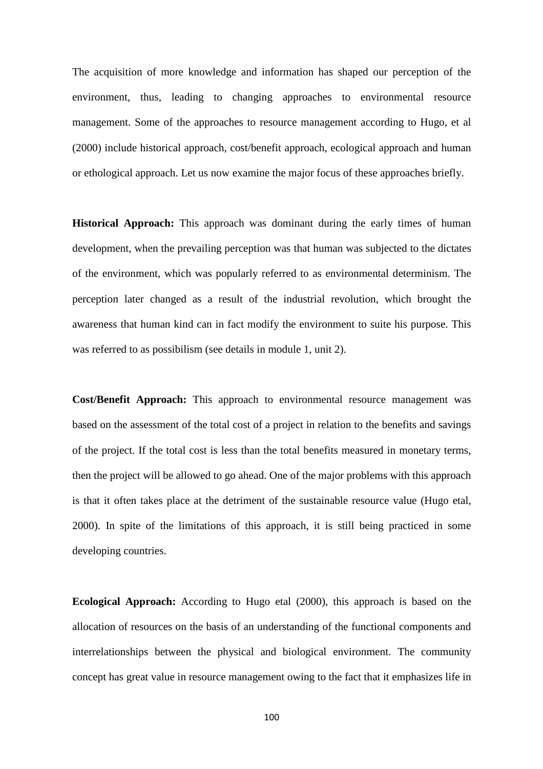The acquisition of more knowledge and information has shaped our perception of the environment, thus, leading to changing approaches to environmental resource management. Some of the approaches to resource management according to Hugo, et al (2000) include historical approach, cost/benefit approach, ecological approach and human or ethological approach. Let us now examine the major focus of these approaches briefly.

**Historical Approach:** This approach was dominant during the early times of human development, when the prevailing perception was that human was subjected to the dictates of the environment, which was popularly referred to as environmental determinism. The perception later changed as a result of the industrial revolution, which brought the awareness that human kind can in fact modify the environment to suite his purpose. This was referred to as possibilism (see details in module 1, unit 2).

**Cost/Benefit Approach:** This approach to environmental resource management was based on the assessment of the total cost of a project in relation to the benefits and savings of the project. If the total cost is less than the total benefits measured in monetary terms, then the project will be allowed to go ahead. One of the major problems with this approach is that it often takes place at the detriment of the sustainable resource value (Hugo etal, 2000). In spite of the limitations of this approach, it is still being practiced in some developing countries.

**Ecological Approach:** According to Hugo etal (2000), this approach is based on the allocation of resources on the basis of an understanding of the functional components and interrelationships between the physical and biological environment. The community concept has great value in resource management owing to the fact that it emphasizes life in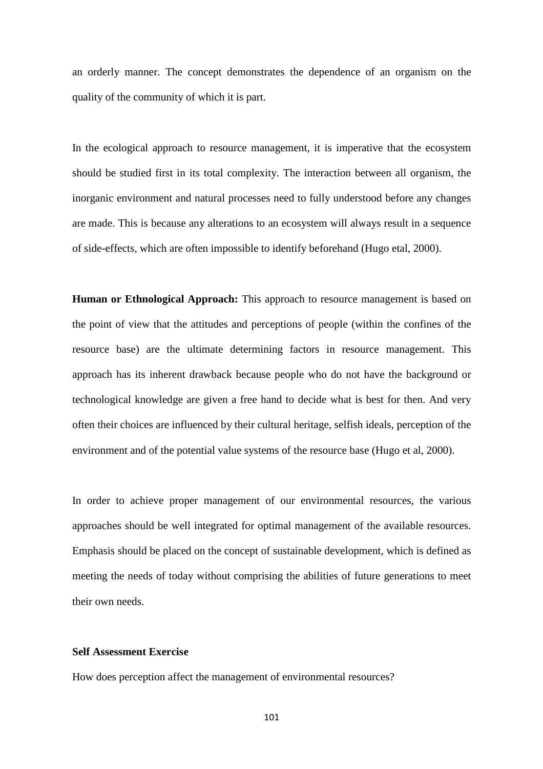an orderly manner. The concept demonstrates the dependence of an organism on the quality of the community of which it is part.

In the ecological approach to resource management, it is imperative that the ecosystem should be studied first in its total complexity. The interaction between all organism, the inorganic environment and natural processes need to fully understood before any changes are made. This is because any alterations to an ecosystem will always result in a sequence of side-effects, which are often impossible to identify beforehand (Hugo etal, 2000).

**Human or Ethnological Approach:** This approach to resource management is based on the point of view that the attitudes and perceptions of people (within the confines of the resource base) are the ultimate determining factors in resource management. This approach has its inherent drawback because people who do not have the background or technological knowledge are given a free hand to decide what is best for then. And very often their choices are influenced by their cultural heritage, selfish ideals, perception of the environment and of the potential value systems of the resource base (Hugo et al, 2000).

In order to achieve proper management of our environmental resources, the various approaches should be well integrated for optimal management of the available resources. Emphasis should be placed on the concept of sustainable development, which is defined as meeting the needs of today without comprising the abilities of future generations to meet their own needs.

### **Self Assessment Exercise**

How does perception affect the management of environmental resources?

101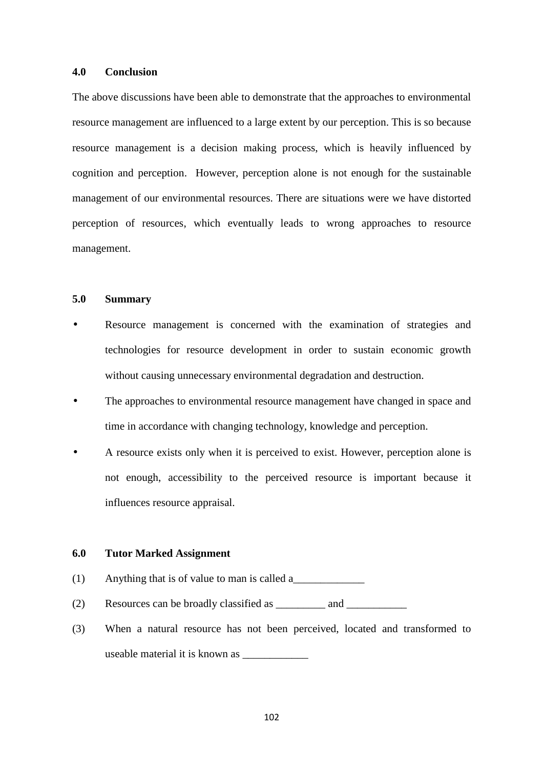### **4.0 Conclusion**

The above discussions have been able to demonstrate that the approaches to environmental resource management are influenced to a large extent by our perception. This is so because resource management is a decision making process, which is heavily influenced by cognition and perception. However, perception alone is not enough for the sustainable management of our environmental resources. There are situations were we have distorted perception of resources, which eventually leads to wrong approaches to resource management.

## **5.0 Summary**

- Resource management is concerned with the examination of strategies and technologies for resource development in order to sustain economic growth without causing unnecessary environmental degradation and destruction.
- The approaches to environmental resource management have changed in space and time in accordance with changing technology, knowledge and perception.
- A resource exists only when it is perceived to exist. However, perception alone is not enough, accessibility to the perceived resource is important because it influences resource appraisal.

#### **6.0 Tutor Marked Assignment**

- (1) Anything that is of value to man is called a
- $(2)$  Resources can be broadly classified as  $\qquad$  and  $\qquad$
- (3) When a natural resource has not been perceived, located and transformed to useable material it is known as \_\_\_\_\_\_\_\_\_\_\_\_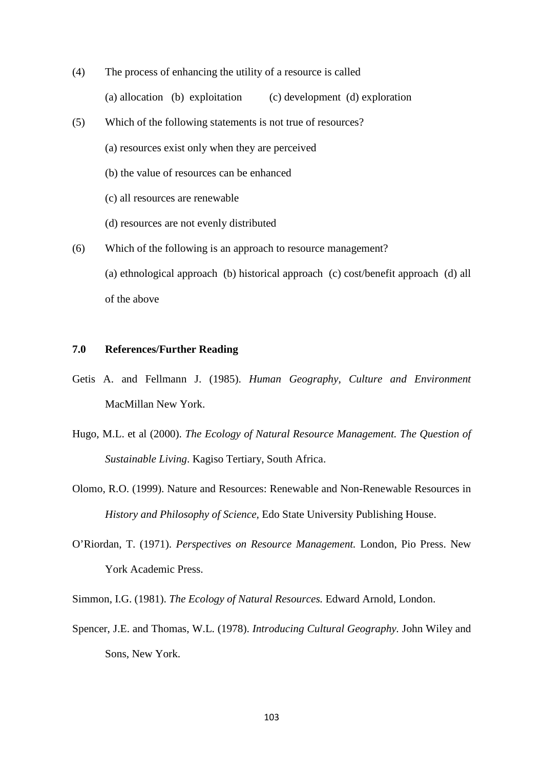- (4) The process of enhancing the utility of a resource is called (a) allocation (b) exploitation (c) development (d) exploration
- (5) Which of the following statements is not true of resources?
	- (a) resources exist only when they are perceived
	- (b) the value of resources can be enhanced
	- (c) all resources are renewable
	- (d) resources are not evenly distributed
- (6) Which of the following is an approach to resource management?
	- (a) ethnological approach (b) historical approach (c) cost/benefit approach (d) all of the above

# **7.0 References/Further Reading**

- Getis A. and Fellmann J. (1985). *Human Geography, Culture and Environment* MacMillan New York.
- Hugo, M.L. et al (2000). *The Ecology of Natural Resource Management. The Question of Sustainable Living*. Kagiso Tertiary, South Africa.
- Olomo, R.O. (1999). Nature and Resources: Renewable and Non-Renewable Resources in *History and Philosophy of Science,* Edo State University Publishing House.
- O'Riordan, T. (1971). *Perspectives on Resource Management.* London, Pio Press. New York Academic Press.

Simmon, I.G. (1981). *The Ecology of Natural Resources.* Edward Arnold, London.

Spencer, J.E. and Thomas, W.L. (1978). *Introducing Cultural Geography.* John Wiley and Sons, New York.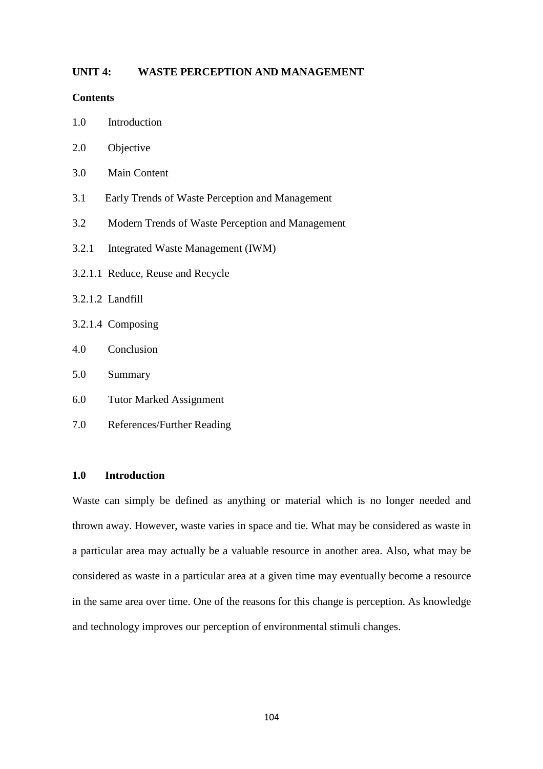# **UNIT 4: WASTE PERCEPTION AND MANAGEMENT**

### **Contents**

- 1.0 Introduction
- 2.0 Objective
- 3.0 Main Content
- 3.1 Early Trends of Waste Perception and Management
- 3.2 Modern Trends of Waste Perception and Management
- 3.2.1 Integrated Waste Management (IWM)
- 3.2.1.1 Reduce, Reuse and Recycle
- 3.2.1.2 Landfill
- 3.2.1.4 Composing
- 4.0 Conclusion
- 5.0 Summary
- 6.0 Tutor Marked Assignment
- 7.0 References/Further Reading

# **1.0 Introduction**

Waste can simply be defined as anything or material which is no longer needed and thrown away. However, waste varies in space and tie. What may be considered as waste in a particular area may actually be a valuable resource in another area. Also, what may be considered as waste in a particular area at a given time may eventually become a resource in the same area over time. One of the reasons for this change is perception. As knowledge and technology improves our perception of environmental stimuli changes.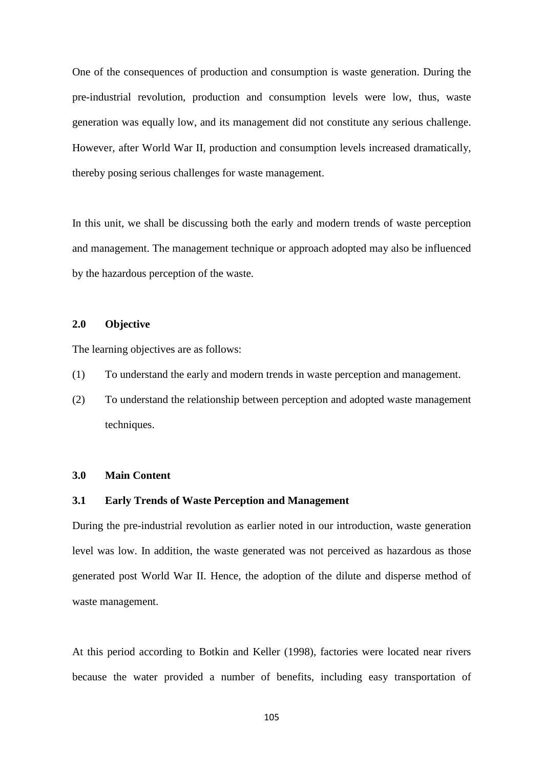One of the consequences of production and consumption is waste generation. During the pre-industrial revolution, production and consumption levels were low, thus, waste generation was equally low, and its management did not constitute any serious challenge. However, after World War II, production and consumption levels increased dramatically, thereby posing serious challenges for waste management.

In this unit, we shall be discussing both the early and modern trends of waste perception and management. The management technique or approach adopted may also be influenced by the hazardous perception of the waste.

# **2.0 Objective**

The learning objectives are as follows:

- (1) To understand the early and modern trends in waste perception and management.
- (2) To understand the relationship between perception and adopted waste management techniques.

## **3.0 Main Content**

#### **3.1 Early Trends of Waste Perception and Management**

During the pre-industrial revolution as earlier noted in our introduction, waste generation level was low. In addition, the waste generated was not perceived as hazardous as those generated post World War II. Hence, the adoption of the dilute and disperse method of waste management.

At this period according to Botkin and Keller (1998), factories were located near rivers because the water provided a number of benefits, including easy transportation of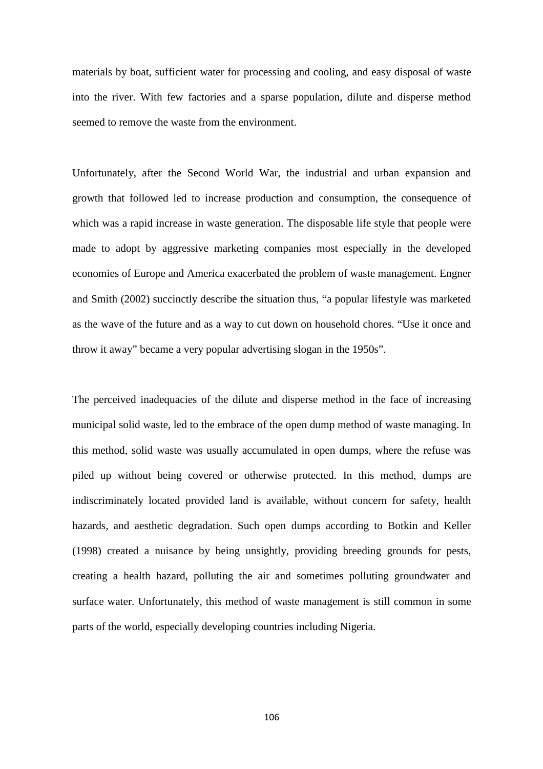materials by boat, sufficient water for processing and cooling, and easy disposal of waste into the river. With few factories and a sparse population, dilute and disperse method seemed to remove the waste from the environment.

Unfortunately, after the Second World War, the industrial and urban expansion and growth that followed led to increase production and consumption, the consequence of which was a rapid increase in waste generation. The disposable life style that people were made to adopt by aggressive marketing companies most especially in the developed economies of Europe and America exacerbated the problem of waste management. Engner and Smith (2002) succinctly describe the situation thus, "a popular lifestyle was marketed as the wave of the future and as a way to cut down on household chores. "Use it once and throw it away" became a very popular advertising slogan in the 1950s".

The perceived inadequacies of the dilute and disperse method in the face of increasing municipal solid waste, led to the embrace of the open dump method of waste managing. In this method, solid waste was usually accumulated in open dumps, where the refuse was piled up without being covered or otherwise protected. In this method, dumps are indiscriminately located provided land is available, without concern for safety, health hazards, and aesthetic degradation. Such open dumps according to Botkin and Keller (1998) created a nuisance by being unsightly, providing breeding grounds for pests, creating a health hazard, polluting the air and sometimes polluting groundwater and surface water. Unfortunately, this method of waste management is still common in some parts of the world, especially developing countries including Nigeria.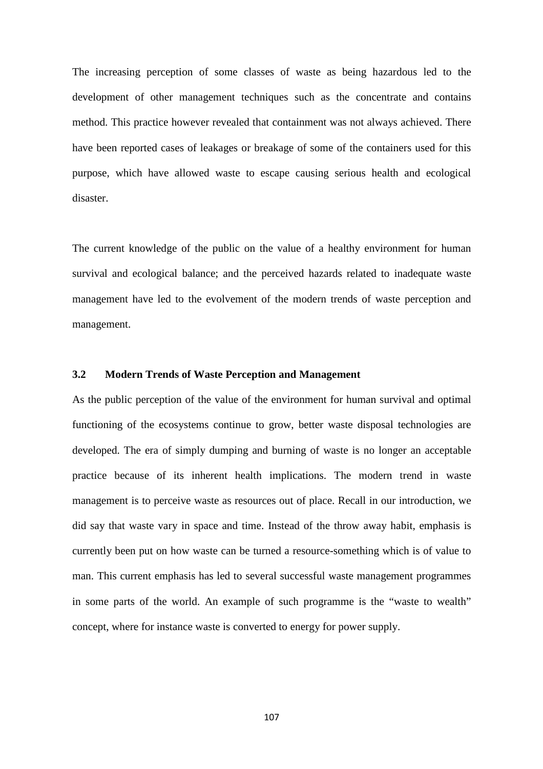The increasing perception of some classes of waste as being hazardous led to the development of other management techniques such as the concentrate and contains method. This practice however revealed that containment was not always achieved. There have been reported cases of leakages or breakage of some of the containers used for this purpose, which have allowed waste to escape causing serious health and ecological disaster.

The current knowledge of the public on the value of a healthy environment for human survival and ecological balance; and the perceived hazards related to inadequate waste management have led to the evolvement of the modern trends of waste perception and management.

# **3.2 Modern Trends of Waste Perception and Management**

As the public perception of the value of the environment for human survival and optimal functioning of the ecosystems continue to grow, better waste disposal technologies are developed. The era of simply dumping and burning of waste is no longer an acceptable practice because of its inherent health implications. The modern trend in waste management is to perceive waste as resources out of place. Recall in our introduction, we did say that waste vary in space and time. Instead of the throw away habit, emphasis is currently been put on how waste can be turned a resource-something which is of value to man. This current emphasis has led to several successful waste management programmes in some parts of the world. An example of such programme is the "waste to wealth" concept, where for instance waste is converted to energy for power supply.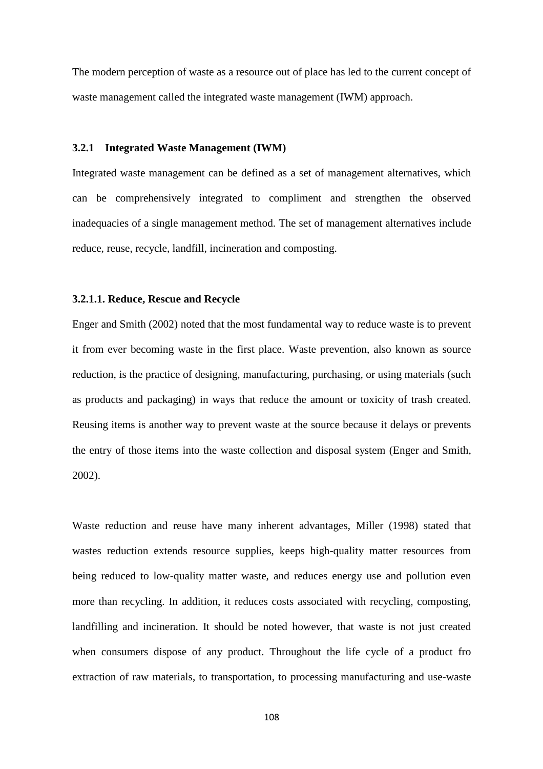The modern perception of waste as a resource out of place has led to the current concept of waste management called the integrated waste management (IWM) approach.

#### **3.2.1 Integrated Waste Management (IWM)**

Integrated waste management can be defined as a set of management alternatives, which can be comprehensively integrated to compliment and strengthen the observed inadequacies of a single management method. The set of management alternatives include reduce, reuse, recycle, landfill, incineration and composting.

#### **3.2.1.1. Reduce, Rescue and Recycle**

Enger and Smith (2002) noted that the most fundamental way to reduce waste is to prevent it from ever becoming waste in the first place. Waste prevention, also known as source reduction, is the practice of designing, manufacturing, purchasing, or using materials (such as products and packaging) in ways that reduce the amount or toxicity of trash created. Reusing items is another way to prevent waste at the source because it delays or prevents the entry of those items into the waste collection and disposal system (Enger and Smith, 2002).

Waste reduction and reuse have many inherent advantages, Miller (1998) stated that wastes reduction extends resource supplies, keeps high-quality matter resources from being reduced to low-quality matter waste, and reduces energy use and pollution even more than recycling. In addition, it reduces costs associated with recycling, composting, landfilling and incineration. It should be noted however, that waste is not just created when consumers dispose of any product. Throughout the life cycle of a product fro extraction of raw materials, to transportation, to processing manufacturing and use-waste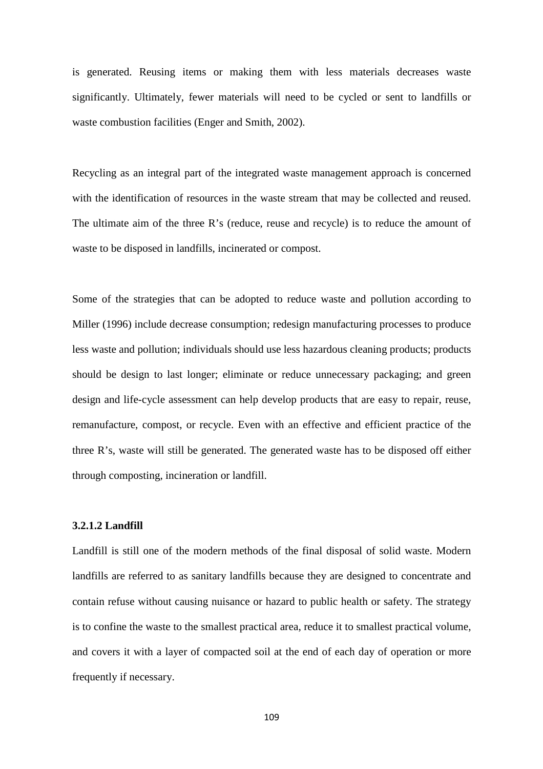is generated. Reusing items or making them with less materials decreases waste significantly. Ultimately, fewer materials will need to be cycled or sent to landfills or waste combustion facilities (Enger and Smith, 2002).

Recycling as an integral part of the integrated waste management approach is concerned with the identification of resources in the waste stream that may be collected and reused. The ultimate aim of the three R's (reduce, reuse and recycle) is to reduce the amount of waste to be disposed in landfills, incinerated or compost.

Some of the strategies that can be adopted to reduce waste and pollution according to Miller (1996) include decrease consumption; redesign manufacturing processes to produce less waste and pollution; individuals should use less hazardous cleaning products; products should be design to last longer; eliminate or reduce unnecessary packaging; and green design and life-cycle assessment can help develop products that are easy to repair, reuse, remanufacture, compost, or recycle. Even with an effective and efficient practice of the three R's, waste will still be generated. The generated waste has to be disposed off either through composting, incineration or landfill.

#### **3.2.1.2 Landfill**

Landfill is still one of the modern methods of the final disposal of solid waste. Modern landfills are referred to as sanitary landfills because they are designed to concentrate and contain refuse without causing nuisance or hazard to public health or safety. The strategy is to confine the waste to the smallest practical area, reduce it to smallest practical volume, and covers it with a layer of compacted soil at the end of each day of operation or more frequently if necessary.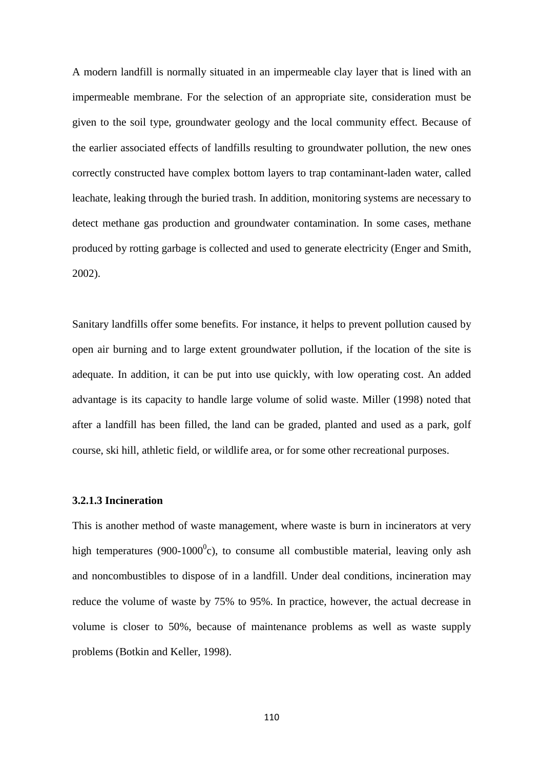A modern landfill is normally situated in an impermeable clay layer that is lined with an impermeable membrane. For the selection of an appropriate site, consideration must be given to the soil type, groundwater geology and the local community effect. Because of the earlier associated effects of landfills resulting to groundwater pollution, the new ones correctly constructed have complex bottom layers to trap contaminant-laden water, called leachate, leaking through the buried trash. In addition, monitoring systems are necessary to detect methane gas production and groundwater contamination. In some cases, methane produced by rotting garbage is collected and used to generate electricity (Enger and Smith, 2002).

Sanitary landfills offer some benefits. For instance, it helps to prevent pollution caused by open air burning and to large extent groundwater pollution, if the location of the site is adequate. In addition, it can be put into use quickly, with low operating cost. An added advantage is its capacity to handle large volume of solid waste. Miller (1998) noted that after a landfill has been filled, the land can be graded, planted and used as a park, golf course, ski hill, athletic field, or wildlife area, or for some other recreational purposes.

#### **3.2.1.3 Incineration**

This is another method of waste management, where waste is burn in incinerators at very high temperatures (900-1000 $^0$ c), to consume all combustible material, leaving only ash and noncombustibles to dispose of in a landfill. Under deal conditions, incineration may reduce the volume of waste by 75% to 95%. In practice, however, the actual decrease in volume is closer to 50%, because of maintenance problems as well as waste supply problems (Botkin and Keller, 1998).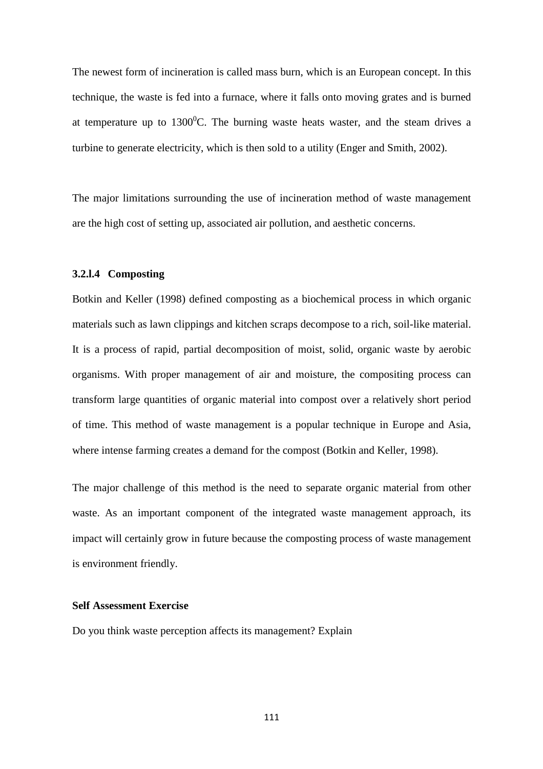The newest form of incineration is called mass burn, which is an European concept. In this technique, the waste is fed into a furnace, where it falls onto moving grates and is burned at temperature up to  $1300^0$ C. The burning waste heats waster, and the steam drives a turbine to generate electricity, which is then sold to a utility (Enger and Smith, 2002).

The major limitations surrounding the use of incineration method of waste management are the high cost of setting up, associated air pollution, and aesthetic concerns.

#### **3.2.l.4 Composting**

Botkin and Keller (1998) defined composting as a biochemical process in which organic materials such as lawn clippings and kitchen scraps decompose to a rich, soil-like material. It is a process of rapid, partial decomposition of moist, solid, organic waste by aerobic organisms. With proper management of air and moisture, the compositing process can transform large quantities of organic material into compost over a relatively short period of time. This method of waste management is a popular technique in Europe and Asia, where intense farming creates a demand for the compost (Botkin and Keller, 1998).

The major challenge of this method is the need to separate organic material from other waste. As an important component of the integrated waste management approach, its impact will certainly grow in future because the composting process of waste management is environment friendly.

### **Self Assessment Exercise**

Do you think waste perception affects its management? Explain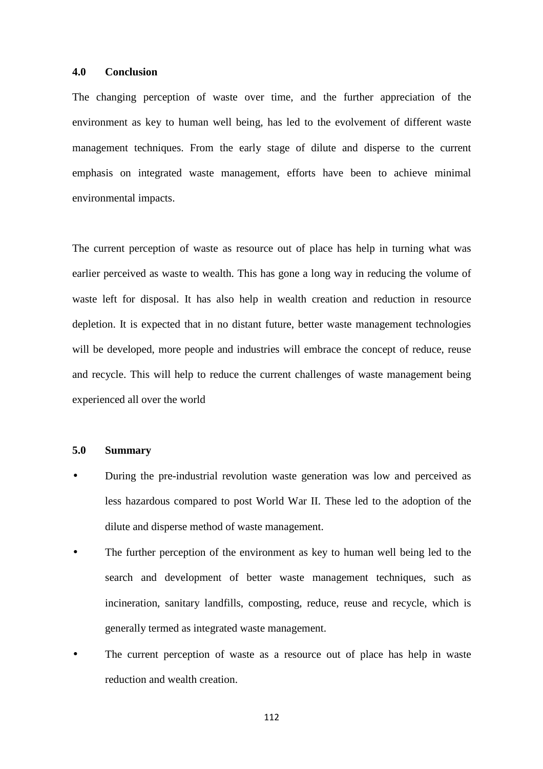### **4.0 Conclusion**

The changing perception of waste over time, and the further appreciation of the environment as key to human well being, has led to the evolvement of different waste management techniques. From the early stage of dilute and disperse to the current emphasis on integrated waste management, efforts have been to achieve minimal environmental impacts.

The current perception of waste as resource out of place has help in turning what was earlier perceived as waste to wealth. This has gone a long way in reducing the volume of waste left for disposal. It has also help in wealth creation and reduction in resource depletion. It is expected that in no distant future, better waste management technologies will be developed, more people and industries will embrace the concept of reduce, reuse and recycle. This will help to reduce the current challenges of waste management being experienced all over the world

## **5.0 Summary**

- During the pre-industrial revolution waste generation was low and perceived as less hazardous compared to post World War II. These led to the adoption of the dilute and disperse method of waste management.
- The further perception of the environment as key to human well being led to the search and development of better waste management techniques, such as incineration, sanitary landfills, composting, reduce, reuse and recycle, which is generally termed as integrated waste management.
- The current perception of waste as a resource out of place has help in waste reduction and wealth creation.

112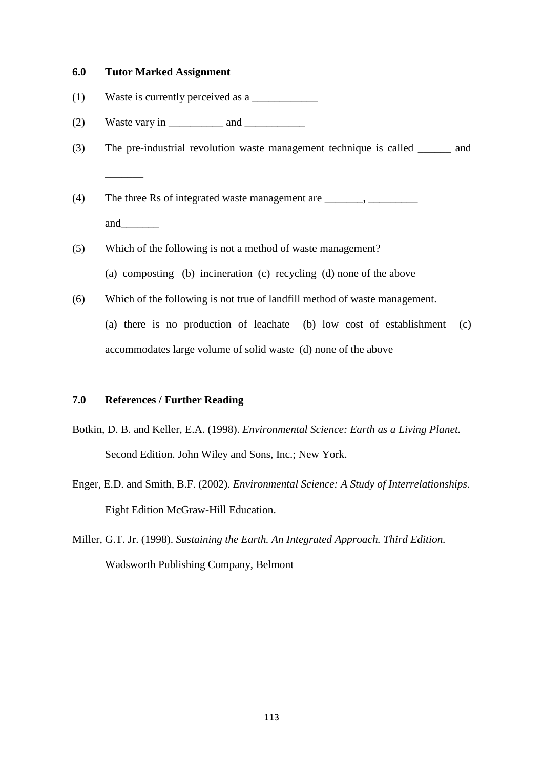#### **6.0 Tutor Marked Assignment**

 $\overline{\phantom{a}}$ 

- (1) Waste is currently perceived as a  $\frac{1}{\sqrt{2\pi}}$
- (2) Waste vary in  $\qquad$  and  $\qquad$
- (3) The pre-industrial revolution waste management technique is called \_\_\_\_\_\_ and
- (4) The three Rs of integrated waste management are  $\blacksquare$ , and  $\qquad \qquad$
- (5) Which of the following is not a method of waste management?
	- (a) composting (b) incineration (c) recycling (d) none of the above
- (6) Which of the following is not true of landfill method of waste management.

(a) there is no production of leachate (b) low cost of establishment (c) accommodates large volume of solid waste (d) none of the above

### **7.0 References / Further Reading**

- Botkin, D. B. and Keller, E.A. (1998). *Environmental Science: Earth as a Living Planet.*  Second Edition. John Wiley and Sons, Inc.; New York.
- Enger, E.D. and Smith, B.F. (2002). *Environmental Science: A Study of Interrelationships*. Eight Edition McGraw-Hill Education.
- Miller, G.T. Jr. (1998). *Sustaining the Earth. An Integrated Approach. Third Edition.* Wadsworth Publishing Company, Belmont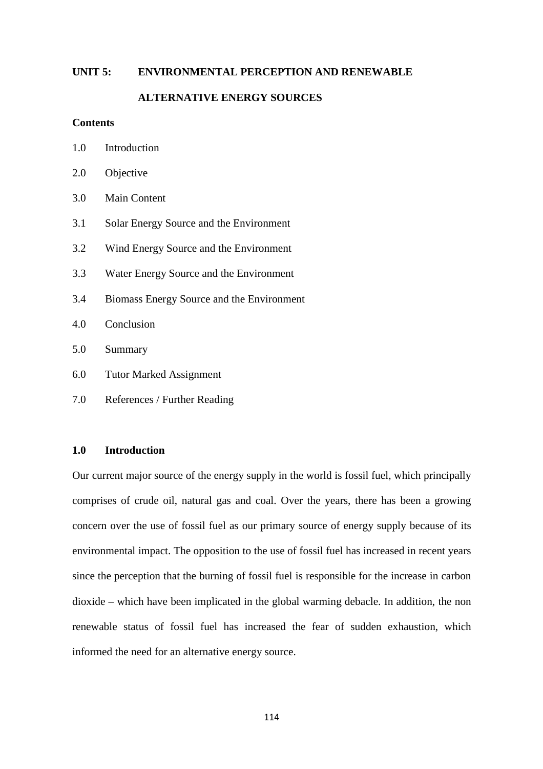#### **UNIT 5: ENVIRONMENTAL PERCEPTION AND RENEWABLE**

### **ALTERNATIVE ENERGY SOURCES**

#### **Contents**

1.0 Introduction

- 2.0 Objective
- 3.0 Main Content
- 3.1 Solar Energy Source and the Environment
- 3.2 Wind Energy Source and the Environment
- 3.3 Water Energy Source and the Environment
- 3.4 Biomass Energy Source and the Environment
- 4.0 Conclusion
- 5.0 Summary
- 6.0 Tutor Marked Assignment
- 7.0 References / Further Reading

### **1.0 Introduction**

Our current major source of the energy supply in the world is fossil fuel, which principally comprises of crude oil, natural gas and coal. Over the years, there has been a growing concern over the use of fossil fuel as our primary source of energy supply because of its environmental impact. The opposition to the use of fossil fuel has increased in recent years since the perception that the burning of fossil fuel is responsible for the increase in carbon dioxide – which have been implicated in the global warming debacle. In addition, the non renewable status of fossil fuel has increased the fear of sudden exhaustion, which informed the need for an alternative energy source.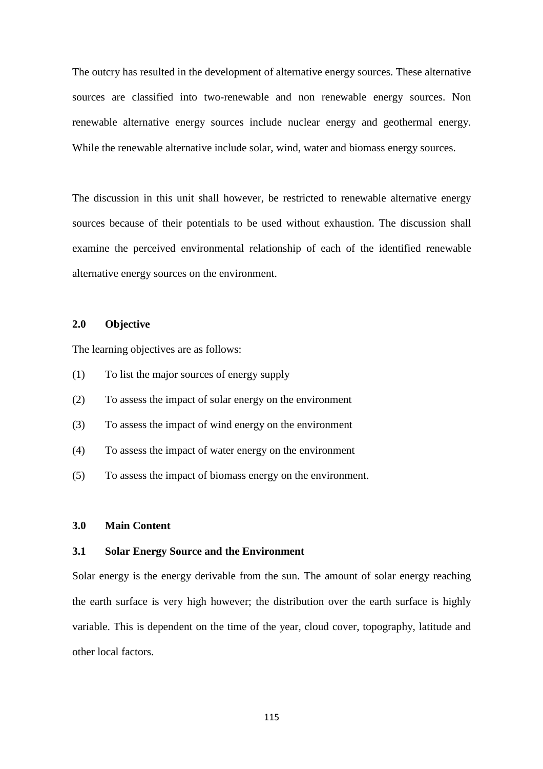The outcry has resulted in the development of alternative energy sources. These alternative sources are classified into two-renewable and non renewable energy sources. Non renewable alternative energy sources include nuclear energy and geothermal energy. While the renewable alternative include solar, wind, water and biomass energy sources.

The discussion in this unit shall however, be restricted to renewable alternative energy sources because of their potentials to be used without exhaustion. The discussion shall examine the perceived environmental relationship of each of the identified renewable alternative energy sources on the environment.

### **2.0 Objective**

The learning objectives are as follows:

- (1) To list the major sources of energy supply
- (2) To assess the impact of solar energy on the environment
- (3) To assess the impact of wind energy on the environment
- (4) To assess the impact of water energy on the environment
- (5) To assess the impact of biomass energy on the environment.

### **3.0 Main Content**

#### **3.1 Solar Energy Source and the Environment**

Solar energy is the energy derivable from the sun. The amount of solar energy reaching the earth surface is very high however; the distribution over the earth surface is highly variable. This is dependent on the time of the year, cloud cover, topography, latitude and other local factors.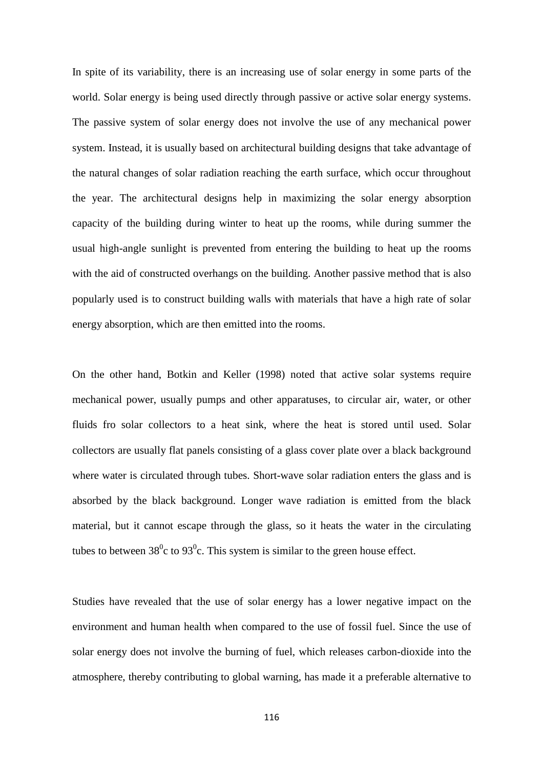In spite of its variability, there is an increasing use of solar energy in some parts of the world. Solar energy is being used directly through passive or active solar energy systems. The passive system of solar energy does not involve the use of any mechanical power system. Instead, it is usually based on architectural building designs that take advantage of the natural changes of solar radiation reaching the earth surface, which occur throughout the year. The architectural designs help in maximizing the solar energy absorption capacity of the building during winter to heat up the rooms, while during summer the usual high-angle sunlight is prevented from entering the building to heat up the rooms with the aid of constructed overhangs on the building. Another passive method that is also popularly used is to construct building walls with materials that have a high rate of solar energy absorption, which are then emitted into the rooms.

On the other hand, Botkin and Keller (1998) noted that active solar systems require mechanical power, usually pumps and other apparatuses, to circular air, water, or other fluids fro solar collectors to a heat sink, where the heat is stored until used. Solar collectors are usually flat panels consisting of a glass cover plate over a black background where water is circulated through tubes. Short-wave solar radiation enters the glass and is absorbed by the black background. Longer wave radiation is emitted from the black material, but it cannot escape through the glass, so it heats the water in the circulating tubes to between 38<sup>0</sup>c to 93<sup>0</sup>c. This system is similar to the green house effect.

Studies have revealed that the use of solar energy has a lower negative impact on the environment and human health when compared to the use of fossil fuel. Since the use of solar energy does not involve the burning of fuel, which releases carbon-dioxide into the atmosphere, thereby contributing to global warning, has made it a preferable alternative to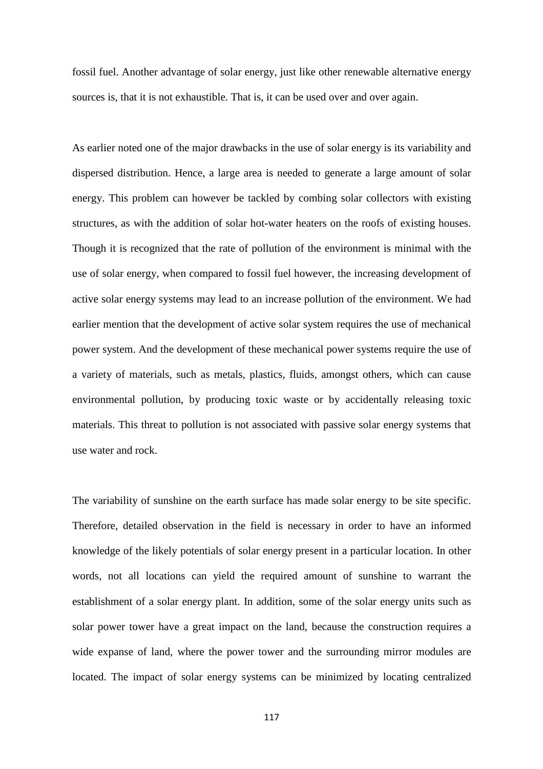fossil fuel. Another advantage of solar energy, just like other renewable alternative energy sources is, that it is not exhaustible. That is, it can be used over and over again.

As earlier noted one of the major drawbacks in the use of solar energy is its variability and dispersed distribution. Hence, a large area is needed to generate a large amount of solar energy. This problem can however be tackled by combing solar collectors with existing structures, as with the addition of solar hot-water heaters on the roofs of existing houses. Though it is recognized that the rate of pollution of the environment is minimal with the use of solar energy, when compared to fossil fuel however, the increasing development of active solar energy systems may lead to an increase pollution of the environment. We had earlier mention that the development of active solar system requires the use of mechanical power system. And the development of these mechanical power systems require the use of a variety of materials, such as metals, plastics, fluids, amongst others, which can cause environmental pollution, by producing toxic waste or by accidentally releasing toxic materials. This threat to pollution is not associated with passive solar energy systems that use water and rock.

The variability of sunshine on the earth surface has made solar energy to be site specific. Therefore, detailed observation in the field is necessary in order to have an informed knowledge of the likely potentials of solar energy present in a particular location. In other words, not all locations can yield the required amount of sunshine to warrant the establishment of a solar energy plant. In addition, some of the solar energy units such as solar power tower have a great impact on the land, because the construction requires a wide expanse of land, where the power tower and the surrounding mirror modules are located. The impact of solar energy systems can be minimized by locating centralized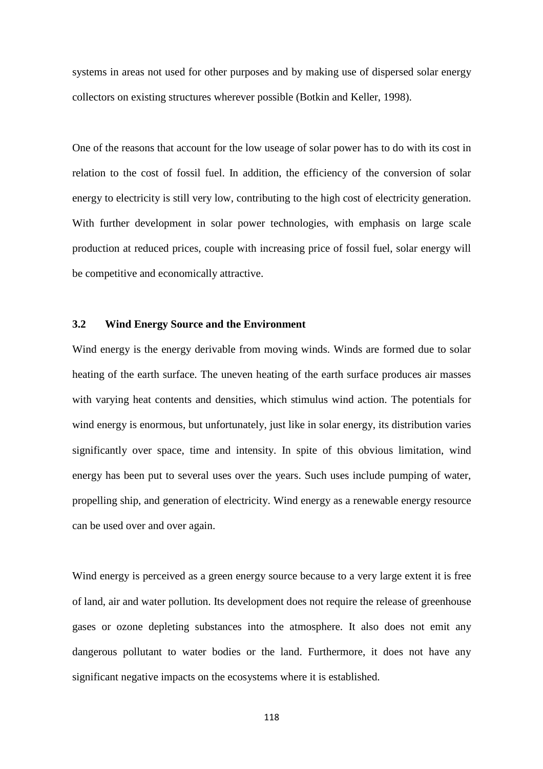systems in areas not used for other purposes and by making use of dispersed solar energy collectors on existing structures wherever possible (Botkin and Keller, 1998).

One of the reasons that account for the low useage of solar power has to do with its cost in relation to the cost of fossil fuel. In addition, the efficiency of the conversion of solar energy to electricity is still very low, contributing to the high cost of electricity generation. With further development in solar power technologies, with emphasis on large scale production at reduced prices, couple with increasing price of fossil fuel, solar energy will be competitive and economically attractive.

### **3.2 Wind Energy Source and the Environment**

Wind energy is the energy derivable from moving winds. Winds are formed due to solar heating of the earth surface. The uneven heating of the earth surface produces air masses with varying heat contents and densities, which stimulus wind action. The potentials for wind energy is enormous, but unfortunately, just like in solar energy, its distribution varies significantly over space, time and intensity. In spite of this obvious limitation, wind energy has been put to several uses over the years. Such uses include pumping of water, propelling ship, and generation of electricity. Wind energy as a renewable energy resource can be used over and over again.

Wind energy is perceived as a green energy source because to a very large extent it is free of land, air and water pollution. Its development does not require the release of greenhouse gases or ozone depleting substances into the atmosphere. It also does not emit any dangerous pollutant to water bodies or the land. Furthermore, it does not have any significant negative impacts on the ecosystems where it is established.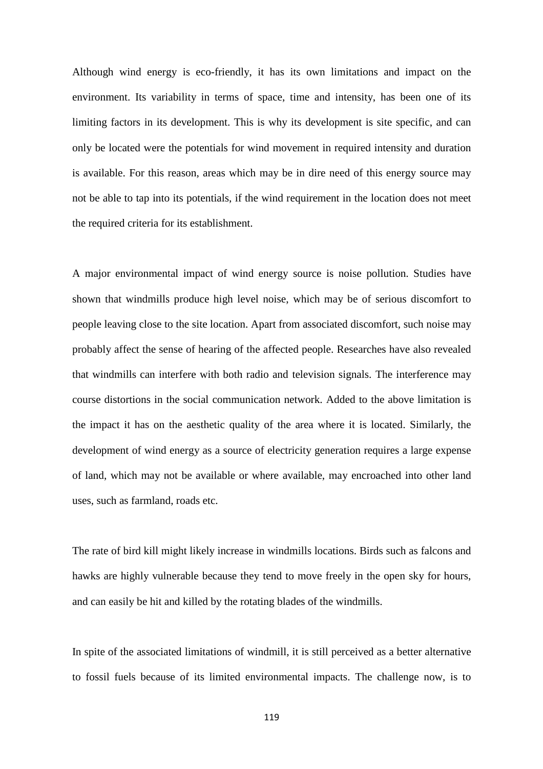Although wind energy is eco-friendly, it has its own limitations and impact on the environment. Its variability in terms of space, time and intensity, has been one of its limiting factors in its development. This is why its development is site specific, and can only be located were the potentials for wind movement in required intensity and duration is available. For this reason, areas which may be in dire need of this energy source may not be able to tap into its potentials, if the wind requirement in the location does not meet the required criteria for its establishment.

A major environmental impact of wind energy source is noise pollution. Studies have shown that windmills produce high level noise, which may be of serious discomfort to people leaving close to the site location. Apart from associated discomfort, such noise may probably affect the sense of hearing of the affected people. Researches have also revealed that windmills can interfere with both radio and television signals. The interference may course distortions in the social communication network. Added to the above limitation is the impact it has on the aesthetic quality of the area where it is located. Similarly, the development of wind energy as a source of electricity generation requires a large expense of land, which may not be available or where available, may encroached into other land uses, such as farmland, roads etc.

The rate of bird kill might likely increase in windmills locations. Birds such as falcons and hawks are highly vulnerable because they tend to move freely in the open sky for hours, and can easily be hit and killed by the rotating blades of the windmills.

In spite of the associated limitations of windmill, it is still perceived as a better alternative to fossil fuels because of its limited environmental impacts. The challenge now, is to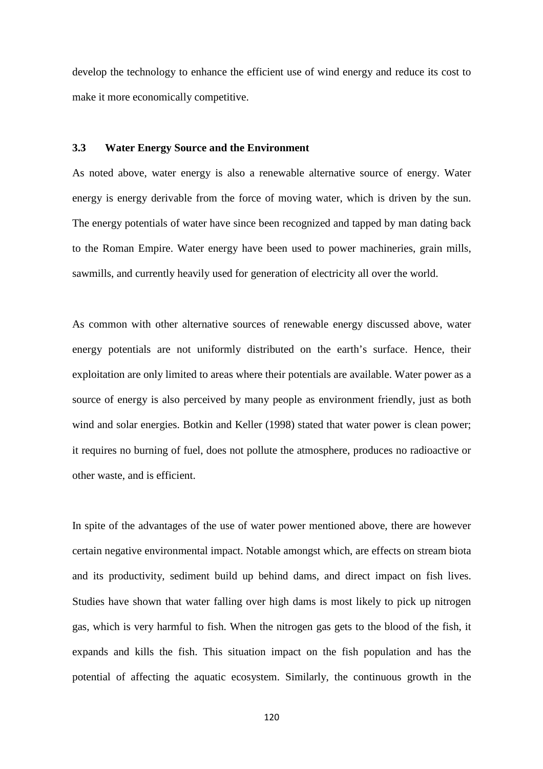develop the technology to enhance the efficient use of wind energy and reduce its cost to make it more economically competitive.

### **3.3 Water Energy Source and the Environment**

As noted above, water energy is also a renewable alternative source of energy. Water energy is energy derivable from the force of moving water, which is driven by the sun. The energy potentials of water have since been recognized and tapped by man dating back to the Roman Empire. Water energy have been used to power machineries, grain mills, sawmills, and currently heavily used for generation of electricity all over the world.

As common with other alternative sources of renewable energy discussed above, water energy potentials are not uniformly distributed on the earth's surface. Hence, their exploitation are only limited to areas where their potentials are available. Water power as a source of energy is also perceived by many people as environment friendly, just as both wind and solar energies. Botkin and Keller (1998) stated that water power is clean power; it requires no burning of fuel, does not pollute the atmosphere, produces no radioactive or other waste, and is efficient.

In spite of the advantages of the use of water power mentioned above, there are however certain negative environmental impact. Notable amongst which, are effects on stream biota and its productivity, sediment build up behind dams, and direct impact on fish lives. Studies have shown that water falling over high dams is most likely to pick up nitrogen gas, which is very harmful to fish. When the nitrogen gas gets to the blood of the fish, it expands and kills the fish. This situation impact on the fish population and has the potential of affecting the aquatic ecosystem. Similarly, the continuous growth in the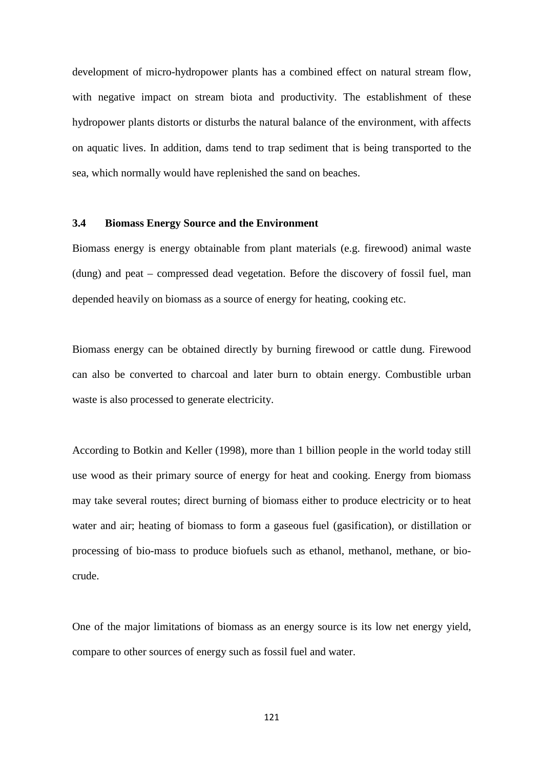development of micro-hydropower plants has a combined effect on natural stream flow, with negative impact on stream biota and productivity. The establishment of these hydropower plants distorts or disturbs the natural balance of the environment, with affects on aquatic lives. In addition, dams tend to trap sediment that is being transported to the sea, which normally would have replenished the sand on beaches.

#### **3.4 Biomass Energy Source and the Environment**

Biomass energy is energy obtainable from plant materials (e.g. firewood) animal waste (dung) and peat – compressed dead vegetation. Before the discovery of fossil fuel, man depended heavily on biomass as a source of energy for heating, cooking etc.

Biomass energy can be obtained directly by burning firewood or cattle dung. Firewood can also be converted to charcoal and later burn to obtain energy. Combustible urban waste is also processed to generate electricity.

According to Botkin and Keller (1998), more than 1 billion people in the world today still use wood as their primary source of energy for heat and cooking. Energy from biomass may take several routes; direct burning of biomass either to produce electricity or to heat water and air; heating of biomass to form a gaseous fuel (gasification), or distillation or processing of bio-mass to produce biofuels such as ethanol, methanol, methane, or biocrude.

One of the major limitations of biomass as an energy source is its low net energy yield, compare to other sources of energy such as fossil fuel and water.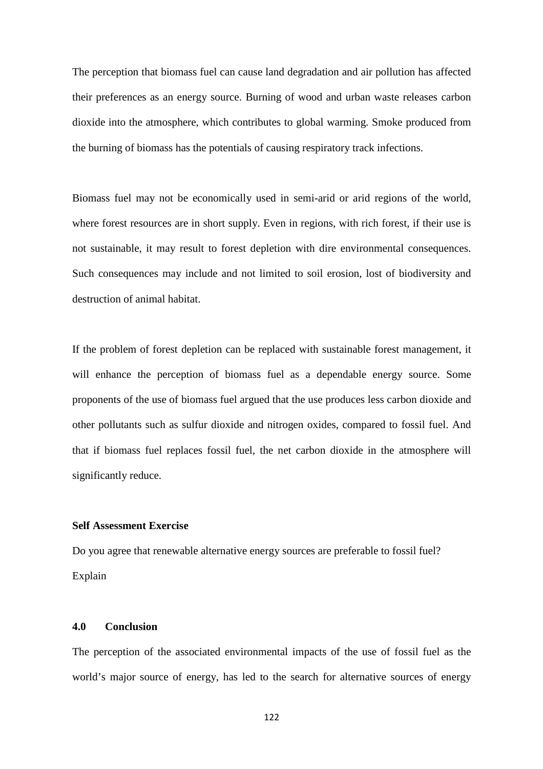The perception that biomass fuel can cause land degradation and air pollution has affected their preferences as an energy source. Burning of wood and urban waste releases carbon dioxide into the atmosphere, which contributes to global warming. Smoke produced from the burning of biomass has the potentials of causing respiratory track infections.

Biomass fuel may not be economically used in semi-arid or arid regions of the world, where forest resources are in short supply. Even in regions, with rich forest, if their use is not sustainable, it may result to forest depletion with dire environmental consequences. Such consequences may include and not limited to soil erosion, lost of biodiversity and destruction of animal habitat.

If the problem of forest depletion can be replaced with sustainable forest management, it will enhance the perception of biomass fuel as a dependable energy source. Some proponents of the use of biomass fuel argued that the use produces less carbon dioxide and other pollutants such as sulfur dioxide and nitrogen oxides, compared to fossil fuel. And that if biomass fuel replaces fossil fuel, the net carbon dioxide in the atmosphere will significantly reduce.

#### **Self Assessment Exercise**

Do you agree that renewable alternative energy sources are preferable to fossil fuel? Explain

### **4.0 Conclusion**

The perception of the associated environmental impacts of the use of fossil fuel as the world's major source of energy, has led to the search for alternative sources of energy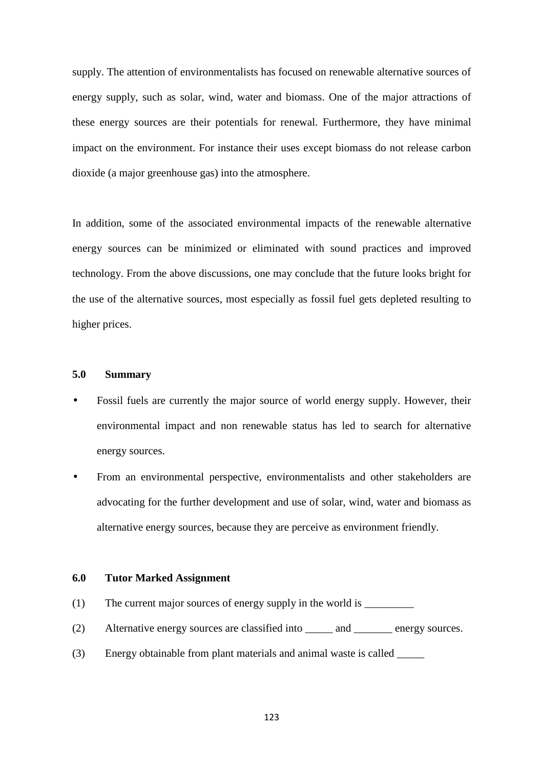supply. The attention of environmentalists has focused on renewable alternative sources of energy supply, such as solar, wind, water and biomass. One of the major attractions of these energy sources are their potentials for renewal. Furthermore, they have minimal impact on the environment. For instance their uses except biomass do not release carbon dioxide (a major greenhouse gas) into the atmosphere.

In addition, some of the associated environmental impacts of the renewable alternative energy sources can be minimized or eliminated with sound practices and improved technology. From the above discussions, one may conclude that the future looks bright for the use of the alternative sources, most especially as fossil fuel gets depleted resulting to higher prices.

## **5.0 Summary**

- Fossil fuels are currently the major source of world energy supply. However, their environmental impact and non renewable status has led to search for alternative energy sources.
- From an environmental perspective, environmentalists and other stakeholders are advocating for the further development and use of solar, wind, water and biomass as alternative energy sources, because they are perceive as environment friendly.

#### **6.0 Tutor Marked Assignment**

- (1) The current major sources of energy supply in the world is \_\_\_\_\_\_\_\_\_\_\_\_\_\_\_\_\_
- (2) Alternative energy sources are classified into \_\_\_\_\_ and \_\_\_\_\_\_\_ energy sources.
- (3) Energy obtainable from plant materials and animal waste is called \_\_\_\_\_

123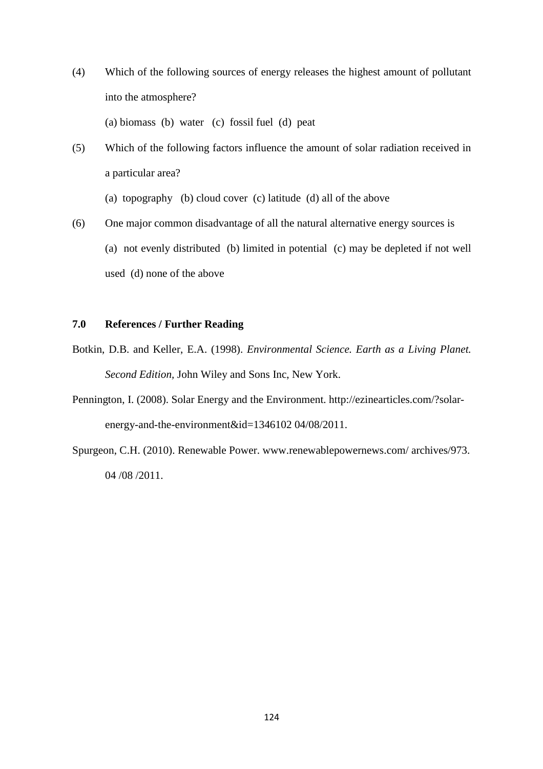- (4) Which of the following sources of energy releases the highest amount of pollutant into the atmosphere? (a) biomass (b) water (c) fossil fuel (d) peat
- (5) Which of the following factors influence the amount of solar radiation received in a particular area?
	- (a) topography (b) cloud cover (c) latitude (d) all of the above
- (6) One major common disadvantage of all the natural alternative energy sources is (a) not evenly distributed (b) limited in potential (c) may be depleted if not well used (d) none of the above

## **7.0 References / Further Reading**

- Botkin, D.B. and Keller, E.A. (1998). *Environmental Science. Earth as a Living Planet. Second Edition,* John Wiley and Sons Inc, New York.
- Pennington, I. (2008). Solar Energy and the Environment. http://ezinearticles.com/?solarenergy-and-the-environment&id=1346102 04/08/2011.
- Spurgeon, C.H. (2010). Renewable Power. www.renewablepowernews.com/ archives/973. 04 /08 /2011.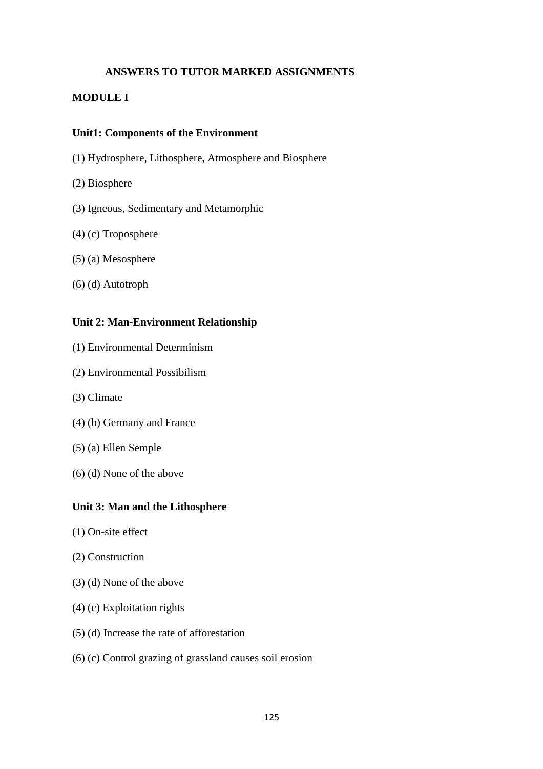# **ANSWERS TO TUTOR MARKED ASSIGNMENTS**

## **MODULE I**

### **Unit1: Components of the Environment**

- (1) Hydrosphere, Lithosphere, Atmosphere and Biosphere
- (2) Biosphere
- (3) Igneous, Sedimentary and Metamorphic
- (4) (c) Troposphere
- (5) (a) Mesosphere
- (6) (d) Autotroph

### **Unit 2: Man-Environment Relationship**

- (1) Environmental Determinism
- (2) Environmental Possibilism
- (3) Climate
- (4) (b) Germany and France
- (5) (a) Ellen Semple
- (6) (d) None of the above

### **Unit 3: Man and the Lithosphere**

- (1) On-site effect
- (2) Construction
- (3) (d) None of the above
- (4) (c) Exploitation rights
- (5) (d) Increase the rate of afforestation
- (6) (c) Control grazing of grassland causes soil erosion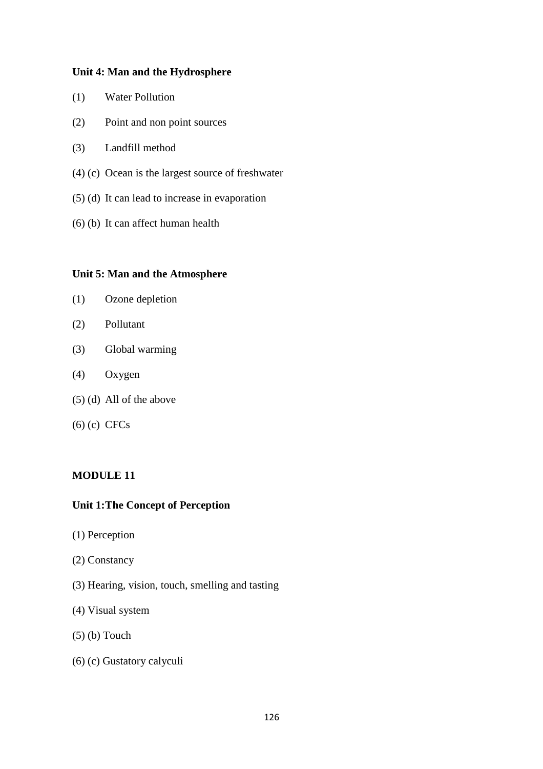### **Unit 4: Man and the Hydrosphere**

- (1) Water Pollution
- (2) Point and non point sources
- (3) Landfill method
- (4) (c) Ocean is the largest source of freshwater
- (5) (d) It can lead to increase in evaporation
- (6) (b) It can affect human health

### **Unit 5: Man and the Atmosphere**

- (1) Ozone depletion
- (2) Pollutant
- (3) Global warming
- (4) Oxygen
- (5) (d) All of the above
- (6) (c) CFCs

# **MODULE 11**

## **Unit 1: The Concept of Perception**

- (1) Perception
- (2) Constancy
- (3) Hearing, vision, touch, smelling and tasting
- (4) Visual system
- (5) (b) Touch
- (6) (c) Gustatory calyculi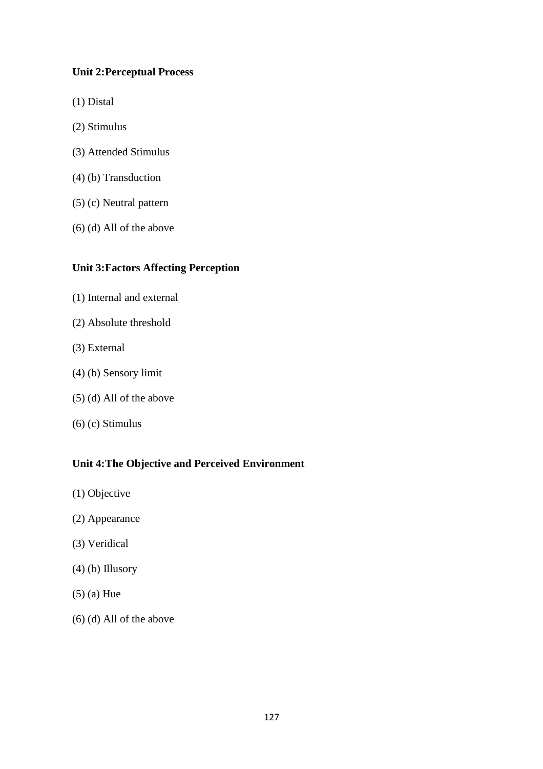# **Unit 2: Perceptual Process**

- (1) Distal
- (2) Stimulus
- (3) Attended Stimulus
- (4) (b) Transduction
- (5) (c) Neutral pattern
- (6) (d) All of the above

# **Unit 3: Factors Affecting Perception**

- (1) Internal and external
- (2) Absolute threshold
- (3) External
- (4) (b) Sensory limit
- (5) (d) All of the above
- (6) (c) Stimulus

# **Unit 4: The Objective and Perceived Environment**

- (1) Objective
- (2) Appearance
- (3) Veridical
- (4) (b) Illusory
- (5) (a) Hue
- (6) (d) All of the above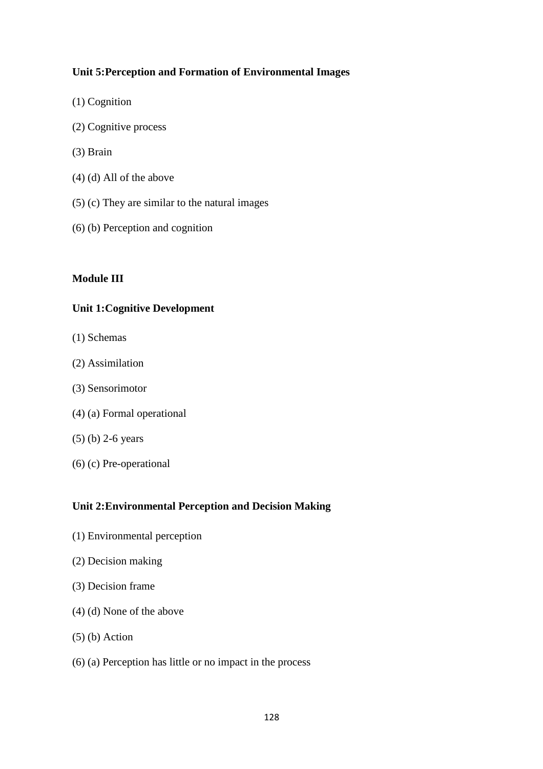# **Unit 5: Perception and Formation of Environmental Images**

- (1) Cognition
- (2) Cognitive process
- (3) Brain
- (4) (d) All of the above
- (5) (c) They are similar to the natural images
- (6) (b) Perception and cognition

# **Module III**

# **Unit 1: Cognitive Development**

- (1) Schemas
- (2) Assimilation
- (3) Sensorimotor
- (4) (a) Formal operational
- (5) (b) 2-6 years
- (6) (c) Pre-operational

# **Unit 2: Environmental Perception and Decision Making**

- (1) Environmental perception
- (2) Decision making
- (3) Decision frame
- (4) (d) None of the above
- (5) (b) Action
- (6) (a) Perception has little or no impact in the process